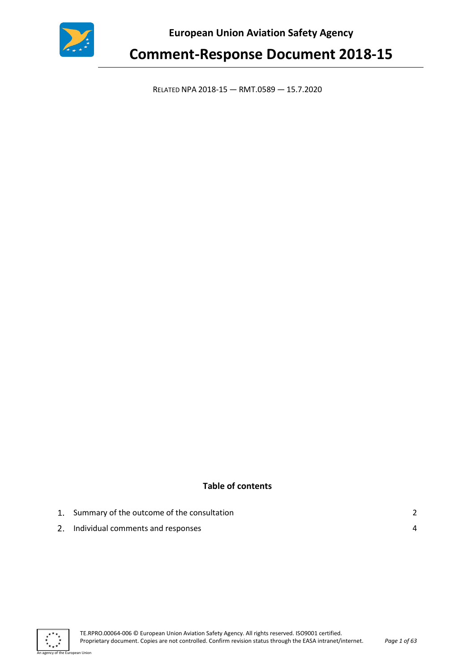

**European Union Aviation Safety Agency** 

# **Comment-Response Document 2018-15**

RELATED NPA 2018-15 — RMT.0589 — 15.7.2020

# **Table of contents**

| 1. Summary of the outcome of the consultation |  |
|-----------------------------------------------|--|
| 2. Individual comments and responses          |  |



an Union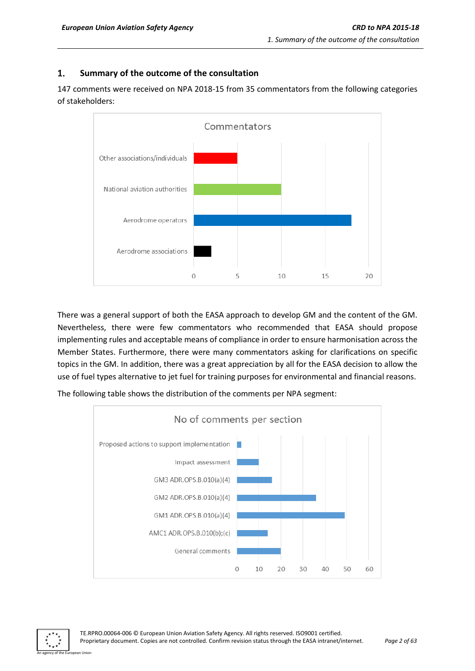#### <span id="page-1-0"></span> $1.$ **Summary of the outcome of the consultation**

147 comments were received on NPA 2018-15 from 35 commentators from the following categories of stakeholders:



There was a general support of both the EASA approach to develop GM and the content of the GM. Nevertheless, there were few commentators who recommended that EASA should propose implementing rules and acceptable means of compliance in order to ensure harmonisation across the Member States. Furthermore, there were many commentators asking for clarifications on specific topics in the GM. In addition, there was a great appreciation by all for the EASA decision to allow the use of fuel types alternative to jet fuel for training purposes for environmental and financial reasons.



The following table shows the distribution of the comments per NPA segment:

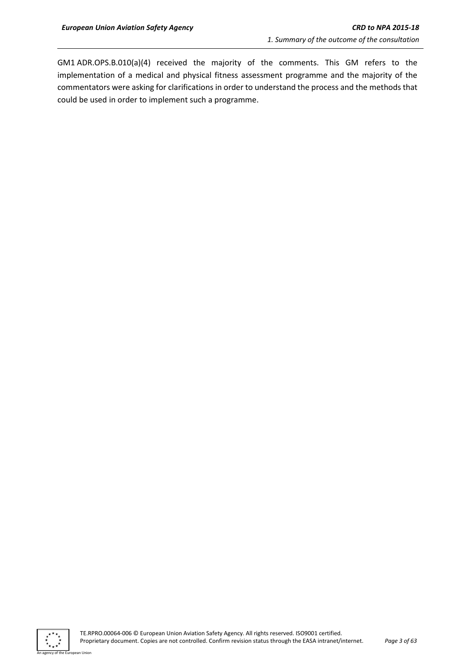GM1 ADR.OPS.B.010(a)(4) received the majority of the comments. This GM refers to the implementation of a medical and physical fitness assessment programme and the majority of the commentators were asking for clarifications in order to understand the process and the methods that could be used in order to implement such a programme.



n Hoioi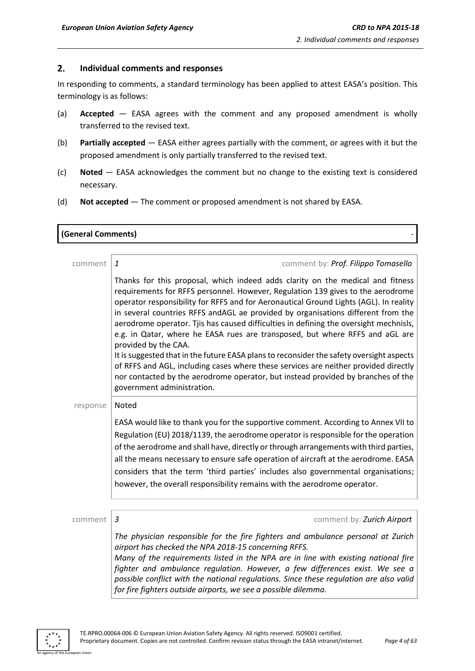**(General Comments)** 

#### <span id="page-3-0"></span> $2.$ **Individual comments and responses**

In responding to comments, a standard terminology has been applied to attest EASA's position. This terminology is as follows:

- (a) **Accepted** EASA agrees with the comment and any proposed amendment is wholly transferred to the revised text.
- (b) **Partially accepted** EASA either agrees partially with the comment, or agrees with it but the proposed amendment is only partially transferred to the revised text.
- (c) **Noted** EASA acknowledges the comment but no change to the existing text is considered necessary.
- (d) **Not accepted** The comment or proposed amendment is not shared by EASA.

| comment  | comment by: Prof. Filippo Tomasello<br>$\mathbf{1}$                                                                                                                                                                                                                                                                                                                                                                                                                                                                                                                                                                                                                                                                                                                                                                                                  |
|----------|------------------------------------------------------------------------------------------------------------------------------------------------------------------------------------------------------------------------------------------------------------------------------------------------------------------------------------------------------------------------------------------------------------------------------------------------------------------------------------------------------------------------------------------------------------------------------------------------------------------------------------------------------------------------------------------------------------------------------------------------------------------------------------------------------------------------------------------------------|
|          | Thanks for this proposal, which indeed adds clarity on the medical and fitness<br>requirements for RFFS personnel. However, Regulation 139 gives to the aerodrome<br>operator responsibility for RFFS and for Aeronautical Ground Lights (AGL). In reality<br>in several countries RFFS andAGL ae provided by organisations different from the<br>aerodrome operator. Tjis has caused difficulties in defining the oversight mechnisls,<br>e.g. in Qatar, where he EASA rues are transposed, but where RFFS and aGL are<br>provided by the CAA.<br>It is suggested that in the future EASA plans to reconsider the safety oversight aspects<br>of RFFS and AGL, including cases where these services are neither provided directly<br>nor contacted by the aerodrome operator, but instead provided by branches of the<br>government administration. |
| response | Noted                                                                                                                                                                                                                                                                                                                                                                                                                                                                                                                                                                                                                                                                                                                                                                                                                                                |
|          | EASA would like to thank you for the supportive comment. According to Annex VII to<br>Regulation (EU) 2018/1139, the aerodrome operator is responsible for the operation<br>of the aerodrome and shall have, directly or through arrangements with third parties,<br>all the means necessary to ensure safe operation of aircraft at the aerodrome. EASA<br>considers that the term 'third parties' includes also governmental organisations;<br>however, the overall responsibility remains with the aerodrome operator.                                                                                                                                                                                                                                                                                                                            |
|          |                                                                                                                                                                                                                                                                                                                                                                                                                                                                                                                                                                                                                                                                                                                                                                                                                                                      |
| comment  | 3<br>comment by: Zurich Airport                                                                                                                                                                                                                                                                                                                                                                                                                                                                                                                                                                                                                                                                                                                                                                                                                      |
|          | The physician responsible for the fire fighters and ambulance personal at Zurich<br>airport has checked the NPA 2018-15 concerning RFFS.<br>Many of the requirements listed in the NPA are in line with existing national fire<br>fighter and ambulance regulation. However, a few differences exist. We see a<br>possible conflict with the national regulations. Since these regulation are also valid<br>for fire fighters outside airports, we see a possible dilemma.                                                                                                                                                                                                                                                                                                                                                                           |

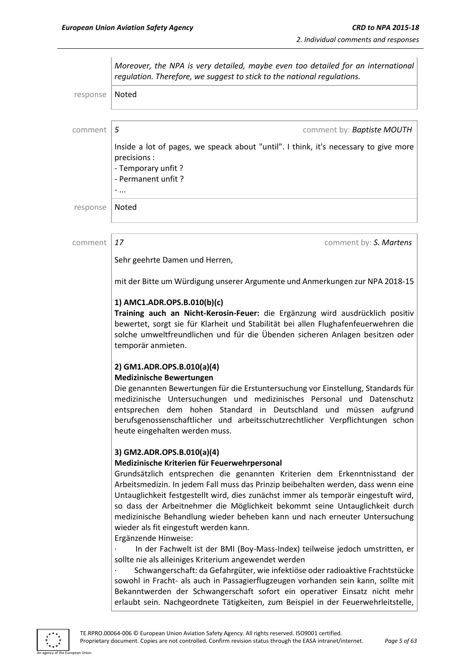|          | Moreover, the NPA is very detailed, maybe even too detailed for an international<br>regulation. Therefore, we suggest to stick to the national regulations.                                                                                                                                                                                                                                                                                                                                                                                                                                                                                                                                                                                                                                                                                                                                                                                                                                                                                          |  |  |
|----------|------------------------------------------------------------------------------------------------------------------------------------------------------------------------------------------------------------------------------------------------------------------------------------------------------------------------------------------------------------------------------------------------------------------------------------------------------------------------------------------------------------------------------------------------------------------------------------------------------------------------------------------------------------------------------------------------------------------------------------------------------------------------------------------------------------------------------------------------------------------------------------------------------------------------------------------------------------------------------------------------------------------------------------------------------|--|--|
| response | Noted                                                                                                                                                                                                                                                                                                                                                                                                                                                                                                                                                                                                                                                                                                                                                                                                                                                                                                                                                                                                                                                |  |  |
| comment  | 5<br>comment by: <b>Baptiste MOUTH</b>                                                                                                                                                                                                                                                                                                                                                                                                                                                                                                                                                                                                                                                                                                                                                                                                                                                                                                                                                                                                               |  |  |
|          | Inside a lot of pages, we speack about "until". I think, it's necessary to give more<br>precisions :<br>- Temporary unfit?<br>- Permanent unfit?<br>$-$                                                                                                                                                                                                                                                                                                                                                                                                                                                                                                                                                                                                                                                                                                                                                                                                                                                                                              |  |  |
| response | Noted                                                                                                                                                                                                                                                                                                                                                                                                                                                                                                                                                                                                                                                                                                                                                                                                                                                                                                                                                                                                                                                |  |  |
| comment  | 17<br>comment by: S. Martens                                                                                                                                                                                                                                                                                                                                                                                                                                                                                                                                                                                                                                                                                                                                                                                                                                                                                                                                                                                                                         |  |  |
|          | Sehr geehrte Damen und Herren,                                                                                                                                                                                                                                                                                                                                                                                                                                                                                                                                                                                                                                                                                                                                                                                                                                                                                                                                                                                                                       |  |  |
|          | mit der Bitte um Würdigung unserer Argumente und Anmerkungen zur NPA 2018-15                                                                                                                                                                                                                                                                                                                                                                                                                                                                                                                                                                                                                                                                                                                                                                                                                                                                                                                                                                         |  |  |
|          | 1) AMC1.ADR.OPS.B.010(b)(c)<br>Training auch an Nicht-Kerosin-Feuer: die Ergänzung wird ausdrücklich positiv<br>bewertet, sorgt sie für Klarheit und Stabilität bei allen Flughafenfeuerwehren die<br>solche umweltfreundlichen und für die Übenden sicheren Anlagen besitzen oder<br>temporär anmieten.                                                                                                                                                                                                                                                                                                                                                                                                                                                                                                                                                                                                                                                                                                                                             |  |  |
|          | 2) GM1.ADR.OPS.B.010(a)(4)<br><b>Medizinische Bewertungen</b><br>Die genannten Bewertungen für die Erstuntersuchung vor Einstellung, Standards für<br>medizinische Untersuchungen und medizinisches Personal und Datenschutz<br>entsprechen dem hohen Standard in Deutschland und müssen aufgrund<br>berufsgenossenschaftlicher und arbeitsschutzrechtlicher Verpflichtungen schon<br>heute eingehalten werden muss.                                                                                                                                                                                                                                                                                                                                                                                                                                                                                                                                                                                                                                 |  |  |
|          | 3) GM2.ADR.OPS.B.010(a)(4)<br>Medizinische Kriterien für Feuerwehrpersonal<br>Grundsätzlich entsprechen die genannten Kriterien dem Erkenntnisstand der<br>Arbeitsmedizin. In jedem Fall muss das Prinzip beibehalten werden, dass wenn eine<br>Untauglichkeit festgestellt wird, dies zunächst immer als temporär eingestuft wird,<br>so dass der Arbeitnehmer die Möglichkeit bekommt seine Untauglichkeit durch<br>medizinische Behandlung wieder beheben kann und nach erneuter Untersuchung<br>wieder als fit eingestuft werden kann.<br>Ergänzende Hinweise:<br>In der Fachwelt ist der BMI (Boy-Mass-Index) teilweise jedoch umstritten, er<br>sollte nie als alleiniges Kriterium angewendet werden<br>Schwangerschaft: da Gefahrgüter, wie infektiöse oder radioaktive Frachtstücke<br>sowohl in Fracht- als auch in Passagierflugzeugen vorhanden sein kann, sollte mit<br>Bekanntwerden der Schwangerschaft sofort ein operativer Einsatz nicht mehr<br>erlaubt sein. Nachgeordnete Tätigkeiten, zum Beispiel in der Feuerwehrleitstelle, |  |  |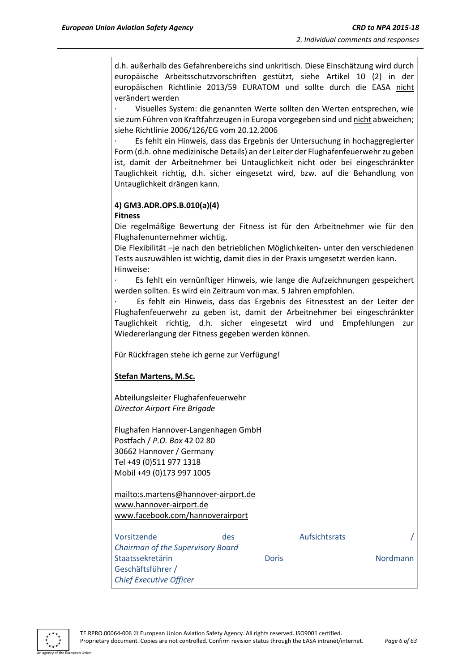d.h. außerhalb des Gefahrenbereichs sind unkritisch. Diese Einschätzung wird durch europäische Arbeitsschutzvorschriften gestützt, siehe Artikel 10 (2) in der europäischen Richtlinie 2013/59 EURATOM und sollte durch die EASA nicht verändert werden

Visuelles System: die genannten Werte sollten den Werten entsprechen, wie sie zum Führen von Kraftfahrzeugen in Europa vorgegeben sind und nicht abweichen; siehe Richtlinie 2006/126/EG vom 20.12.2006

Es fehlt ein Hinweis, dass das Ergebnis der Untersuchung in hochaggregierter Form (d.h. ohne medizinische Details) an der Leiter der Flughafenfeuerwehr zu geben ist, damit der Arbeitnehmer bei Untauglichkeit nicht oder bei eingeschränkter Tauglichkeit richtig, d.h. sicher eingesetzt wird, bzw. auf die Behandlung von Untauglichkeit drängen kann.

#### **4) GM3.ADR.OPS.B.010(a)(4) Fitness**

Die regelmäßige Bewertung der Fitness ist für den Arbeitnehmer wie für den Flughafenunternehmer wichtig.

Die Flexibilität –je nach den betrieblichen Möglichkeiten- unter den verschiedenen Tests auszuwählen ist wichtig, damit dies in der Praxis umgesetzt werden kann. Hinweise:

Es fehlt ein vernünftiger Hinweis, wie lange die Aufzeichnungen gespeichert werden sollten. Es wird ein Zeitraum von max. 5 Jahren empfohlen.

· Es fehlt ein Hinweis, dass das Ergebnis des Fitnesstest an der Leiter der Flughafenfeuerwehr zu geben ist, damit der Arbeitnehmer bei eingeschränkter Tauglichkeit richtig, d.h. sicher eingesetzt wird und Empfehlungen zur Wiedererlangung der Fitness gegeben werden können.

Für Rückfragen stehe ich gerne zur Verfügung!

### **Stefan Martens, M.Sc.**

Abteilungsleiter Flughafenfeuerwehr *Director Airport Fire Brigade*

Flughafen Hannover-Langenhagen GmbH Postfach / *P.O. Box* 42 02 80 30662 Hannover / Germany Tel +49 (0)511 977 1318 Mobil +49 (0)173 997 1005

mailto:s.martens@hannover-airport.de www.hannover-airport.de www.facebook.com/hannoverairport

| Vorsitzende                              | des |       | Aufsichtsrats |                 |
|------------------------------------------|-----|-------|---------------|-----------------|
| <b>Chairman of the Supervisory Board</b> |     |       |               |                 |
| Staatssekretärin                         |     | Doris |               | <b>Nordmann</b> |
| Geschäftsführer /                        |     |       |               |                 |
| <b>Chief Executive Officer</b>           |     |       |               |                 |

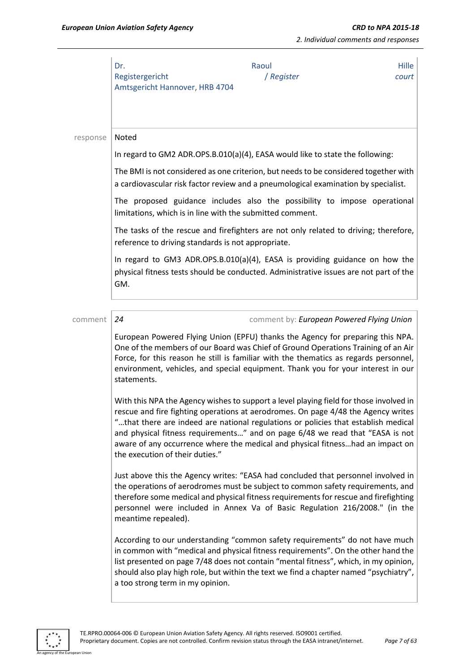|          | Dr.<br>Registergericht<br>Amtsgericht Hannover, HRB 4704  | Raoul<br>/ Register                                                                                                                                                                                                                                                                                                                                                                                                                  | Hille<br>court |
|----------|-----------------------------------------------------------|--------------------------------------------------------------------------------------------------------------------------------------------------------------------------------------------------------------------------------------------------------------------------------------------------------------------------------------------------------------------------------------------------------------------------------------|----------------|
| response | Noted                                                     |                                                                                                                                                                                                                                                                                                                                                                                                                                      |                |
|          |                                                           | In regard to GM2 ADR.OPS.B.010(a)(4), EASA would like to state the following:                                                                                                                                                                                                                                                                                                                                                        |                |
|          |                                                           | The BMI is not considered as one criterion, but needs to be considered together with<br>a cardiovascular risk factor review and a pneumological examination by specialist.                                                                                                                                                                                                                                                           |                |
|          | limitations, which is in line with the submitted comment. | The proposed guidance includes also the possibility to impose operational                                                                                                                                                                                                                                                                                                                                                            |                |
|          | reference to driving standards is not appropriate.        | The tasks of the rescue and firefighters are not only related to driving; therefore,                                                                                                                                                                                                                                                                                                                                                 |                |
|          | GM.                                                       | In regard to GM3 ADR.OPS.B.010(a)(4), EASA is providing guidance on how the<br>physical fitness tests should be conducted. Administrative issues are not part of the                                                                                                                                                                                                                                                                 |                |
| comment  | 24                                                        | comment by: European Powered Flying Union                                                                                                                                                                                                                                                                                                                                                                                            |                |
|          | statements.                                               | European Powered Flying Union (EPFU) thanks the Agency for preparing this NPA.<br>One of the members of our Board was Chief of Ground Operations Training of an Air<br>Force, for this reason he still is familiar with the thematics as regards personnel,<br>environment, vehicles, and special equipment. Thank you for your interest in our                                                                                      |                |
|          | the execution of their duties."                           | With this NPA the Agency wishes to support a level playing field for those involved in<br>rescue and fire fighting operations at aerodromes. On page 4/48 the Agency writes<br>"that there are indeed are national regulations or policies that establish medical<br>and physical fitness requirements" and on page 6/48 we read that "EASA is not<br>aware of any occurrence where the medical and physical fitnesshad an impact on |                |
|          | meantime repealed).                                       | Just above this the Agency writes: "EASA had concluded that personnel involved in<br>the operations of aerodromes must be subject to common safety requirements, and<br>therefore some medical and physical fitness requirements for rescue and firefighting<br>personnel were included in Annex Va of Basic Regulation 216/2008." (in the                                                                                           |                |
|          | a too strong term in my opinion.                          | According to our understanding "common safety requirements" do not have much<br>in common with "medical and physical fitness requirements". On the other hand the<br>list presented on page 7/48 does not contain "mental fitness", which, in my opinion,<br>should also play high role, but within the text we find a chapter named "psychiatry",                                                                                   |                |

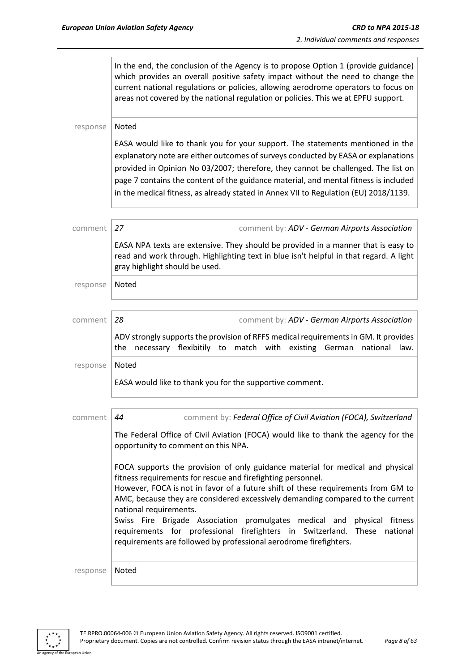In the end, the conclusion of the Agency is to propose Option 1 (provide guidance) which provides an overall positive safety impact without the need to change the current national regulations or policies, allowing aerodrome operators to focus on areas not covered by the national regulation or policies. This we at EPFU support. response | Noted EASA would like to thank you for your support. The statements mentioned in the explanatory note are either outcomes of surveys conducted by EASA or explanations provided in Opinion No 03/2007; therefore, they cannot be challenged. The list on page 7 contains the content of the guidance material, and mental fitness is included in the medical fitness, as already stated in Annex VII to Regulation (EU) 2018/1139. comment *27* comment by: *ADV - German Airports Association* EASA NPA texts are extensive. They should be provided in a manner that is easy to read and work through. Highlighting text in blue isn't helpful in that regard. A light gray highlight should be used. response | Noted comment *28* comment by: *ADV - German Airports Association* ADV strongly supports the provision of RFFS medical requirements in GM. It provides the necessary flexibitily to match with existing German national law. response | Noted EASA would like to thank you for the supportive comment. comment *44* comment by: *Federal Office of Civil Aviation (FOCA), Switzerland* The Federal Office of Civil Aviation (FOCA) would like to thank the agency for the opportunity to comment on this NPA. FOCA supports the provision of only guidance material for medical and physical fitness requirements for rescue and firefighting personnel. However, FOCA is not in favor of a future shift of these requirements from GM to AMC, because they are considered excessively demanding compared to the current national requirements. Swiss Fire Brigade Association promulgates medical and physical fitness requirements for professional firefighters in Switzerland. These national requirements are followed by professional aerodrome firefighters. response | Noted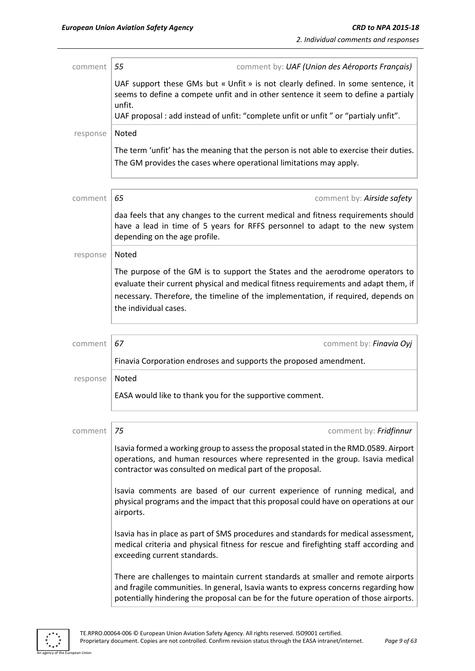| comment  | 55<br>comment by: UAF (Union des Aéroports Français)                                                                                                                                                                                                                               |
|----------|------------------------------------------------------------------------------------------------------------------------------------------------------------------------------------------------------------------------------------------------------------------------------------|
|          | UAF support these GMs but « Unfit » is not clearly defined. In some sentence, it<br>seems to define a compete unfit and in other sentence it seem to define a partialy<br>unfit.                                                                                                   |
|          | UAF proposal : add instead of unfit: "complete unfit or unfit" or "partialy unfit".                                                                                                                                                                                                |
| response | Noted                                                                                                                                                                                                                                                                              |
|          | The term 'unfit' has the meaning that the person is not able to exercise their duties.<br>The GM provides the cases where operational limitations may apply.                                                                                                                       |
| comment  | 65<br>comment by: Airside safety                                                                                                                                                                                                                                                   |
|          | daa feels that any changes to the current medical and fitness requirements should<br>have a lead in time of 5 years for RFFS personnel to adapt to the new system<br>depending on the age profile.                                                                                 |
| response | Noted                                                                                                                                                                                                                                                                              |
|          | The purpose of the GM is to support the States and the aerodrome operators to<br>evaluate their current physical and medical fitness requirements and adapt them, if<br>necessary. Therefore, the timeline of the implementation, if required, depends on<br>the individual cases. |
| comment  | 67<br>comment by: Finavia Oyj                                                                                                                                                                                                                                                      |
|          | Finavia Corporation endroses and supports the proposed amendment.                                                                                                                                                                                                                  |
| response | Noted                                                                                                                                                                                                                                                                              |
|          | EASA would like to thank you for the supportive comment.                                                                                                                                                                                                                           |
| comment  | 75<br>comment by: Fridfinnur                                                                                                                                                                                                                                                       |
|          | Isavia formed a working group to assess the proposal stated in the RMD.0589. Airport<br>operations, and human resources where represented in the group. Isavia medical<br>contractor was consulted on medical part of the proposal.                                                |
|          | Isavia comments are based of our current experience of running medical, and<br>physical programs and the impact that this proposal could have on operations at our<br>airports.                                                                                                    |
|          | Isavia has in place as part of SMS procedures and standards for medical assessment,<br>medical criteria and physical fitness for rescue and firefighting staff according and<br>exceeding current standards.                                                                       |
|          | There are challenges to maintain current standards at smaller and remote airports<br>and fragile communities. In general, Isavia wants to express concerns regarding how<br>potentially hindering the proposal can be for the future operation of those airports.                  |

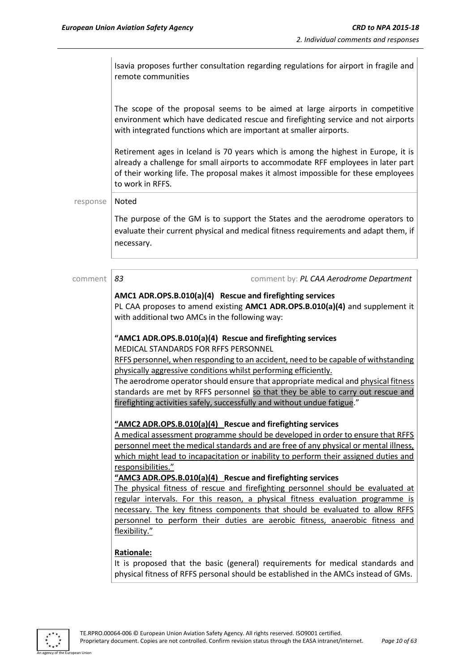Isavia proposes further consultation regarding regulations for airport in fragile and remote communities

The scope of the proposal seems to be aimed at large airports in competitive environment which have dedicated rescue and firefighting service and not airports with integrated functions which are important at smaller airports.

Retirement ages in Iceland is 70 years which is among the highest in Europe, it is already a challenge for small airports to accommodate RFF employees in later part of their working life. The proposal makes it almost impossible for these employees to work in RFFS.

response | Noted

The purpose of the GM is to support the States and the aerodrome operators to evaluate their current physical and medical fitness requirements and adapt them, if necessary.

comment *83* comment by: *PL CAA Aerodrome Department*

#### **AMC1 ADR.OPS.B.010(a)(4) Rescue and firefighting services**

PL CAA proposes to amend existing **AMC1 ADR.OPS.B.010(a)(4)** and supplement it with additional two AMCs in the following way:

#### **"AMC1 ADR.OPS.B.010(a)(4) Rescue and firefighting services**

MEDICAL STANDARDS FOR RFFS PERSONNEL

RFFS personnel, when responding to an accident, need to be capable of withstanding physically aggressive conditions whilst performing efficiently.

The aerodrome operator should ensure that appropriate medical and physical fitness standards are met by RFFS personnel so that they be able to carry out rescue and firefighting activities safely, successfully and without undue fatigue."

#### **"AMC2 ADR.OPS.B.010(a)(4) Rescue and firefighting services**

A medical assessment programme should be developed in order to ensure that RFFS personnel meet the medical standards and are free of any physical or mental illness, which might lead to incapacitation or inability to perform their assigned duties and responsibilities."

**"AMC3 ADR.OPS.B.010(a)(4) Rescue and firefighting services**

The physical fitness of rescue and firefighting personnel should be evaluated at regular intervals. For this reason, a physical fitness evaluation programme is necessary. The key fitness components that should be evaluated to allow RFFS personnel to perform their duties are aerobic fitness, anaerobic fitness and flexibility."

#### **Rationale:**

It is proposed that the basic (general) requirements for medical standards and physical fitness of RFFS personal should be established in the AMCs instead of GMs.

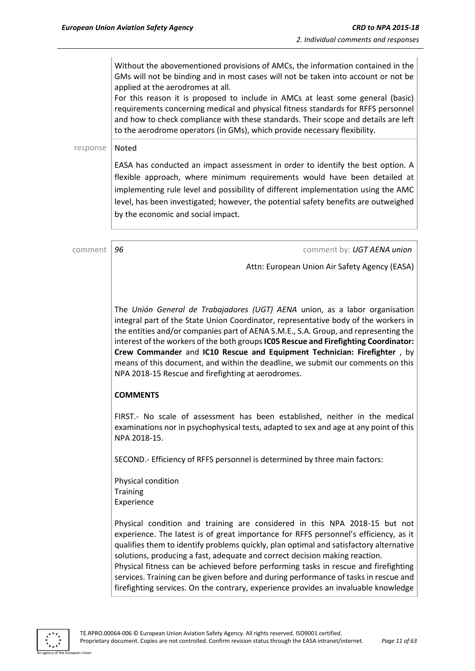Without the abovementioned provisions of AMCs, the information contained in the GMs will not be binding and in most cases will not be taken into account or not be applied at the aerodromes at all.

For this reason it is proposed to include in AMCs at least some general (basic) requirements concerning medical and physical fitness standards for RFFS personnel and how to check compliance with these standards. Their scope and details are left to the aerodrome operators (in GMs), which provide necessary flexibility.

#### response | Noted

EASA has conducted an impact assessment in order to identify the best option. A flexible approach, where minimum requirements would have been detailed at implementing rule level and possibility of different implementation using the AMC level, has been investigated; however, the potential safety benefits are outweighed by the economic and social impact.

comment *96* comment by: *UGT AENA union*

Attn: European Union Air Safety Agency (EASA)

The *Unión General de Trabajadores (UGT) AENA* union, as a labor organisation integral part of the State Union Coordinator, representative body of the workers in the entities and/or companies part of AENA S.M.E., S.A. Group, and representing the interest of the workers of the both groups **IC05 Rescue and Firefighting Coordinator: Crew Commander** and **IC10 Rescue and Equipment Technician: Firefighter** , by means of this document, and within the deadline, we submit our comments on this NPA 2018-15 Rescue and firefighting at aerodromes.

#### **COMMENTS**

FIRST.- No scale of assessment has been established, neither in the medical examinations nor in psychophysical tests, adapted to sex and age at any point of this NPA 2018-15.

SECOND.- Efficiency of RFFS personnel is determined by three main factors:

Physical condition **Training** Experience

Physical condition and training are considered in this NPA 2018-15 but not experience. The latest is of great importance for RFFS personnel's efficiency, as it qualifies them to identify problems quickly, plan optimal and satisfactory alternative solutions, producing a fast, adequate and correct decision making reaction.

Physical fitness can be achieved before performing tasks in rescue and firefighting services. Training can be given before and during performance of tasks in rescue and firefighting services. On the contrary, experience provides an invaluable knowledge

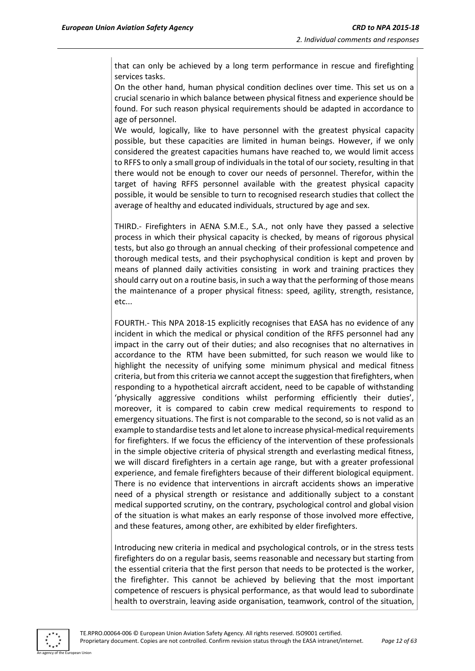that can only be achieved by a long term performance in rescue and firefighting services tasks.

On the other hand, human physical condition declines over time. This set us on a crucial scenario in which balance between physical fitness and experience should be found. For such reason physical requirements should be adapted in accordance to age of personnel.

We would, logically, like to have personnel with the greatest physical capacity possible, but these capacities are limited in human beings. However, if we only considered the greatest capacities humans have reached to, we would limit access to RFFS to only a small group of individuals in the total of our society, resulting in that there would not be enough to cover our needs of personnel. Therefor, within the target of having RFFS personnel available with the greatest physical capacity possible, it would be sensible to turn to recognised research studies that collect the average of healthy and educated individuals, structured by age and sex.

THIRD.- Firefighters in AENA S.M.E., S.A., not only have they passed a selective process in which their physical capacity is checked, by means of rigorous physical tests, but also go through an annual checking of their professional competence and thorough medical tests, and their psychophysical condition is kept and proven by means of planned daily activities consisting in work and training practices they should carry out on a routine basis, in such a way that the performing of those means the maintenance of a proper physical fitness: speed, agility, strength, resistance, etc...

FOURTH.- This NPA 2018-15 explicitly recognises that EASA has no evidence of any incident in which the medical or physical condition of the RFFS personnel had any impact in the carry out of their duties; and also recognises that no alternatives in accordance to the RTM have been submitted, for such reason we would like to highlight the necessity of unifying some minimum physical and medical fitness criteria, but from this criteria we cannot accept the suggestion that firefighters, when responding to a hypothetical aircraft accident, need to be capable of withstanding 'physically aggressive conditions whilst performing efficiently their duties', moreover, it is compared to cabin crew medical requirements to respond to emergency situations. The first is not comparable to the second, so is not valid as an example to standardise tests and let alone to increase physical-medical requirements for firefighters. If we focus the efficiency of the intervention of these professionals in the simple objective criteria of physical strength and everlasting medical fitness, we will discard firefighters in a certain age range, but with a greater professional experience, and female firefighters because of their different biological equipment. There is no evidence that interventions in aircraft accidents shows an imperative need of a physical strength or resistance and additionally subject to a constant medical supported scrutiny, on the contrary, psychological control and global vision of the situation is what makes an early response of those involved more effective, and these features, among other, are exhibited by elder firefighters.

Introducing new criteria in medical and psychological controls, or in the stress tests firefighters do on a regular basis, seems reasonable and necessary but starting from the essential criteria that the first person that needs to be protected is the worker, the firefighter. This cannot be achieved by believing that the most important competence of rescuers is physical performance, as that would lead to subordinate health to overstrain, leaving aside organisation, teamwork, control of the situation,

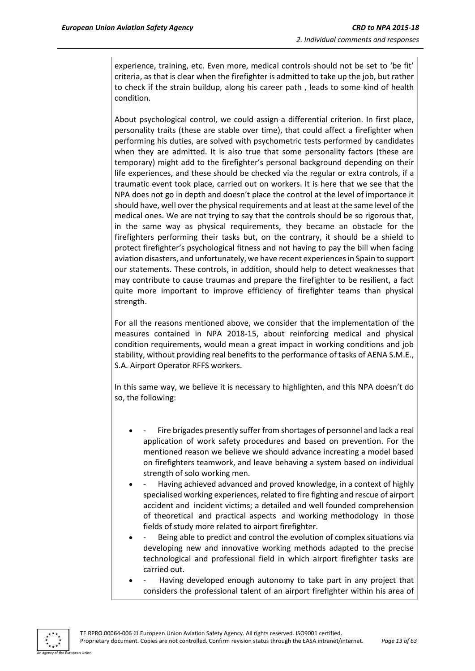experience, training, etc. Even more, medical controls should not be set to 'be fit' criteria, as that is clear when the firefighter is admitted to take up the job, but rather to check if the strain buildup, along his career path , leads to some kind of health condition.

About psychological control, we could assign a differential criterion. In first place, personality traits (these are stable over time), that could affect a firefighter when performing his duties, are solved with psychometric tests performed by candidates when they are admitted. It is also true that some personality factors (these are temporary) might add to the firefighter's personal background depending on their life experiences, and these should be checked via the regular or extra controls, if a traumatic event took place, carried out on workers. It is here that we see that the NPA does not go in depth and doesn't place the control at the level of importance it should have, well over the physical requirements and at least at the same level of the medical ones. We are not trying to say that the controls should be so rigorous that, in the same way as physical requirements, they became an obstacle for the firefighters performing their tasks but, on the contrary, it should be a shield to protect firefighter's psychological fitness and not having to pay the bill when facing aviation disasters, and unfortunately, we have recent experiences in Spain to support our statements. These controls, in addition, should help to detect weaknesses that may contribute to cause traumas and prepare the firefighter to be resilient, a fact quite more important to improve efficiency of firefighter teams than physical strength.

For all the reasons mentioned above, we consider that the implementation of the measures contained in NPA 2018-15, about reinforcing medical and physical condition requirements, would mean a great impact in working conditions and job stability, without providing real benefits to the performance of tasks of AENA S.M.E., S.A. Airport Operator RFFS workers.

In this same way, we believe it is necessary to highlighten, and this NPA doesn't do so, the following:

- Fire brigades presently suffer from shortages of personnel and lack a real application of work safety procedures and based on prevention. For the mentioned reason we believe we should advance increating a model based on firefighters teamwork, and leave behaving a system based on individual strength of solo working men.
- Having achieved advanced and proved knowledge, in a context of highly specialised working experiences, related to fire fighting and rescue of airport accident and incident victims; a detailed and well founded comprehension of theoretical and practical aspects and working methodology in those fields of study more related to airport firefighter.
- Being able to predict and control the evolution of complex situations via developing new and innovative working methods adapted to the precise technological and professional field in which airport firefighter tasks are carried out.
- Having developed enough autonomy to take part in any project that considers the professional talent of an airport firefighter within his area of

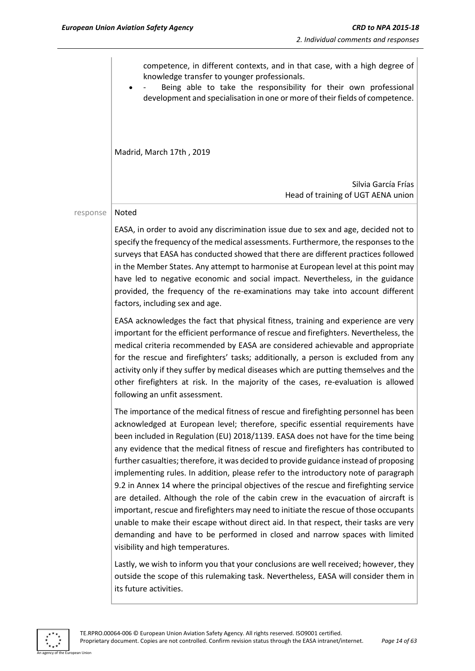

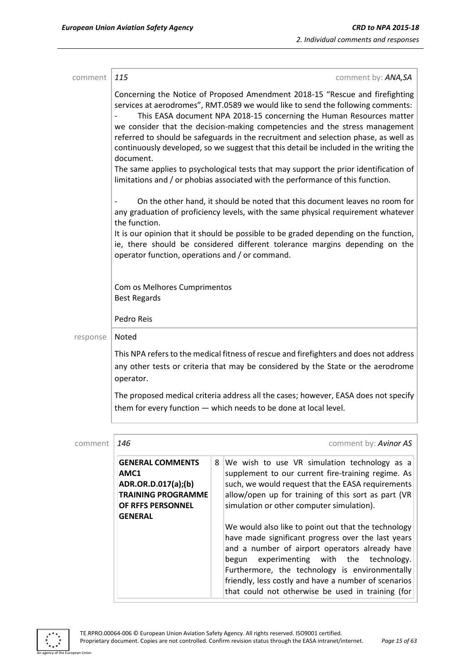| comment  | 115                                                                                                                                                                                                                                                                                                                                                                                                                                                                                                                                                                                                                                                                                           |   | comment by: ANA,SA                                                                                                                                                                                                                                                                                                                                                                 |  |
|----------|-----------------------------------------------------------------------------------------------------------------------------------------------------------------------------------------------------------------------------------------------------------------------------------------------------------------------------------------------------------------------------------------------------------------------------------------------------------------------------------------------------------------------------------------------------------------------------------------------------------------------------------------------------------------------------------------------|---|------------------------------------------------------------------------------------------------------------------------------------------------------------------------------------------------------------------------------------------------------------------------------------------------------------------------------------------------------------------------------------|--|
|          | Concerning the Notice of Proposed Amendment 2018-15 "Rescue and firefighting<br>services at aerodromes", RMT.0589 we would like to send the following comments:<br>This EASA document NPA 2018-15 concerning the Human Resources matter<br>we consider that the decision-making competencies and the stress management<br>referred to should be safeguards in the recruitment and selection phase, as well as<br>continuously developed, so we suggest that this detail be included in the writing the<br>document.<br>The same applies to psychological tests that may support the prior identification of<br>limitations and / or phobias associated with the performance of this function. |   |                                                                                                                                                                                                                                                                                                                                                                                    |  |
|          | On the other hand, it should be noted that this document leaves no room for<br>any graduation of proficiency levels, with the same physical requirement whatever<br>the function.<br>It is our opinion that it should be possible to be graded depending on the function,<br>ie, there should be considered different tolerance margins depending on the                                                                                                                                                                                                                                                                                                                                      |   |                                                                                                                                                                                                                                                                                                                                                                                    |  |
|          | operator function, operations and / or command.                                                                                                                                                                                                                                                                                                                                                                                                                                                                                                                                                                                                                                               |   |                                                                                                                                                                                                                                                                                                                                                                                    |  |
|          | Com os Melhores Cumprimentos<br><b>Best Regards</b>                                                                                                                                                                                                                                                                                                                                                                                                                                                                                                                                                                                                                                           |   |                                                                                                                                                                                                                                                                                                                                                                                    |  |
|          | Pedro Reis                                                                                                                                                                                                                                                                                                                                                                                                                                                                                                                                                                                                                                                                                    |   |                                                                                                                                                                                                                                                                                                                                                                                    |  |
| response | Noted                                                                                                                                                                                                                                                                                                                                                                                                                                                                                                                                                                                                                                                                                         |   |                                                                                                                                                                                                                                                                                                                                                                                    |  |
|          | This NPA refers to the medical fitness of rescue and firefighters and does not address<br>any other tests or criteria that may be considered by the State or the aerodrome<br>operator.                                                                                                                                                                                                                                                                                                                                                                                                                                                                                                       |   |                                                                                                                                                                                                                                                                                                                                                                                    |  |
|          |                                                                                                                                                                                                                                                                                                                                                                                                                                                                                                                                                                                                                                                                                               |   | The proposed medical criteria address all the cases; however, EASA does not specify<br>them for every function $-$ which needs to be done at local level.                                                                                                                                                                                                                          |  |
|          |                                                                                                                                                                                                                                                                                                                                                                                                                                                                                                                                                                                                                                                                                               |   |                                                                                                                                                                                                                                                                                                                                                                                    |  |
| comment  | 146                                                                                                                                                                                                                                                                                                                                                                                                                                                                                                                                                                                                                                                                                           |   | comment by: Avinor AS                                                                                                                                                                                                                                                                                                                                                              |  |
|          | <b>GENERAL COMMENTS</b><br>AMC1                                                                                                                                                                                                                                                                                                                                                                                                                                                                                                                                                                                                                                                               | 8 | We wish to use VR simulation technology as a<br>supplement to our current fire-training regime. As                                                                                                                                                                                                                                                                                 |  |
|          | ADR.OR.D.017(a);(b)                                                                                                                                                                                                                                                                                                                                                                                                                                                                                                                                                                                                                                                                           |   | such, we would request that the EASA requirements                                                                                                                                                                                                                                                                                                                                  |  |
|          | <b>TRAINING PROGRAMME</b><br>OF RFFS PERSONNEL                                                                                                                                                                                                                                                                                                                                                                                                                                                                                                                                                                                                                                                |   | allow/open up for training of this sort as part (VR                                                                                                                                                                                                                                                                                                                                |  |
|          | <b>GENERAL</b>                                                                                                                                                                                                                                                                                                                                                                                                                                                                                                                                                                                                                                                                                |   | simulation or other computer simulation).                                                                                                                                                                                                                                                                                                                                          |  |
|          |                                                                                                                                                                                                                                                                                                                                                                                                                                                                                                                                                                                                                                                                                               |   | We would also like to point out that the technology<br>have made significant progress over the last years<br>and a number of airport operators already have<br>experimenting<br>with<br>the<br>technology.<br>begun<br>Furthermore, the technology is environmentally<br>friendly, less costly and have a number of scenarios<br>that could not otherwise be used in training (for |  |

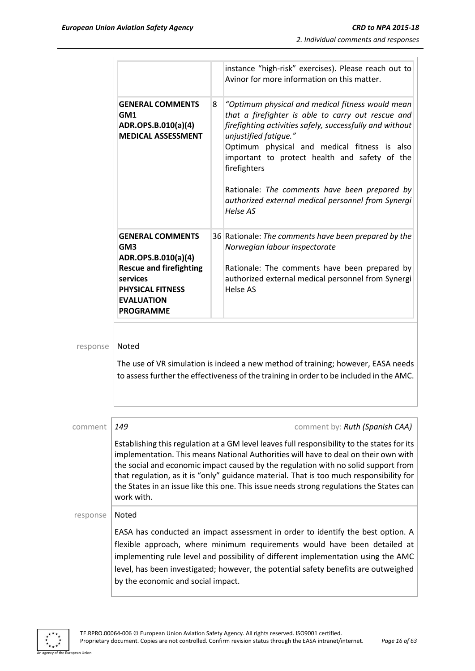|          |                                                                                                                                                                                     |   | instance "high-risk" exercises). Please reach out to<br>Avinor for more information on this matter.                                                                                                                                                                                                                                                                                                                                                             |
|----------|-------------------------------------------------------------------------------------------------------------------------------------------------------------------------------------|---|-----------------------------------------------------------------------------------------------------------------------------------------------------------------------------------------------------------------------------------------------------------------------------------------------------------------------------------------------------------------------------------------------------------------------------------------------------------------|
|          | <b>GENERAL COMMENTS</b><br>GM1<br>ADR.OPS.B.010(a)(4)<br><b>MEDICAL ASSESSMENT</b>                                                                                                  | 8 | "Optimum physical and medical fitness would mean<br>that a firefighter is able to carry out rescue and<br>firefighting activities safely, successfully and without<br>unjustified fatique."<br>Optimum physical and medical fitness is also<br>important to protect health and safety of the<br>firefighters<br>Rationale: The comments have been prepared by<br>authorized external medical personnel from Synergi<br>Helse AS                                 |
|          | <b>GENERAL COMMENTS</b><br>GM <sub>3</sub><br>ADR.OPS.B.010(a)(4)<br><b>Rescue and firefighting</b><br>services<br><b>PHYSICAL FITNESS</b><br><b>EVALUATION</b><br><b>PROGRAMME</b> |   | 36 Rationale: The comments have been prepared by the<br>Norwegian labour inspectorate<br>Rationale: The comments have been prepared by<br>authorized external medical personnel from Synergi<br>Helse AS                                                                                                                                                                                                                                                        |
| response | Noted                                                                                                                                                                               |   | The use of VR simulation is indeed a new method of training; however, EASA needs<br>to assess further the effectiveness of the training in order to be included in the AMC.                                                                                                                                                                                                                                                                                     |
| comment  | 149                                                                                                                                                                                 |   | comment by: Ruth (Spanish CAA)                                                                                                                                                                                                                                                                                                                                                                                                                                  |
|          | work with.                                                                                                                                                                          |   | Establishing this regulation at a GM level leaves full responsibility to the states for its<br>implementation. This means National Authorities will have to deal on their own with<br>the social and economic impact caused by the regulation with no solid support from<br>that regulation, as it is "only" guidance material. That is too much responsibility for<br>the States in an issue like this one. This issue needs strong regulations the States can |
| response | Noted                                                                                                                                                                               |   |                                                                                                                                                                                                                                                                                                                                                                                                                                                                 |
|          | by the economic and social impact.                                                                                                                                                  |   | EASA has conducted an impact assessment in order to identify the best option. A<br>flexible approach, where minimum requirements would have been detailed at<br>implementing rule level and possibility of different implementation using the AMC<br>level, has been investigated; however, the potential safety benefits are outweighed                                                                                                                        |

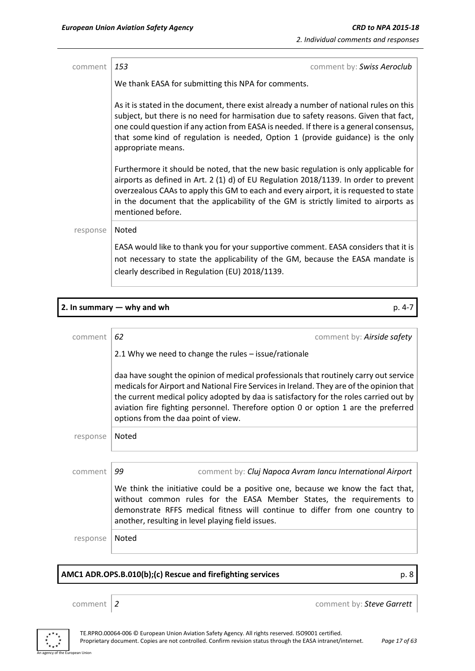| comment  | 153<br>comment by: Swiss Aeroclub                                                                                                                                                                                                                                                                                                                                                   |
|----------|-------------------------------------------------------------------------------------------------------------------------------------------------------------------------------------------------------------------------------------------------------------------------------------------------------------------------------------------------------------------------------------|
|          | We thank EASA for submitting this NPA for comments.                                                                                                                                                                                                                                                                                                                                 |
|          | As it is stated in the document, there exist already a number of national rules on this<br>subject, but there is no need for harmisation due to safety reasons. Given that fact,<br>one could question if any action from EASA is needed. If there is a general consensus,<br>that some kind of regulation is needed, Option 1 (provide guidance) is the only<br>appropriate means. |
|          | Furthermore it should be noted, that the new basic regulation is only applicable for<br>airports as defined in Art. 2 (1) d) of EU Regulation 2018/1139. In order to prevent<br>overzealous CAAs to apply this GM to each and every airport, it is requested to state<br>in the document that the applicability of the GM is strictly limited to airports as<br>mentioned before.   |
| response | Noted                                                                                                                                                                                                                                                                                                                                                                               |
|          | EASA would like to thank you for your supportive comment. EASA considers that it is<br>not necessary to state the applicability of the GM, because the EASA mandate is<br>clearly described in Regulation (EU) 2018/1139.                                                                                                                                                           |

|          | 2. In summary $-$ why and wh<br>p. 4-7                                                                                                                                                                                                                                                                                                                                                                   |
|----------|----------------------------------------------------------------------------------------------------------------------------------------------------------------------------------------------------------------------------------------------------------------------------------------------------------------------------------------------------------------------------------------------------------|
|          |                                                                                                                                                                                                                                                                                                                                                                                                          |
| comment  | 62<br>comment by: Airside safety                                                                                                                                                                                                                                                                                                                                                                         |
|          | 2.1 Why we need to change the rules - issue/rationale                                                                                                                                                                                                                                                                                                                                                    |
|          | daa have sought the opinion of medical professionals that routinely carry out service<br>medicals for Airport and National Fire Services in Ireland. They are of the opinion that<br>the current medical policy adopted by daa is satisfactory for the roles carried out by<br>aviation fire fighting personnel. Therefore option 0 or option 1 are the preferred<br>options from the daa point of view. |
| response | Noted                                                                                                                                                                                                                                                                                                                                                                                                    |
|          |                                                                                                                                                                                                                                                                                                                                                                                                          |
| comment  | 99<br>comment by: Cluj Napoca Avram Iancu International Airport                                                                                                                                                                                                                                                                                                                                          |
|          | We think the initiative could be a positive one, because we know the fact that,<br>without common rules for the EASA Member States, the requirements to<br>demonstrate RFFS medical fitness will continue to differ from one country to<br>another, resulting in level playing field issues.                                                                                                             |
| response | Noted                                                                                                                                                                                                                                                                                                                                                                                                    |
|          |                                                                                                                                                                                                                                                                                                                                                                                                          |

# **AMC1 ADR.OPS.B.010(b);(c) Rescue and firefighting services** p. 8

an Unior

comment *2* comment by: *Steve Garrett*

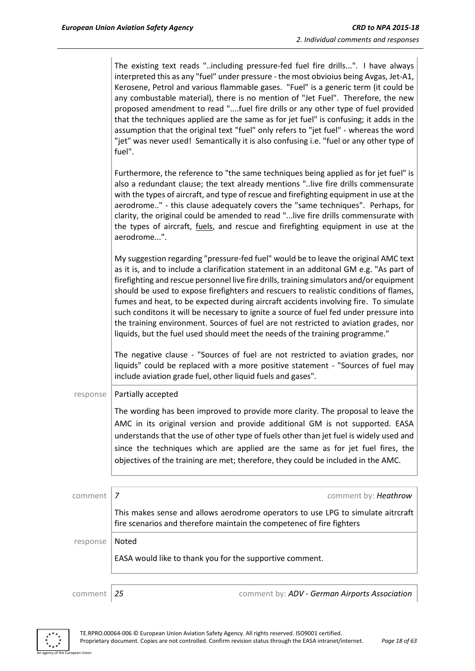|          | The existing text reads "including pressure-fed fuel fire drills". I have always<br>interpreted this as any "fuel" under pressure - the most obvioius being Avgas, Jet-A1,                                                                                                                                                                                                                                                                                                                                                                                                                                                                                                                                                   |
|----------|------------------------------------------------------------------------------------------------------------------------------------------------------------------------------------------------------------------------------------------------------------------------------------------------------------------------------------------------------------------------------------------------------------------------------------------------------------------------------------------------------------------------------------------------------------------------------------------------------------------------------------------------------------------------------------------------------------------------------|
|          | Kerosene, Petrol and various flammable gases. "Fuel" is a generic term (it could be<br>any combustable material), there is no mention of "Jet Fuel". Therefore, the new<br>proposed amendment to read "fuel fire drills or any other type of fuel provided<br>that the techniques applied are the same as for jet fuel" is confusing; it adds in the<br>assumption that the original text "fuel" only refers to "jet fuel" - whereas the word<br>"jet" was never used! Semantically it is also confusing i.e. "fuel or any other type of<br>fuel".                                                                                                                                                                           |
|          | Furthermore, the reference to "the same techniques being applied as for jet fuel" is<br>also a redundant clause; the text already mentions "live fire drills commensurate<br>with the types of aircraft, and type of rescue and firefighting equipment in use at the<br>aerodrome" - this clause adequately covers the "same techniques". Perhaps, for<br>clarity, the original could be amended to read "live fire drills commensurate with<br>the types of aircraft, <i>fuels</i> , and rescue and firefighting equipment in use at the<br>aerodrome".                                                                                                                                                                     |
|          | My suggestion regarding "pressure-fed fuel" would be to leave the original AMC text<br>as it is, and to include a clarification statement in an additonal GM e.g. "As part of<br>firefighting and rescue personnel live fire drills, training simulators and/or equipment<br>should be used to expose firefighters and rescuers to realistic conditions of flames,<br>fumes and heat, to be expected during aircraft accidents involving fire. To simulate<br>such conditons it will be necessary to ignite a source of fuel fed under pressure into<br>the training environment. Sources of fuel are not restricted to aviation grades, nor<br>liquids, but the fuel used should meet the needs of the training programme." |
|          | The negative clause - "Sources of fuel are not restricted to aviation grades, nor<br>liquids" could be replaced with a more positive statement - "Sources of fuel may<br>include aviation grade fuel, other liquid fuels and gases".                                                                                                                                                                                                                                                                                                                                                                                                                                                                                         |
| response | Partially accepted                                                                                                                                                                                                                                                                                                                                                                                                                                                                                                                                                                                                                                                                                                           |
|          | The wording has been improved to provide more clarity. The proposal to leave the<br>AMC in its original version and provide additional GM is not supported. EASA<br>understands that the use of other type of fuels other than jet fuel is widely used and<br>since the techniques which are applied are the same as for jet fuel fires, the<br>objectives of the training are met; therefore, they could be included in the AMC.                                                                                                                                                                                                                                                                                            |
|          |                                                                                                                                                                                                                                                                                                                                                                                                                                                                                                                                                                                                                                                                                                                              |
| comment  | comment by: Heathrow<br>7                                                                                                                                                                                                                                                                                                                                                                                                                                                                                                                                                                                                                                                                                                    |
|          | This makes sense and allows aerodrome operators to use LPG to simulate aitrcraft<br>fire scenarios and therefore maintain the competenec of fire fighters                                                                                                                                                                                                                                                                                                                                                                                                                                                                                                                                                                    |
| response | Noted                                                                                                                                                                                                                                                                                                                                                                                                                                                                                                                                                                                                                                                                                                                        |
|          | EASA would like to thank you for the supportive comment.                                                                                                                                                                                                                                                                                                                                                                                                                                                                                                                                                                                                                                                                     |

an Union

comment *25* comment by: *ADV - German Airports Association*

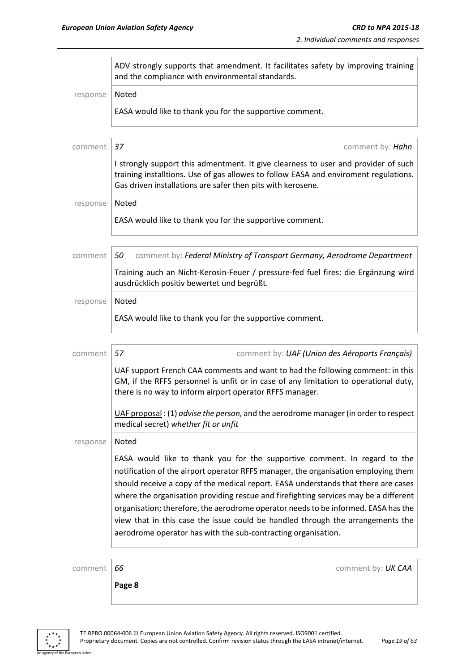|          | ADV strongly supports that amendment. It facilitates safety by improving training<br>and the compliance with environmental standards.                                                                                                                                                                                                                                                                                                                                                                                                                                                  |  |  |  |  |  |
|----------|----------------------------------------------------------------------------------------------------------------------------------------------------------------------------------------------------------------------------------------------------------------------------------------------------------------------------------------------------------------------------------------------------------------------------------------------------------------------------------------------------------------------------------------------------------------------------------------|--|--|--|--|--|
| response | Noted                                                                                                                                                                                                                                                                                                                                                                                                                                                                                                                                                                                  |  |  |  |  |  |
|          | EASA would like to thank you for the supportive comment.                                                                                                                                                                                                                                                                                                                                                                                                                                                                                                                               |  |  |  |  |  |
| comment  | 37<br>comment by: Hahn                                                                                                                                                                                                                                                                                                                                                                                                                                                                                                                                                                 |  |  |  |  |  |
|          | I strongly support this admentment. It give clearness to user and provider of such<br>training installtions. Use of gas allowes to follow EASA and enviroment regulations.<br>Gas driven installations are safer then pits with kerosene.                                                                                                                                                                                                                                                                                                                                              |  |  |  |  |  |
| response | Noted                                                                                                                                                                                                                                                                                                                                                                                                                                                                                                                                                                                  |  |  |  |  |  |
|          | EASA would like to thank you for the supportive comment.                                                                                                                                                                                                                                                                                                                                                                                                                                                                                                                               |  |  |  |  |  |
| comment  | comment by: Federal Ministry of Transport Germany, Aerodrome Department<br>50                                                                                                                                                                                                                                                                                                                                                                                                                                                                                                          |  |  |  |  |  |
|          | Training auch an Nicht-Kerosin-Feuer / pressure-fed fuel fires: die Ergänzung wird<br>ausdrücklich positiv bewertet und begrüßt.                                                                                                                                                                                                                                                                                                                                                                                                                                                       |  |  |  |  |  |
| response | Noted                                                                                                                                                                                                                                                                                                                                                                                                                                                                                                                                                                                  |  |  |  |  |  |
|          | EASA would like to thank you for the supportive comment.                                                                                                                                                                                                                                                                                                                                                                                                                                                                                                                               |  |  |  |  |  |
| comment  | 57<br>comment by: UAF (Union des Aéroports Français)                                                                                                                                                                                                                                                                                                                                                                                                                                                                                                                                   |  |  |  |  |  |
|          | UAF support French CAA comments and want to had the following comment: in this<br>GM, if the RFFS personnel is unfit or in case of any limitation to operational duty,<br>there is no way to inform airport operator RFFS manager.                                                                                                                                                                                                                                                                                                                                                     |  |  |  |  |  |
|          | UAF proposal: (1) advise the person, and the aerodrome manager (in order to respect<br>medical secret) whether fit or unfit                                                                                                                                                                                                                                                                                                                                                                                                                                                            |  |  |  |  |  |
| response | Noted                                                                                                                                                                                                                                                                                                                                                                                                                                                                                                                                                                                  |  |  |  |  |  |
|          | EASA would like to thank you for the supportive comment. In regard to the<br>notification of the airport operator RFFS manager, the organisation employing them<br>should receive a copy of the medical report. EASA understands that there are cases<br>where the organisation providing rescue and firefighting services may be a different<br>organisation; therefore, the aerodrome operator needs to be informed. EASA has the<br>view that in this case the issue could be handled through the arrangements the<br>aerodrome operator has with the sub-contracting organisation. |  |  |  |  |  |
| comment  | 66<br>comment by: UK CAA                                                                                                                                                                                                                                                                                                                                                                                                                                                                                                                                                               |  |  |  |  |  |
|          | Page 8                                                                                                                                                                                                                                                                                                                                                                                                                                                                                                                                                                                 |  |  |  |  |  |

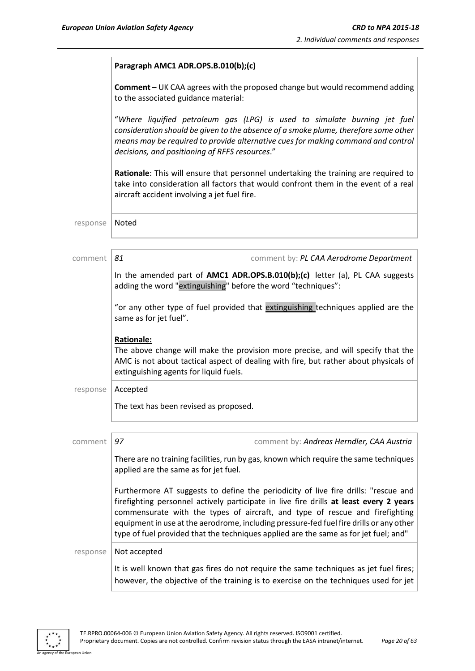|          | Paragraph AMC1 ADR.OPS.B.010(b);(c)                                                                                                                                                                                                                                                                                                                                                                                                             |
|----------|-------------------------------------------------------------------------------------------------------------------------------------------------------------------------------------------------------------------------------------------------------------------------------------------------------------------------------------------------------------------------------------------------------------------------------------------------|
|          | <b>Comment</b> - UK CAA agrees with the proposed change but would recommend adding<br>to the associated guidance material:                                                                                                                                                                                                                                                                                                                      |
|          | "Where liquified petroleum gas (LPG) is used to simulate burning jet fuel<br>consideration should be given to the absence of a smoke plume, therefore some other<br>means may be required to provide alternative cues for making command and control<br>decisions, and positioning of RFFS resources."                                                                                                                                          |
|          | Rationale: This will ensure that personnel undertaking the training are required to<br>take into consideration all factors that would confront them in the event of a real<br>aircraft accident involving a jet fuel fire.                                                                                                                                                                                                                      |
| response | Noted                                                                                                                                                                                                                                                                                                                                                                                                                                           |
| comment  | 81<br>comment by: PL CAA Aerodrome Department                                                                                                                                                                                                                                                                                                                                                                                                   |
|          | In the amended part of AMC1 ADR.OPS.B.010(b);(c) letter (a), PL CAA suggests<br>adding the word "extinguishing" before the word "techniques":                                                                                                                                                                                                                                                                                                   |
|          | "or any other type of fuel provided that extinguishing techniques applied are the<br>same as for jet fuel".                                                                                                                                                                                                                                                                                                                                     |
|          | <b>Rationale:</b><br>The above change will make the provision more precise, and will specify that the<br>AMC is not about tactical aspect of dealing with fire, but rather about physicals of<br>extinguishing agents for liquid fuels.                                                                                                                                                                                                         |
| response | Accepted                                                                                                                                                                                                                                                                                                                                                                                                                                        |
|          | The text has been revised as proposed.                                                                                                                                                                                                                                                                                                                                                                                                          |
| comment  | 97<br>comment by: Andreas Herndler, CAA Austria                                                                                                                                                                                                                                                                                                                                                                                                 |
|          | There are no training facilities, run by gas, known which require the same techniques<br>applied are the same as for jet fuel.                                                                                                                                                                                                                                                                                                                  |
|          | Furthermore AT suggests to define the periodicity of live fire drills: "rescue and<br>firefighting personnel actively participate in live fire drills at least every 2 years<br>commensurate with the types of aircraft, and type of rescue and firefighting<br>equipment in use at the aerodrome, including pressure-fed fuel fire drills or any other<br>type of fuel provided that the techniques applied are the same as for jet fuel; and" |
| response | Not accepted                                                                                                                                                                                                                                                                                                                                                                                                                                    |
|          | It is well known that gas fires do not require the same techniques as jet fuel fires;<br>however, the objective of the training is to exercise on the techniques used for jet                                                                                                                                                                                                                                                                   |

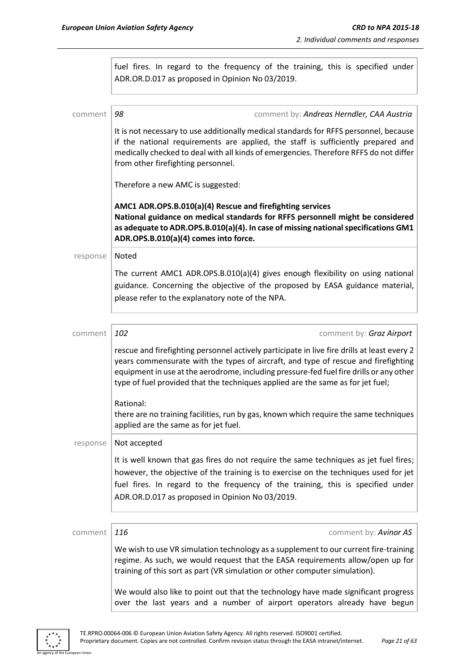|          | fuel fires. In regard to the frequency of the training, this is specified under<br>ADR.OR.D.017 as proposed in Opinion No 03/2019.                                                                                                                                                                                                                              |
|----------|-----------------------------------------------------------------------------------------------------------------------------------------------------------------------------------------------------------------------------------------------------------------------------------------------------------------------------------------------------------------|
| comment  | 98<br>comment by: Andreas Herndler, CAA Austria                                                                                                                                                                                                                                                                                                                 |
|          | It is not necessary to use additionally medical standards for RFFS personnel, because<br>if the national requirements are applied, the staff is sufficiently prepared and<br>medically checked to deal with all kinds of emergencies. Therefore RFFS do not differ<br>from other firefighting personnel.                                                        |
|          | Therefore a new AMC is suggested:                                                                                                                                                                                                                                                                                                                               |
|          | AMC1 ADR.OPS.B.010(a)(4) Rescue and firefighting services<br>National guidance on medical standards for RFFS personnell might be considered<br>as adequate to ADR.OPS.B.010(a)(4). In case of missing national specifications GM1<br>ADR.OPS.B.010(a)(4) comes into force.                                                                                      |
| response | Noted                                                                                                                                                                                                                                                                                                                                                           |
|          | The current AMC1 ADR.OPS.B.010(a)(4) gives enough flexibility on using national<br>guidance. Concerning the objective of the proposed by EASA guidance material,<br>please refer to the explanatory note of the NPA.                                                                                                                                            |
| comment  | 102<br>comment by: Graz Airport                                                                                                                                                                                                                                                                                                                                 |
|          | rescue and firefighting personnel actively participate in live fire drills at least every 2<br>years commensurate with the types of aircraft, and type of rescue and firefighting<br>equipment in use at the aerodrome, including pressure-fed fuel fire drills or any other<br>type of fuel provided that the techniques applied are the same as for jet fuel; |
|          | Rational:<br>there are no training facilities, run by gas, known which require the same techniques<br>applied are the same as for jet fuel.                                                                                                                                                                                                                     |
| response | Not accepted                                                                                                                                                                                                                                                                                                                                                    |
|          | It is well known that gas fires do not require the same techniques as jet fuel fires;<br>however, the objective of the training is to exercise on the techniques used for jet<br>fuel fires. In regard to the frequency of the training, this is specified under<br>ADR.OR.D.017 as proposed in Opinion No 03/2019.                                             |
|          |                                                                                                                                                                                                                                                                                                                                                                 |
| comment  | 116<br>comment by: Avinor AS<br>We wish to use VR simulation technology as a supplement to our current fire-training<br>regime. As such, we would request that the EASA requirements allow/open up for<br>training of this sort as part (VR simulation or other computer simulation).                                                                           |
|          | We would also like to point out that the technology have made significant progress<br>over the last years and a number of airport operators already have begun                                                                                                                                                                                                  |

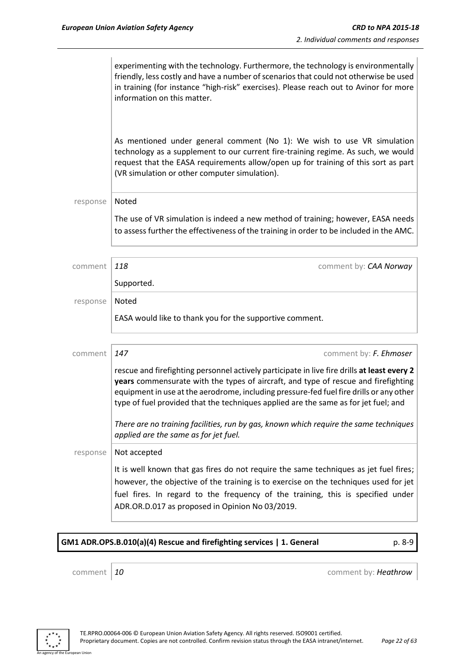|          | experimenting with the technology. Furthermore, the technology is environmentally<br>friendly, less costly and have a number of scenarios that could not otherwise be used<br>in training (for instance "high-risk" exercises). Please reach out to Avinor for more<br>information on this matter.                                                                  |
|----------|---------------------------------------------------------------------------------------------------------------------------------------------------------------------------------------------------------------------------------------------------------------------------------------------------------------------------------------------------------------------|
|          | As mentioned under general comment (No 1): We wish to use VR simulation<br>technology as a supplement to our current fire-training regime. As such, we would<br>request that the EASA requirements allow/open up for training of this sort as part<br>(VR simulation or other computer simulation).                                                                 |
| response | Noted                                                                                                                                                                                                                                                                                                                                                               |
|          | The use of VR simulation is indeed a new method of training; however, EASA needs<br>to assess further the effectiveness of the training in order to be included in the AMC.                                                                                                                                                                                         |
| comment  | 118<br>comment by: CAA Norway                                                                                                                                                                                                                                                                                                                                       |
|          | Supported.                                                                                                                                                                                                                                                                                                                                                          |
| response | Noted<br>EASA would like to thank you for the supportive comment.                                                                                                                                                                                                                                                                                                   |
| comment  | 147<br>comment by: F. Ehmoser                                                                                                                                                                                                                                                                                                                                       |
|          | rescue and firefighting personnel actively participate in live fire drills at least every 2<br>years commensurate with the types of aircraft, and type of rescue and firefighting<br>equipment in use at the aerodrome, including pressure-fed fuel fire drills or any other<br>type of fuel provided that the techniques applied are the same as for jet fuel; and |
|          | There are no training facilities, run by gas, known which require the same techniques<br>applied are the same as for jet fuel.                                                                                                                                                                                                                                      |
| response | Not accepted                                                                                                                                                                                                                                                                                                                                                        |
|          | It is well known that gas fires do not require the same techniques as jet fuel fires;<br>however, the objective of the training is to exercise on the techniques used for jet<br>fuel fires. In regard to the frequency of the training, this is specified under<br>ADR.OR.D.017 as proposed in Opinion No 03/2019.                                                 |

**GM1 ADR.OPS.B.010(a)(4) Rescue and firefighting services | 1. General** p. 8-9 p. 8-9

an Union

comment **10** comment **10** 

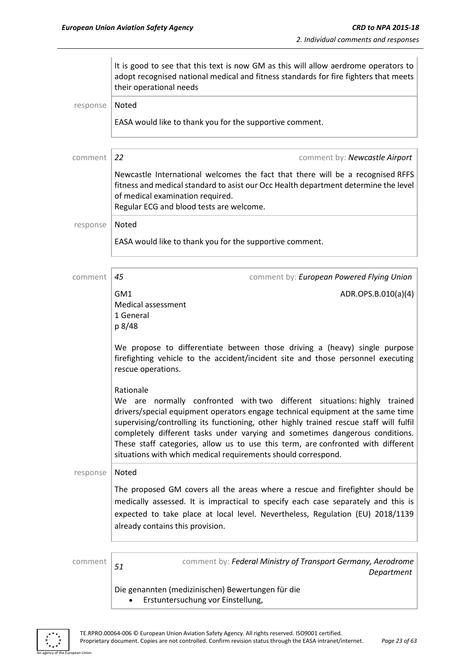|          | It is good to see that this text is now GM as this will allow aerdrome operators to<br>adopt recognised national medical and fitness standards for fire fighters that meets<br>their operational needs                                                                                                                                                                                                                                                                                                  |
|----------|---------------------------------------------------------------------------------------------------------------------------------------------------------------------------------------------------------------------------------------------------------------------------------------------------------------------------------------------------------------------------------------------------------------------------------------------------------------------------------------------------------|
| response | Noted                                                                                                                                                                                                                                                                                                                                                                                                                                                                                                   |
|          | EASA would like to thank you for the supportive comment.                                                                                                                                                                                                                                                                                                                                                                                                                                                |
| comment  | 22<br>comment by: Newcastle Airport                                                                                                                                                                                                                                                                                                                                                                                                                                                                     |
|          | Newcastle International welcomes the fact that there will be a recognised RFFS<br>fitness and medical standard to asist our Occ Health department determine the level<br>of medical examination required.<br>Regular ECG and blood tests are welcome.                                                                                                                                                                                                                                                   |
| response | Noted                                                                                                                                                                                                                                                                                                                                                                                                                                                                                                   |
|          | EASA would like to thank you for the supportive comment.                                                                                                                                                                                                                                                                                                                                                                                                                                                |
| comment  | 45<br>comment by: European Powered Flying Union                                                                                                                                                                                                                                                                                                                                                                                                                                                         |
|          | GM1<br>ADR.OPS.B.010(a)(4)<br>Medical assessment<br>1 General<br>p 8/48                                                                                                                                                                                                                                                                                                                                                                                                                                 |
|          | We propose to differentiate between those driving a (heavy) single purpose<br>firefighting vehicle to the accident/incident site and those personnel executing<br>rescue operations.                                                                                                                                                                                                                                                                                                                    |
|          | Rationale<br>We are normally confronted with two different situations: highly trained<br>drivers/special equipment operators engage technical equipment at the same time<br>supervising/controlling its functioning, other highly trained rescue staff will fulfil<br>completely different tasks under varying and sometimes dangerous conditions.<br>These staff categories, allow us to use this term, are confronted with different<br>situations with which medical requirements should correspond. |
| response | <b>Noted</b>                                                                                                                                                                                                                                                                                                                                                                                                                                                                                            |
|          | The proposed GM covers all the areas where a rescue and firefighter should be<br>medically assessed. It is impractical to specify each case separately and this is<br>expected to take place at local level. Nevertheless, Regulation (EU) 2018/1139<br>already contains this provision.                                                                                                                                                                                                                |
| comment  | comment by: Federal Ministry of Transport Germany, Aerodrome<br>51<br>Department                                                                                                                                                                                                                                                                                                                                                                                                                        |
|          | Die genannten (medizinischen) Bewertungen für die<br>Erstuntersuchung vor Einstellung,                                                                                                                                                                                                                                                                                                                                                                                                                  |

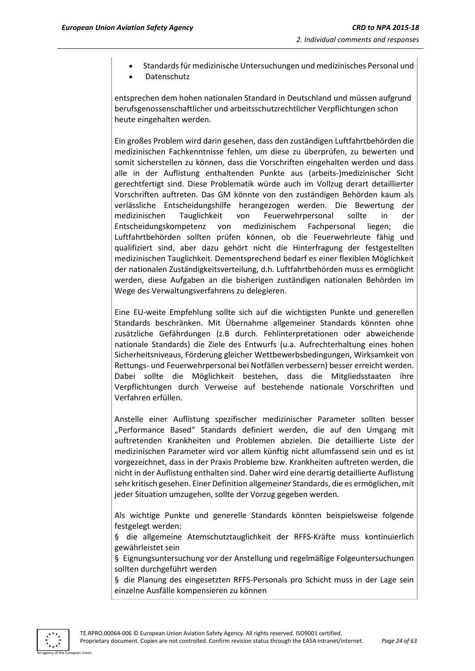- Standards für medizinische Untersuchungen und medizinisches Personal und
- Datenschutz

entsprechen dem hohen nationalen Standard in Deutschland und müssen aufgrund berufsgenossenschaftlicher und arbeitsschutzrechtlicher Verpflichtungen schon heute eingehalten werden.

Ein großes Problem wird darin gesehen, dass den zuständigen Luftfahrtbehörden die medizinischen Fachkenntnisse fehlen, um diese zu überprüfen, zu bewerten und somit sicherstellen zu können, dass die Vorschriften eingehalten werden und dass alle in der Auflistung enthaltenden Punkte aus (arbeits-)medizinischer Sicht gerechtfertigt sind. Diese Problematik würde auch im Vollzug derart detaillierter Vorschriften auftreten. Das GM könnte von den zuständigen Behörden kaum als verlässliche Entscheidungshilfe herangezogen werden. Die Bewertung der medizinischen Tauglichkeit von Feuerwehrpersonal sollte in der Entscheidungskompetenz von medizinischem Fachpersonal liegen; die Luftfahrtbehörden sollten prüfen können, ob die Feuerwehrleute fähig und qualifiziert sind, aber dazu gehört nicht die Hinterfragung der festgestellten medizinischen Tauglichkeit. Dementsprechend bedarf es einer flexiblen Möglichkeit der nationalen Zuständigkeitsverteilung, d.h. Luftfahrtbehörden muss es ermöglicht werden, diese Aufgaben an die bisherigen zuständigen nationalen Behörden im Wege des Verwaltungsverfahrens zu delegieren.

Eine EU-weite Empfehlung sollte sich auf die wichtigsten Punkte und generellen Standards beschränken. Mit Übernahme allgemeiner Standards könnten ohne zusätzliche Gefährdungen (z.B durch. Fehlinterpretationen oder abweichende nationale Standards) die Ziele des Entwurfs (u.a. Aufrechterhaltung eines hohen Sicherheitsniveaus, Förderung gleicher Wettbewerbsbedingungen, Wirksamkeit von Rettungs- und Feuerwehrpersonal bei Notfällen verbessern) besser erreicht werden. Dabei sollte die Möglichkeit bestehen, dass die Mitgliedsstaaten ihre Verpflichtungen durch Verweise auf bestehende nationale Vorschriften und Verfahren erfüllen.

Anstelle einer Auflistung spezifischer medizinischer Parameter sollten besser "Performance Based" Standards definiert werden, die auf den Umgang mit auftretenden Krankheiten und Problemen abzielen. Die detaillierte Liste der medizinischen Parameter wird vor allem künftig nicht allumfassend sein und es ist vorgezeichnet, dass in der Praxis Probleme bzw. Krankheiten auftreten werden, die nicht in der Auflistung enthalten sind. Daher wird eine derartig detaillierte Auflistung sehr kritisch gesehen. Einer Definition allgemeiner Standards, die es ermöglichen, mit jeder Situation umzugehen, sollte der Vorzug gegeben werden.

Als wichtige Punkte und generelle Standards könnten beispielsweise folgende festgelegt werden:

§ die allgemeine Atemschutztauglichkeit der RFFS-Kräfte muss kontinuierlich gewährleistet sein

§ Eignungsuntersuchung vor der Anstellung und regelmäßige Folgeuntersuchungen sollten durchgeführt werden

§ die Planung des eingesetzten RFFS-Personals pro Schicht muss in der Lage sein einzelne Ausfälle kompensieren zu können

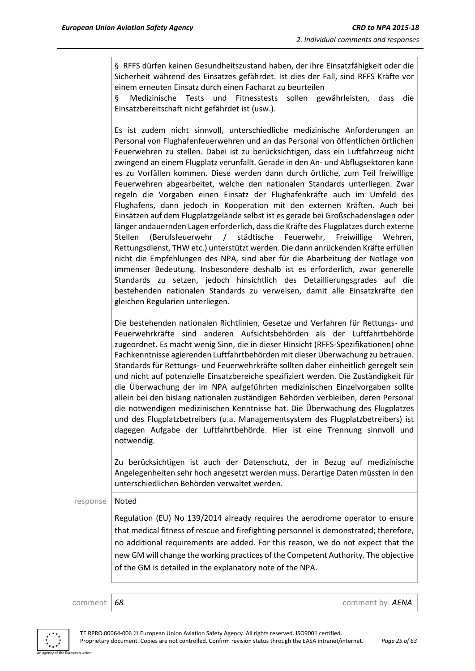§ RFFS dürfen keinen Gesundheitszustand haben, der ihre Einsatzfähigkeit oder die Sicherheit während des Einsatzes gefährdet. Ist dies der Fall, sind RFFS Kräfte vor einem erneuten Einsatz durch einen Facharzt zu beurteilen

§ Medizinische Tests und Fitnesstests sollen gewährleisten, dass die Einsatzbereitschaft nicht gefährdet ist (usw.).

Es ist zudem nicht sinnvoll, unterschiedliche medizinische Anforderungen an Personal von Flughafenfeuerwehren und an das Personal von öffentlichen örtlichen Feuerwehren zu stellen. Dabei ist zu berücksichtigen, dass ein Luftfahrzeug nicht zwingend an einem Flugplatz verunfallt. Gerade in den An- und Abflugsektoren kann es zu Vorfällen kommen. Diese werden dann durch örtliche, zum Teil freiwillige Feuerwehren abgearbeitet, welche den nationalen Standards unterliegen. Zwar regeln die Vorgaben einen Einsatz der Flughafenkräfte auch im Umfeld des Flughafens, dann jedoch in Kooperation mit den externen Kräften. Auch bei Einsätzen auf dem Flugplatzgelände selbst ist es gerade bei Großschadenslagen oder länger andauernden Lagen erforderlich, dass die Kräfte des Flugplatzes durch externe Stellen (Berufsfeuerwehr / städtische Feuerwehr, Freiwillige Wehren, Rettungsdienst, THW etc.) unterstützt werden. Die dann anrückenden Kräfte erfüllen nicht die Empfehlungen des NPA, sind aber für die Abarbeitung der Notlage von immenser Bedeutung. Insbesondere deshalb ist es erforderlich, zwar generelle Standards zu setzen, jedoch hinsichtlich des Detaillierungsgrades auf die bestehenden nationalen Standards zu verweisen, damit alle Einsatzkräfte den gleichen Regularien unterliegen.

Die bestehenden nationalen Richtlinien, Gesetze und Verfahren für Rettungs- und Feuerwehrkräfte sind anderen Aufsichtsbehörden als der Luftfahrtbehörde zugeordnet. Es macht wenig Sinn, die in dieser Hinsicht (RFFS-Spezifikationen) ohne Fachkenntnisse agierenden Luftfahrtbehörden mit dieser Überwachung zu betrauen. Standards für Rettungs- und Feuerwehrkräfte sollten daher einheitlich geregelt sein und nicht auf potenzielle Einsatzbereiche spezifiziert werden. Die Zuständigkeit für die Überwachung der im NPA aufgeführten medizinischen Einzelvorgaben sollte allein bei den bislang nationalen zuständigen Behörden verbleiben, deren Personal die notwendigen medizinischen Kenntnisse hat. Die Überwachung des Flugplatzes und des Flugplatzbetreibers (u.a. Managementsystem des Flugplatzbetreibers) ist dagegen Aufgabe der Luftfahrtbehörde. Hier ist eine Trennung sinnvoll und notwendig.

Zu berücksichtigen ist auch der Datenschutz, der in Bezug auf medizinische Angelegenheiten sehr hoch angesetzt werden muss. Derartige Daten müssten in den unterschiedlichen Behörden verwaltet werden.

#### response | Noted

Regulation (EU) No 139/2014 already requires the aerodrome operator to ensure that medical fitness of rescue and firefighting personnel is demonstrated; therefore, no additional requirements are added. For this reason, we do not expect that the new GM will change the working practices of the Competent Authority. The objective of the GM is detailed in the explanatory note of the NPA.

comment **68** comment **68** comment **68** comment **68** comment **68** 

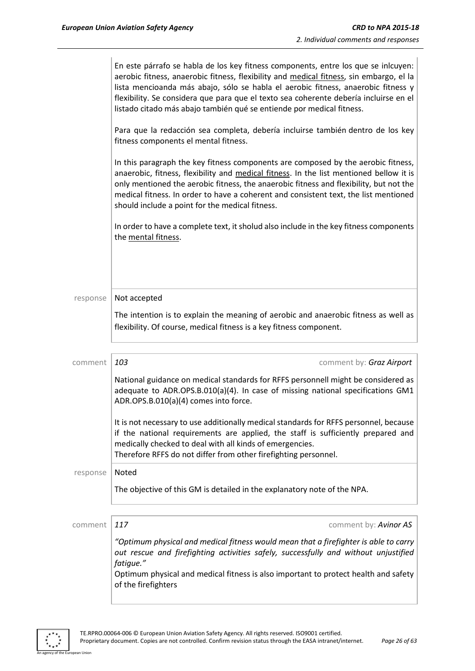|          | En este párrafo se habla de los key fitness components, entre los que se inlcuyen:<br>aerobic fitness, anaerobic fitness, flexibility and medical fitness, sin embargo, el la<br>lista mencioanda más abajo, sólo se habla el aerobic fitness, anaerobic fitness y<br>flexibility. Se considera que para que el texto sea coherente debería incluirse en el<br>listado citado más abajo también qué se entiende por medical fitness.<br>Para que la redacción sea completa, debería incluirse también dentro de los key<br>fitness components el mental fitness.<br>In this paragraph the key fitness components are composed by the aerobic fitness,<br>anaerobic, fitness, flexibility and medical fitness. In the list mentioned bellow it is<br>only mentioned the aerobic fitness, the anaerobic fitness and flexibility, but not the<br>medical fitness. In order to have a coherent and consistent text, the list mentioned<br>should include a point for the medical fitness. |
|----------|---------------------------------------------------------------------------------------------------------------------------------------------------------------------------------------------------------------------------------------------------------------------------------------------------------------------------------------------------------------------------------------------------------------------------------------------------------------------------------------------------------------------------------------------------------------------------------------------------------------------------------------------------------------------------------------------------------------------------------------------------------------------------------------------------------------------------------------------------------------------------------------------------------------------------------------------------------------------------------------|
|          | In order to have a complete text, it sholud also include in the key fitness components<br>the mental fitness.                                                                                                                                                                                                                                                                                                                                                                                                                                                                                                                                                                                                                                                                                                                                                                                                                                                                         |
| response | Not accepted<br>The intention is to explain the meaning of aerobic and anaerobic fitness as well as<br>flexibility. Of course, medical fitness is a key fitness component.                                                                                                                                                                                                                                                                                                                                                                                                                                                                                                                                                                                                                                                                                                                                                                                                            |
|          |                                                                                                                                                                                                                                                                                                                                                                                                                                                                                                                                                                                                                                                                                                                                                                                                                                                                                                                                                                                       |
| comment  | 103<br>comment by: Graz Airport<br>National guidance on medical standards for RFFS personnell might be considered as<br>adequate to ADR.OPS.B.010(a)(4). In case of missing national specifications GM1<br>ADR.OPS.B.010(a)(4) comes into force.<br>It is not necessary to use additionally medical standards for RFFS personnel, because<br>if the national requirements are applied, the staff is sufficiently prepared and                                                                                                                                                                                                                                                                                                                                                                                                                                                                                                                                                         |
|          | medically checked to deal with all kinds of emergencies.<br>Therefore RFFS do not differ from other firefighting personnel.                                                                                                                                                                                                                                                                                                                                                                                                                                                                                                                                                                                                                                                                                                                                                                                                                                                           |
| response | Noted<br>The objective of this GM is detailed in the explanatory note of the NPA.                                                                                                                                                                                                                                                                                                                                                                                                                                                                                                                                                                                                                                                                                                                                                                                                                                                                                                     |
| comment  | 117<br>comment by: Avinor AS                                                                                                                                                                                                                                                                                                                                                                                                                                                                                                                                                                                                                                                                                                                                                                                                                                                                                                                                                          |
|          | "Optimum physical and medical fitness would mean that a firefighter is able to carry<br>out rescue and firefighting activities safely, successfully and without unjustified<br>fatigue."<br>Optimum physical and medical fitness is also important to protect health and safety<br>of the firefighters                                                                                                                                                                                                                                                                                                                                                                                                                                                                                                                                                                                                                                                                                |

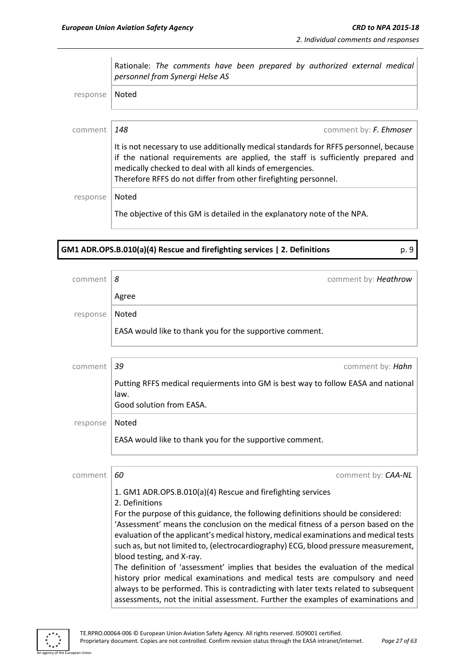Rationale: *The comments have been prepared by authorized external medical personnel from Synergi Helse AS*  response | Noted

comment *148* comment by: *F. Ehmoser* It is not necessary to use additionally medical standards for RFFS personnel, because if the national requirements are applied, the staff is sufficiently prepared and medically checked to deal with all kinds of emergencies. Therefore RFFS do not differ from other firefighting personnel.

response | Noted

The objective of this GM is detailed in the explanatory note of the NPA.

**GM1 ADR.OPS.B.010(a)(4) Rescue and firefighting services | 2. Definitions** p. 9

| comment  | 8<br>comment by: Heathrow                                                                                                                                                                                                                                                                                                                                                                                                                                                |
|----------|--------------------------------------------------------------------------------------------------------------------------------------------------------------------------------------------------------------------------------------------------------------------------------------------------------------------------------------------------------------------------------------------------------------------------------------------------------------------------|
|          | Agree                                                                                                                                                                                                                                                                                                                                                                                                                                                                    |
| response | Noted                                                                                                                                                                                                                                                                                                                                                                                                                                                                    |
|          | EASA would like to thank you for the supportive comment.                                                                                                                                                                                                                                                                                                                                                                                                                 |
|          |                                                                                                                                                                                                                                                                                                                                                                                                                                                                          |
| comment  | 39<br>comment by: Hahn                                                                                                                                                                                                                                                                                                                                                                                                                                                   |
|          | Putting RFFS medical requierments into GM is best way to follow EASA and national                                                                                                                                                                                                                                                                                                                                                                                        |
|          | law.<br>Good solution from EASA.                                                                                                                                                                                                                                                                                                                                                                                                                                         |
| response | Noted                                                                                                                                                                                                                                                                                                                                                                                                                                                                    |
|          | EASA would like to thank you for the supportive comment.                                                                                                                                                                                                                                                                                                                                                                                                                 |
|          |                                                                                                                                                                                                                                                                                                                                                                                                                                                                          |
| comment  | 60<br>comment by: CAA-NL                                                                                                                                                                                                                                                                                                                                                                                                                                                 |
|          | 1. GM1 ADR.OPS.B.010(a)(4) Rescue and firefighting services<br>2. Definitions                                                                                                                                                                                                                                                                                                                                                                                            |
|          | For the purpose of this guidance, the following definitions should be considered:<br>'Assessment' means the conclusion on the medical fitness of a person based on the<br>evaluation of the applicant's medical history, medical examinations and medical tests<br>such as, but not limited to, (electrocardiography) ECG, blood pressure measurement,<br>blood testing, and X-ray.<br>The definition of 'assessment' implies that besides the evaluation of the medical |
|          | history prior medical examinations and medical tests are compulsory and need<br>always to be performed. This is contradicting with later texts related to subsequent<br>assessments, not the initial assessment. Further the examples of examinations and                                                                                                                                                                                                                |

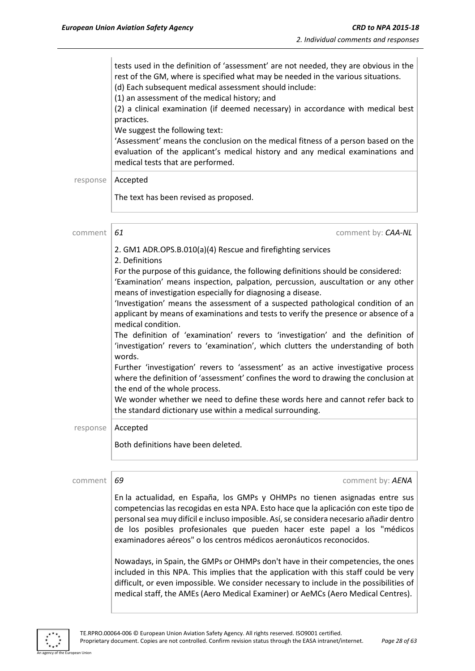|          | tests used in the definition of 'assessment' are not needed, they are obvious in the<br>rest of the GM, where is specified what may be needed in the various situations.<br>(d) Each subsequent medical assessment should include:<br>(1) an assessment of the medical history; and<br>(2) a clinical examination (if deemed necessary) in accordance with medical best<br>practices.<br>We suggest the following text:<br>'Assessment' means the conclusion on the medical fitness of a person based on the<br>evaluation of the applicant's medical history and any medical examinations and<br>medical tests that are performed.                                                                                                                                                                                                                                                                                                                                                                                                                                 |
|----------|---------------------------------------------------------------------------------------------------------------------------------------------------------------------------------------------------------------------------------------------------------------------------------------------------------------------------------------------------------------------------------------------------------------------------------------------------------------------------------------------------------------------------------------------------------------------------------------------------------------------------------------------------------------------------------------------------------------------------------------------------------------------------------------------------------------------------------------------------------------------------------------------------------------------------------------------------------------------------------------------------------------------------------------------------------------------|
| response | Accepted                                                                                                                                                                                                                                                                                                                                                                                                                                                                                                                                                                                                                                                                                                                                                                                                                                                                                                                                                                                                                                                            |
|          | The text has been revised as proposed.                                                                                                                                                                                                                                                                                                                                                                                                                                                                                                                                                                                                                                                                                                                                                                                                                                                                                                                                                                                                                              |
| comment  | 61<br>comment by: CAA-NL                                                                                                                                                                                                                                                                                                                                                                                                                                                                                                                                                                                                                                                                                                                                                                                                                                                                                                                                                                                                                                            |
|          | 2. GM1 ADR.OPS.B.010(a)(4) Rescue and firefighting services<br>2. Definitions<br>For the purpose of this guidance, the following definitions should be considered:<br>'Examination' means inspection, palpation, percussion, auscultation or any other<br>means of investigation especially for diagnosing a disease.<br>'Investigation' means the assessment of a suspected pathological condition of an<br>applicant by means of examinations and tests to verify the presence or absence of a<br>medical condition.<br>The definition of 'examination' revers to 'investigation' and the definition of<br>'investigation' revers to 'examination', which clutters the understanding of both<br>words.<br>Further 'investigation' revers to 'assessment' as an active investigative process<br>where the definition of 'assessment' confines the word to drawing the conclusion at<br>the end of the whole process.<br>We wonder whether we need to define these words here and cannot refer back to<br>the standard dictionary use within a medical surrounding. |
| response | Accepted<br>Both definitions have been deleted.                                                                                                                                                                                                                                                                                                                                                                                                                                                                                                                                                                                                                                                                                                                                                                                                                                                                                                                                                                                                                     |
|          |                                                                                                                                                                                                                                                                                                                                                                                                                                                                                                                                                                                                                                                                                                                                                                                                                                                                                                                                                                                                                                                                     |
| comment  | 69<br>comment by: AENA                                                                                                                                                                                                                                                                                                                                                                                                                                                                                                                                                                                                                                                                                                                                                                                                                                                                                                                                                                                                                                              |
|          | En la actualidad, en España, los GMPs y OHMPs no tienen asignadas entre sus<br>competencias las recogidas en esta NPA. Esto hace que la aplicación con este tipo de<br>personal sea muy difícil e incluso imposible. Así, se considera necesario añadir dentro<br>de los posibles profesionales que pueden hacer este papel a los "médicos<br>examinadores aéreos" o los centros médicos aeronáuticos reconocidos.                                                                                                                                                                                                                                                                                                                                                                                                                                                                                                                                                                                                                                                  |

Nowadays, in Spain, the GMPs or OHMPs don't have in their competencies, the ones included in this NPA. This implies that the application with this staff could be very difficult, or even impossible. We consider necessary to include in the possibilities of medical staff, the AMEs (Aero Medical Examiner) or AeMCs (Aero Medical Centres).



an Unio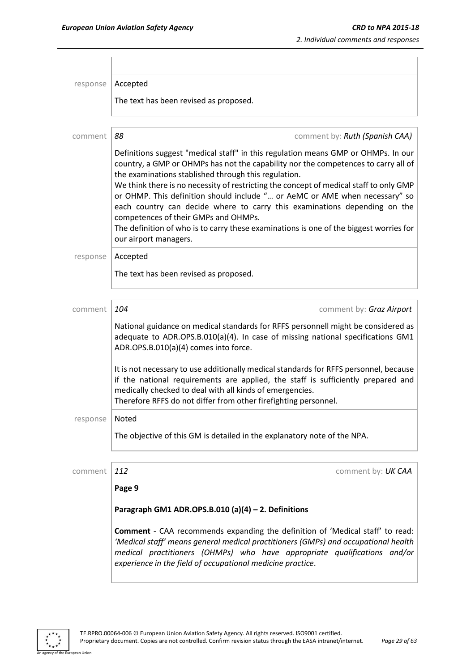| response | Accepted                                                                                                                                                                                                                                                                                                                                                                                                                                                                                                                                                                                                                                         |
|----------|--------------------------------------------------------------------------------------------------------------------------------------------------------------------------------------------------------------------------------------------------------------------------------------------------------------------------------------------------------------------------------------------------------------------------------------------------------------------------------------------------------------------------------------------------------------------------------------------------------------------------------------------------|
|          | The text has been revised as proposed.                                                                                                                                                                                                                                                                                                                                                                                                                                                                                                                                                                                                           |
| comment  | 88<br>comment by: Ruth (Spanish CAA)                                                                                                                                                                                                                                                                                                                                                                                                                                                                                                                                                                                                             |
|          | Definitions suggest "medical staff" in this regulation means GMP or OHMPs. In our<br>country, a GMP or OHMPs has not the capability nor the competences to carry all of<br>the examinations stablished through this regulation.<br>We think there is no necessity of restricting the concept of medical staff to only GMP<br>or OHMP. This definition should include " or AeMC or AME when necessary" so<br>each country can decide where to carry this examinations depending on the<br>competences of their GMPs and OHMPs.<br>The definition of who is to carry these examinations is one of the biggest worries for<br>our airport managers. |
| response | Accepted                                                                                                                                                                                                                                                                                                                                                                                                                                                                                                                                                                                                                                         |
|          | The text has been revised as proposed.                                                                                                                                                                                                                                                                                                                                                                                                                                                                                                                                                                                                           |
| comment  | 104<br>comment by: Graz Airport                                                                                                                                                                                                                                                                                                                                                                                                                                                                                                                                                                                                                  |
|          | National guidance on medical standards for RFFS personnell might be considered as<br>adequate to ADR.OPS.B.010(a)(4). In case of missing national specifications GM1<br>ADR.OPS.B.010(a)(4) comes into force.                                                                                                                                                                                                                                                                                                                                                                                                                                    |
|          | It is not necessary to use additionally medical standards for RFFS personnel, because<br>if the national requirements are applied, the staff is sufficiently prepared and<br>medically checked to deal with all kinds of emergencies.<br>Therefore RFFS do not differ from other firefighting personnel.                                                                                                                                                                                                                                                                                                                                         |
| response | Noted                                                                                                                                                                                                                                                                                                                                                                                                                                                                                                                                                                                                                                            |
|          | The objective of this GM is detailed in the explanatory note of the NPA.                                                                                                                                                                                                                                                                                                                                                                                                                                                                                                                                                                         |
| comment  | 112<br>comment by: UK CAA                                                                                                                                                                                                                                                                                                                                                                                                                                                                                                                                                                                                                        |
|          | Page 9                                                                                                                                                                                                                                                                                                                                                                                                                                                                                                                                                                                                                                           |
|          | Paragraph GM1 ADR.OPS.B.010 (a)(4) - 2. Definitions                                                                                                                                                                                                                                                                                                                                                                                                                                                                                                                                                                                              |
|          | <b>Comment</b> - CAA recommends expanding the definition of 'Medical staff' to read:<br>'Medical staff' means general medical practitioners (GMPs) and occupational health<br>medical practitioners (OHMPs) who have appropriate qualifications and/or<br>experience in the field of occupational medicine practice.                                                                                                                                                                                                                                                                                                                             |

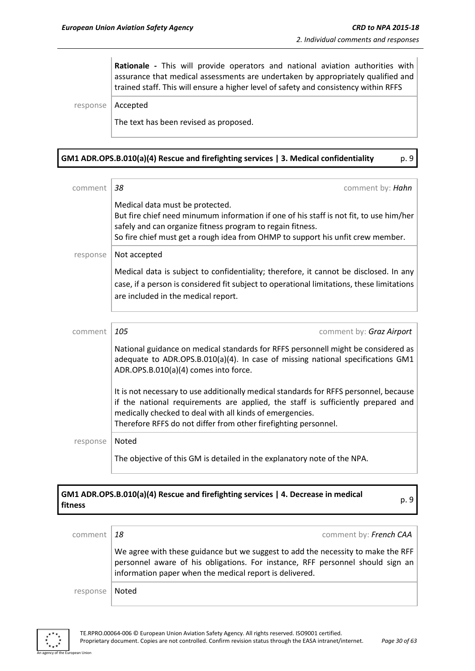**Rationale -** This will provide operators and national aviation authorities with assurance that medical assessments are undertaken by appropriately qualified and trained staff. This will ensure a higher level of safety and consistency within RFFS

response | Accepted

The text has been revised as proposed.

#### **GM1 ADR.OPS.B.010(a)(4) Rescue and firefighting services | 3. Medical confidentiality** p. 9

| comment  | 38<br>comment by: Hahn                                                                                                                                                                                                                                                                                   |
|----------|----------------------------------------------------------------------------------------------------------------------------------------------------------------------------------------------------------------------------------------------------------------------------------------------------------|
|          | Medical data must be protected.<br>But fire chief need minumum information if one of his staff is not fit, to use him/her<br>safely and can organize fitness program to regain fitness.<br>So fire chief must get a rough idea from OHMP to support his unfit crew member.                               |
| response | Not accepted                                                                                                                                                                                                                                                                                             |
|          | Medical data is subject to confidentiality; therefore, it cannot be disclosed. In any<br>case, if a person is considered fit subject to operational limitations, these limitations<br>are included in the medical report.                                                                                |
|          |                                                                                                                                                                                                                                                                                                          |
| comment  | 105<br>comment by: Graz Airport                                                                                                                                                                                                                                                                          |
|          | National guidance on medical standards for RFFS personnell might be considered as<br>adequate to ADR.OPS.B.010(a)(4). In case of missing national specifications GM1<br>ADR.OPS.B.010(a)(4) comes into force.                                                                                            |
|          | It is not necessary to use additionally medical standards for RFFS personnel, because<br>if the national requirements are applied, the staff is sufficiently prepared and<br>medically checked to deal with all kinds of emergencies.<br>Therefore RFFS do not differ from other firefighting personnel. |
| response | Noted                                                                                                                                                                                                                                                                                                    |
|          | The objective of this GM is detailed in the explanatory note of the NPA.                                                                                                                                                                                                                                 |

# **GM1 ADR.OPS.B.010(a)(4) Rescue and firefighting services | 4. Decrease in medical fitness** p. 9

| comment $18$ | comment by: French CAA                                                                                                                                                                                                        |
|--------------|-------------------------------------------------------------------------------------------------------------------------------------------------------------------------------------------------------------------------------|
|              | We agree with these guidance but we suggest to add the necessity to make the RFF<br>personnel aware of his obligations. For instance, RFF personnel should sign an<br>information paper when the medical report is delivered. |
| response     | Noted                                                                                                                                                                                                                         |



n Hoic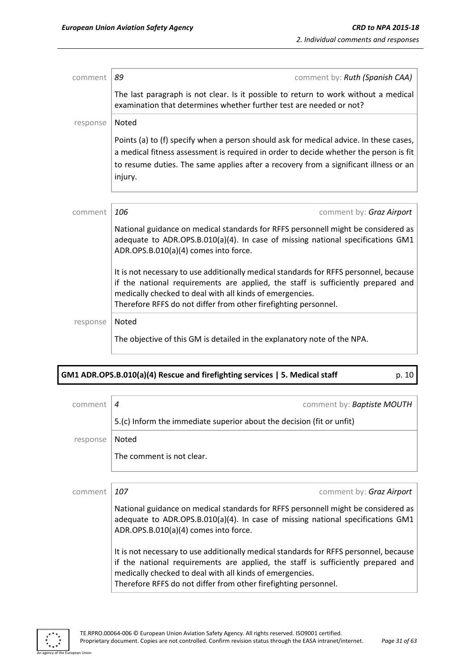| comment  | comment by: Ruth (Spanish CAA)<br>89                                                                                                                                                                                                                                                                     |
|----------|----------------------------------------------------------------------------------------------------------------------------------------------------------------------------------------------------------------------------------------------------------------------------------------------------------|
|          | The last paragraph is not clear. Is it possible to return to work without a medical<br>examination that determines whether further test are needed or not?                                                                                                                                               |
| response | Noted                                                                                                                                                                                                                                                                                                    |
|          | Points (a) to (f) specify when a person should ask for medical advice. In these cases,<br>a medical fitness assessment is required in order to decide whether the person is fit<br>to resume duties. The same applies after a recovery from a significant illness or an<br>injury.                       |
|          |                                                                                                                                                                                                                                                                                                          |
| comment  | 106<br>comment by: Graz Airport                                                                                                                                                                                                                                                                          |
|          | National guidance on medical standards for RFFS personnell might be considered as<br>adequate to ADR.OPS.B.010(a)(4). In case of missing national specifications GM1<br>ADR.OPS.B.010(a)(4) comes into force.                                                                                            |
|          | It is not necessary to use additionally medical standards for RFFS personnel, because<br>if the national requirements are applied, the staff is sufficiently prepared and<br>medically checked to deal with all kinds of emergencies.<br>Therefore RFFS do not differ from other firefighting personnel. |
| response | Noted                                                                                                                                                                                                                                                                                                    |
|          | The objective of this GM is detailed in the explanatory note of the NPA.                                                                                                                                                                                                                                 |

# **GM1 ADR.OPS.B.010(a)(4) Rescue and firefighting services | 5. Medical staff** p. 10 p. 10

| comment  | comment by: <b>Baptiste MOUTH</b><br>4                                                                                                                                                                                                                                                                   |
|----------|----------------------------------------------------------------------------------------------------------------------------------------------------------------------------------------------------------------------------------------------------------------------------------------------------------|
|          | 5.(c) Inform the immediate superior about the decision (fit or unfit)                                                                                                                                                                                                                                    |
| response | Noted                                                                                                                                                                                                                                                                                                    |
|          | The comment is not clear.                                                                                                                                                                                                                                                                                |
|          |                                                                                                                                                                                                                                                                                                          |
| comment  | 107<br>comment by: Graz Airport                                                                                                                                                                                                                                                                          |
|          | National guidance on medical standards for RFFS personnell might be considered as<br>adequate to ADR.OPS.B.010(a)(4). In case of missing national specifications GM1<br>ADR.OPS.B.010(a)(4) comes into force.                                                                                            |
|          | It is not necessary to use additionally medical standards for RFFS personnel, because<br>if the national requirements are applied, the staff is sufficiently prepared and<br>medically checked to deal with all kinds of emergencies.<br>Therefore RFFS do not differ from other firefighting personnel. |



an Union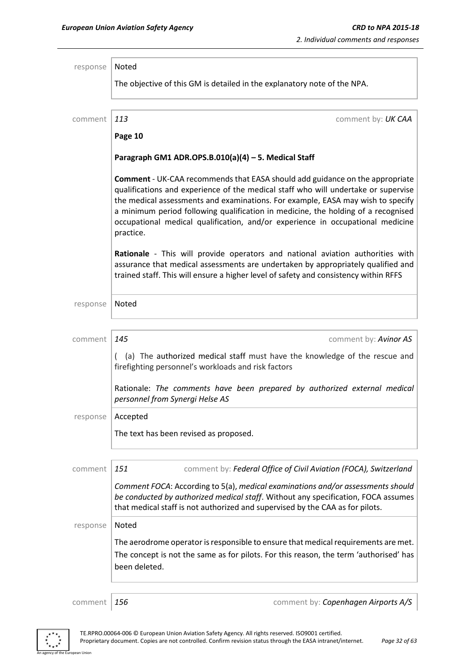| response | Noted                                                           |                                                                                                                                                                                                                                                                                                                                                                                                                                     |
|----------|-----------------------------------------------------------------|-------------------------------------------------------------------------------------------------------------------------------------------------------------------------------------------------------------------------------------------------------------------------------------------------------------------------------------------------------------------------------------------------------------------------------------|
|          |                                                                 | The objective of this GM is detailed in the explanatory note of the NPA.                                                                                                                                                                                                                                                                                                                                                            |
| comment  | 113                                                             | comment by: UK CAA                                                                                                                                                                                                                                                                                                                                                                                                                  |
|          | Page 10                                                         |                                                                                                                                                                                                                                                                                                                                                                                                                                     |
|          | Paragraph GM1 ADR.OPS.B.010(a)(4) - 5. Medical Staff            |                                                                                                                                                                                                                                                                                                                                                                                                                                     |
|          | practice.                                                       | <b>Comment</b> - UK-CAA recommends that EASA should add guidance on the appropriate<br>qualifications and experience of the medical staff who will undertake or supervise<br>the medical assessments and examinations. For example, EASA may wish to specify<br>a minimum period following qualification in medicine, the holding of a recognised<br>occupational medical qualification, and/or experience in occupational medicine |
|          |                                                                 | Rationale - This will provide operators and national aviation authorities with<br>assurance that medical assessments are undertaken by appropriately qualified and<br>trained staff. This will ensure a higher level of safety and consistency within RFFS                                                                                                                                                                          |
| response | Noted                                                           |                                                                                                                                                                                                                                                                                                                                                                                                                                     |
| comment  | 145                                                             | comment by: Avinor AS                                                                                                                                                                                                                                                                                                                                                                                                               |
|          | $\left($<br>firefighting personnel's workloads and risk factors | (a) The authorized medical staff must have the knowledge of the rescue and                                                                                                                                                                                                                                                                                                                                                          |
|          | personnel from Synergi Helse AS                                 | Rationale: The comments have been prepared by authorized external medical                                                                                                                                                                                                                                                                                                                                                           |
| response | Accepted                                                        |                                                                                                                                                                                                                                                                                                                                                                                                                                     |
|          | The text has been revised as proposed.                          |                                                                                                                                                                                                                                                                                                                                                                                                                                     |
| comment  | 151                                                             | comment by: Federal Office of Civil Aviation (FOCA), Switzerland                                                                                                                                                                                                                                                                                                                                                                    |
|          |                                                                 | Comment FOCA: According to 5(a), medical examinations and/or assessments should<br>be conducted by authorized medical staff. Without any specification, FOCA assumes<br>that medical staff is not authorized and supervised by the CAA as for pilots.                                                                                                                                                                               |
| response | <b>Noted</b>                                                    |                                                                                                                                                                                                                                                                                                                                                                                                                                     |
|          | been deleted.                                                   | The aerodrome operator is responsible to ensure that medical requirements are met.<br>The concept is not the same as for pilots. For this reason, the term 'authorised' has                                                                                                                                                                                                                                                         |

.<br>An Union

comment *156* comment by: *Copenhagen Airports A/S*

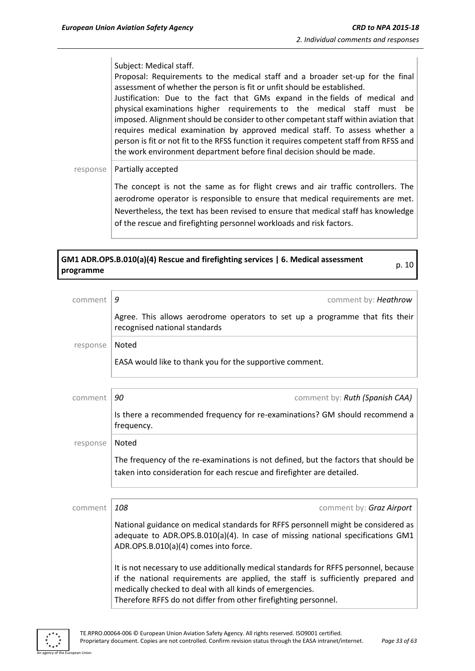p. 10

Subject: Medical staff.

Proposal: Requirements to the medical staff and a broader set-up for the final assessment of whether the person is fit or unfit should be established.

Justification: Due to the fact that GMs expand in the fields of medical and physical examinations higher requirements to the medical staff must be imposed. Alignment should be consider to other competant staff within aviation that requires medical examination by approved medical staff. To assess whether a person is fit or not fit to the RFSS function it requires competent staff from RFSS and the work environment department before final decision should be made.

response | Partially accepted

The concept is not the same as for flight crews and air traffic controllers. The aerodrome operator is responsible to ensure that medical requirements are met. Nevertheless, the text has been revised to ensure that medical staff has knowledge of the rescue and firefighting personnel workloads and risk factors.

# **GM1 ADR.OPS.B.010(a)(4) Rescue and firefighting services | 6. Medical assessment programme**

| comment  | 9<br>comment by: Heathrow                                                                                                                                                                                                                                                                                |
|----------|----------------------------------------------------------------------------------------------------------------------------------------------------------------------------------------------------------------------------------------------------------------------------------------------------------|
|          | Agree. This allows aerodrome operators to set up a programme that fits their<br>recognised national standards                                                                                                                                                                                            |
| response | Noted                                                                                                                                                                                                                                                                                                    |
|          | EASA would like to thank you for the supportive comment.                                                                                                                                                                                                                                                 |
|          |                                                                                                                                                                                                                                                                                                          |
| comment  | 90<br>comment by: Ruth (Spanish CAA)                                                                                                                                                                                                                                                                     |
|          | Is there a recommended frequency for re-examinations? GM should recommend a<br>frequency.                                                                                                                                                                                                                |
| response | Noted                                                                                                                                                                                                                                                                                                    |
|          | The frequency of the re-examinations is not defined, but the factors that should be<br>taken into consideration for each rescue and firefighter are detailed.                                                                                                                                            |
|          |                                                                                                                                                                                                                                                                                                          |
| comment  | 108<br>comment by: Graz Airport                                                                                                                                                                                                                                                                          |
|          | National guidance on medical standards for RFFS personnell might be considered as<br>adequate to ADR.OPS.B.010(a)(4). In case of missing national specifications GM1<br>ADR.OPS.B.010(a)(4) comes into force.                                                                                            |
|          | It is not necessary to use additionally medical standards for RFFS personnel, because<br>if the national requirements are applied, the staff is sufficiently prepared and<br>medically checked to deal with all kinds of emergencies.<br>Therefore RFFS do not differ from other firefighting personnel. |

An agency of the European Union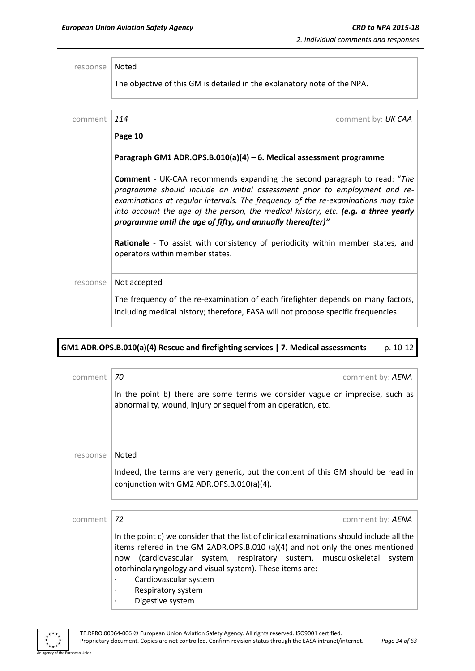| response | Noted                                                                                                                                                                                                                                                                                                                                                                                                  |
|----------|--------------------------------------------------------------------------------------------------------------------------------------------------------------------------------------------------------------------------------------------------------------------------------------------------------------------------------------------------------------------------------------------------------|
|          | The objective of this GM is detailed in the explanatory note of the NPA.                                                                                                                                                                                                                                                                                                                               |
| comment  | 114<br>comment by: UK CAA                                                                                                                                                                                                                                                                                                                                                                              |
|          | Page 10                                                                                                                                                                                                                                                                                                                                                                                                |
|          | Paragraph GM1 ADR.OPS.B.010(a)(4) - 6. Medical assessment programme                                                                                                                                                                                                                                                                                                                                    |
|          | <b>Comment</b> - UK-CAA recommends expanding the second paragraph to read: "The<br>programme should include an initial assessment prior to employment and re-<br>examinations at regular intervals. The frequency of the re-examinations may take<br>into account the age of the person, the medical history, etc. (e.g. a three yearly<br>programme until the age of fifty, and annually thereafter)" |
|          | Rationale - To assist with consistency of periodicity within member states, and<br>operators within member states.                                                                                                                                                                                                                                                                                     |
| response | Not accepted                                                                                                                                                                                                                                                                                                                                                                                           |
|          | The frequency of the re-examination of each firefighter depends on many factors,<br>including medical history; therefore, EASA will not propose specific frequencies.                                                                                                                                                                                                                                  |

## **GM1 ADR.OPS.B.010(a)(4) Rescue and firefighting services | 7. Medical assessments** p. 10-12

| comment  | 70<br>comment by: AENA                                                                                                                                                                                                                                                                                                                                                                                 |
|----------|--------------------------------------------------------------------------------------------------------------------------------------------------------------------------------------------------------------------------------------------------------------------------------------------------------------------------------------------------------------------------------------------------------|
|          | In the point b) there are some terms we consider vague or imprecise, such as<br>abnormality, wound, injury or sequel from an operation, etc.                                                                                                                                                                                                                                                           |
| response | Noted                                                                                                                                                                                                                                                                                                                                                                                                  |
|          | Indeed, the terms are very generic, but the content of this GM should be read in<br>conjunction with GM2 ADR.OPS.B.010(a)(4).                                                                                                                                                                                                                                                                          |
|          |                                                                                                                                                                                                                                                                                                                                                                                                        |
| comment  | 72<br>comment by: AENA                                                                                                                                                                                                                                                                                                                                                                                 |
|          | In the point c) we consider that the list of clinical examinations should include all the<br>items refered in the GM 2ADR.OPS.B.010 (a)(4) and not only the ones mentioned<br>(cardiovascular system, respiratory sustem, musculoskeletal<br>system<br>now<br>otorhinolaryngology and visual system). These items are:<br>Cardiovascular system<br>Respiratory system<br>$\bullet$<br>Digestive system |



.<br>An Union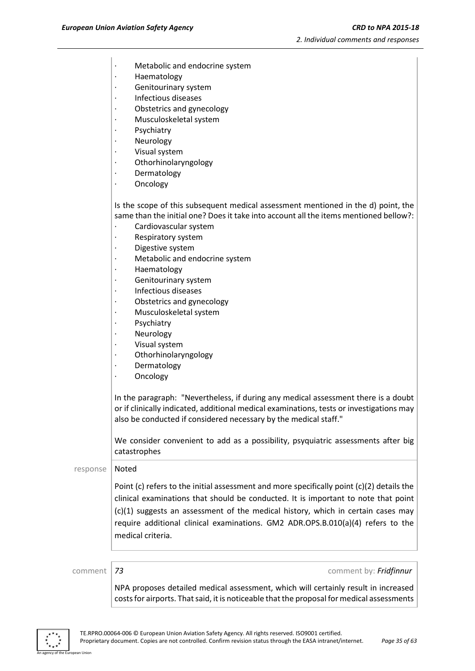- Metabolic and endocrine system
- · Haematology
- Genitourinary system
- · Infectious diseases
- Obstetrics and gynecology
- Musculoskeletal system
- **Psychiatry**
- **Neurology**
- Visual system
- · Othorhinolaryngology
- · Dermatology
- · Oncology

Is the scope of this subsequent medical assessment mentioned in the d) point, the same than the initial one? Does it take into account all the items mentioned bellow?:

- Cardiovascular system
- Respiratory system
- Digestive system
- Metabolic and endocrine system
- · Haematology
- Genitourinary system
- · Infectious diseases
- · Obstetrics and gynecology
- Musculoskeletal system
- **Psychiatry**
- **Neurology**
- · Visual system
- · Othorhinolaryngology
- · Dermatology
- · Oncology

In the paragraph: "Nevertheless, if during any medical assessment there is a doubt or if clinically indicated, additional medical examinations, tests or investigations may also be conducted if considered necessary by the medical staff."

We consider convenient to add as a possibility, psyquiatric assessments after big catastrophes

response | Noted

Point (c) refers to the initial assessment and more specifically point (c)(2) details the clinical examinations that should be conducted. It is important to note that point (c)(1) suggests an assessment of the medical history, which in certain cases may require additional clinical examinations. GM2 ADR.OPS.B.010(a)(4) refers to the medical criteria.

comment *73* comment by: *Fridfinnur*

NPA proposes detailed medical assessment, which will certainly result in increased costs for airports. That said, it is noticeable that the proposal for medical assessments

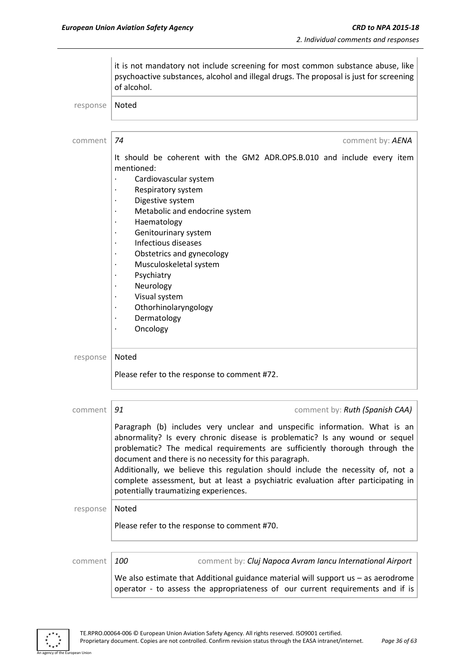|          | it is not mandatory not include screening for most common substance abuse, like<br>psychoactive substances, alcohol and illegal drugs. The proposal is just for screening<br>of alcohol.                                                                                                                                                                                                                                                                                                                             |
|----------|----------------------------------------------------------------------------------------------------------------------------------------------------------------------------------------------------------------------------------------------------------------------------------------------------------------------------------------------------------------------------------------------------------------------------------------------------------------------------------------------------------------------|
| response | Noted                                                                                                                                                                                                                                                                                                                                                                                                                                                                                                                |
| comment  | 74<br>comment by: AENA                                                                                                                                                                                                                                                                                                                                                                                                                                                                                               |
|          | It should be coherent with the GM2 ADR.OPS.B.010 and include every item<br>mentioned:<br>Cardiovascular system<br>Respiratory system<br>Digestive system<br>Metabolic and endocrine system<br>Haematology<br>Genitourinary system<br>$\bullet$<br>Infectious diseases<br>Obstetrics and gynecology<br>Musculoskeletal system<br>Psychiatry<br>Neurology<br>Visual system<br>Othorhinolaryngology<br>Dermatology<br>$\bullet$<br>Oncology<br>$\bullet$                                                                |
| response | Noted<br>Please refer to the response to comment #72.                                                                                                                                                                                                                                                                                                                                                                                                                                                                |
| comment  | 91<br>comment by: Ruth (Spanish CAA)                                                                                                                                                                                                                                                                                                                                                                                                                                                                                 |
|          | Paragraph (b) includes very unclear and unspecific information. What is an<br>abnormality? Is every chronic disease is problematic? Is any wound or sequel<br>problematic? The medical requirements are sufficiently thorough through the<br>document and there is no necessity for this paragraph.<br>Additionally, we believe this regulation should include the necessity of, not a<br>complete assessment, but at least a psychiatric evaluation after participating in<br>potentially traumatizing experiences. |
| response | Noted                                                                                                                                                                                                                                                                                                                                                                                                                                                                                                                |
|          | Please refer to the response to comment #70.                                                                                                                                                                                                                                                                                                                                                                                                                                                                         |
| comment  | comment by: Cluj Napoca Avram Iancu International Airport<br>100                                                                                                                                                                                                                                                                                                                                                                                                                                                     |
|          | We also estimate that Additional guidance material will support us - as aerodrome<br>operator - to assess the appropriateness of our current requirements and if is                                                                                                                                                                                                                                                                                                                                                  |

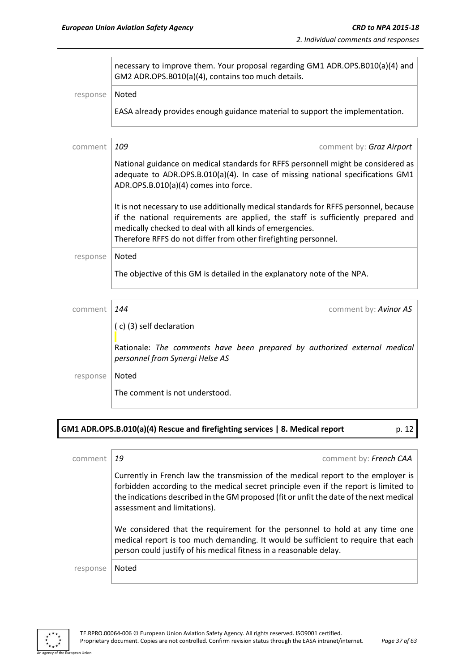|          | necessary to improve them. Your proposal regarding GM1 ADR.OPS.B010(a)(4) and<br>GM2 ADR.OPS.B010(a)(4), contains too much details.                                                                                                                                                                      |
|----------|----------------------------------------------------------------------------------------------------------------------------------------------------------------------------------------------------------------------------------------------------------------------------------------------------------|
| response | <b>Noted</b>                                                                                                                                                                                                                                                                                             |
|          | EASA already provides enough guidance material to support the implementation.                                                                                                                                                                                                                            |
| comment  | 109<br>comment by: Graz Airport                                                                                                                                                                                                                                                                          |
|          | National guidance on medical standards for RFFS personnell might be considered as<br>adequate to ADR.OPS.B.010(a)(4). In case of missing national specifications GM1<br>ADR.OPS.B.010(a)(4) comes into force.                                                                                            |
|          | It is not necessary to use additionally medical standards for RFFS personnel, because<br>if the national requirements are applied, the staff is sufficiently prepared and<br>medically checked to deal with all kinds of emergencies.<br>Therefore RFFS do not differ from other firefighting personnel. |
| response | Noted<br>The objective of this GM is detailed in the explanatory note of the NPA.                                                                                                                                                                                                                        |
|          |                                                                                                                                                                                                                                                                                                          |
| comment  | 144<br>comment by: Avinor AS<br>(c) (3) self declaration                                                                                                                                                                                                                                                 |
|          | Rationale: The comments have been prepared by authorized external medical<br>personnel from Synergi Helse AS                                                                                                                                                                                             |
| response | Noted<br>The comment is not understood.                                                                                                                                                                                                                                                                  |
|          |                                                                                                                                                                                                                                                                                                          |

# **GM1 ADR.OPS.B.010(a)(4) Rescue and firefighting services | 8. Medical report** p. 12

| comment  | comment by: French CAA<br>19                                                                                                                                                                                                                                                                         |
|----------|------------------------------------------------------------------------------------------------------------------------------------------------------------------------------------------------------------------------------------------------------------------------------------------------------|
|          | Currently in French law the transmission of the medical report to the employer is<br>forbidden according to the medical secret principle even if the report is limited to<br>the indications described in the GM proposed (fit or unfit the date of the next medical<br>assessment and limitations). |
|          | We considered that the requirement for the personnel to hold at any time one<br>medical report is too much demanding. It would be sufficient to require that each<br>person could justify of his medical fitness in a reasonable delay.                                                              |
| response | Noted                                                                                                                                                                                                                                                                                                |



an Union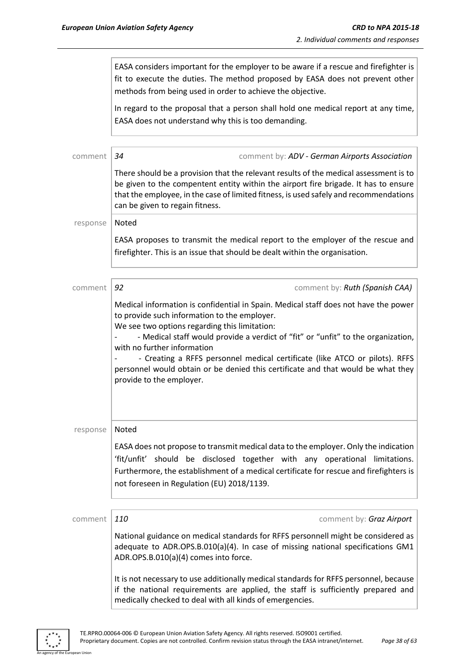EASA considers important for the employer to be aware if a rescue and firefighter is fit to execute the duties. The method proposed by EASA does not prevent other methods from being used in order to achieve the objective. In regard to the proposal that a person shall hold one medical report at any time, EASA does not understand why this is too demanding. comment *34* comment by: *ADV - German Airports Association* There should be a provision that the relevant results of the medical assessment is to be given to the compentent entity within the airport fire brigade. It has to ensure that the employee, in the case of limited fitness, is used safely and recommendations can be given to regain fitness. response | Noted EASA proposes to transmit the medical report to the employer of the rescue and firefighter. This is an issue that should be dealt within the organisation. comment **92 comment 502 comment by:** *Ruth (Spanish CAA)* Medical information is confidential in Spain. Medical staff does not have the power to provide such information to the employer. We see two options regarding this limitation: - Medical staff would provide a verdict of "fit" or "unfit" to the organization, with no further information - Creating a RFFS personnel medical certificate (like ATCO or pilots). RFFS personnel would obtain or be denied this certificate and that would be what they provide to the employer. response | Noted EASA does not propose to transmit medical data to the employer. Only the indication 'fit/unfit' should be disclosed together with any operational limitations. Furthermore, the establishment of a medical certificate for rescue and firefighters is not foreseen in Regulation (EU) 2018/1139. comment *110* comment by: *Graz Airport* National guidance on medical standards for RFFS personnell might be considered as adequate to ADR.OPS.B.010(a)(4). In case of missing national specifications GM1 ADR.OPS.B.010(a)(4) comes into force. It is not necessary to use additionally medical standards for RFFS personnel, because if the national requirements are applied, the staff is sufficiently prepared and



medically checked to deal with all kinds of emergencies.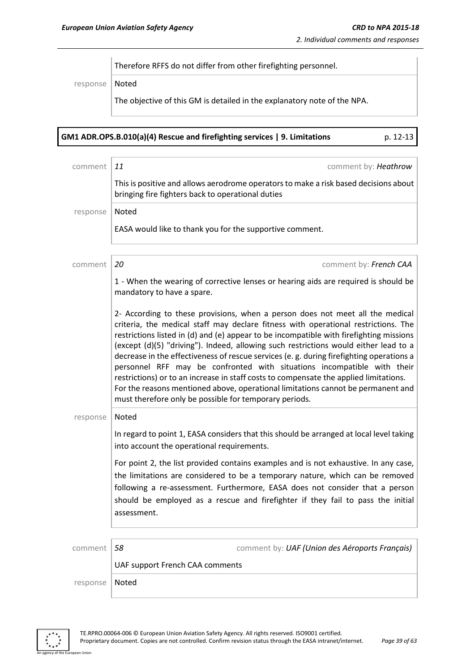Therefore RFFS do not differ from other firefighting personnel.

response Noted

The objective of this GM is detailed in the explanatory note of the NPA.

| GM1 ADR.OPS.B.010(a)(4) Rescue and firefighting services   9. Limitations | p. 12-13 |
|---------------------------------------------------------------------------|----------|
|                                                                           |          |

| comment  | 11<br>comment by: Heathrow                                                                                                                                                                                                                                                                                                                                                                                                                                                                                                                                                                                                                                                                                                                                           |
|----------|----------------------------------------------------------------------------------------------------------------------------------------------------------------------------------------------------------------------------------------------------------------------------------------------------------------------------------------------------------------------------------------------------------------------------------------------------------------------------------------------------------------------------------------------------------------------------------------------------------------------------------------------------------------------------------------------------------------------------------------------------------------------|
|          | This is positive and allows aerodrome operators to make a risk based decisions about<br>bringing fire fighters back to operational duties                                                                                                                                                                                                                                                                                                                                                                                                                                                                                                                                                                                                                            |
| response | Noted                                                                                                                                                                                                                                                                                                                                                                                                                                                                                                                                                                                                                                                                                                                                                                |
|          | EASA would like to thank you for the supportive comment.                                                                                                                                                                                                                                                                                                                                                                                                                                                                                                                                                                                                                                                                                                             |
| comment  | 20<br>comment by: French CAA                                                                                                                                                                                                                                                                                                                                                                                                                                                                                                                                                                                                                                                                                                                                         |
|          | 1 - When the wearing of corrective lenses or hearing aids are required is should be<br>mandatory to have a spare.                                                                                                                                                                                                                                                                                                                                                                                                                                                                                                                                                                                                                                                    |
|          | 2- According to these provisions, when a person does not meet all the medical<br>criteria, the medical staff may declare fitness with operational restrictions. The<br>restrictions listed in (d) and (e) appear to be incompatible with firefighting missions<br>(except (d)(5) "driving"). Indeed, allowing such restrictions would either lead to a<br>decrease in the effectiveness of rescue services (e. g. during firefighting operations a<br>personnel RFF may be confronted with situations incompatible with their<br>restrictions) or to an increase in staff costs to compensate the applied limitations.<br>For the reasons mentioned above, operational limitations cannot be permanent and<br>must therefore only be possible for temporary periods. |
| response | Noted                                                                                                                                                                                                                                                                                                                                                                                                                                                                                                                                                                                                                                                                                                                                                                |
|          | In regard to point 1, EASA considers that this should be arranged at local level taking<br>into account the operational requirements.                                                                                                                                                                                                                                                                                                                                                                                                                                                                                                                                                                                                                                |
|          | For point 2, the list provided contains examples and is not exhaustive. In any case,<br>the limitations are considered to be a temporary nature, which can be removed<br>following a re-assessment. Furthermore, EASA does not consider that a person<br>should be employed as a rescue and firefighter if they fail to pass the initial<br>assessment.                                                                                                                                                                                                                                                                                                                                                                                                              |
|          |                                                                                                                                                                                                                                                                                                                                                                                                                                                                                                                                                                                                                                                                                                                                                                      |
| comment  | 58<br>comment by: UAF (Union des Aéroports Français)                                                                                                                                                                                                                                                                                                                                                                                                                                                                                                                                                                                                                                                                                                                 |
|          | UAF support French CAA comments                                                                                                                                                                                                                                                                                                                                                                                                                                                                                                                                                                                                                                                                                                                                      |
| response | Noted                                                                                                                                                                                                                                                                                                                                                                                                                                                                                                                                                                                                                                                                                                                                                                |



n Union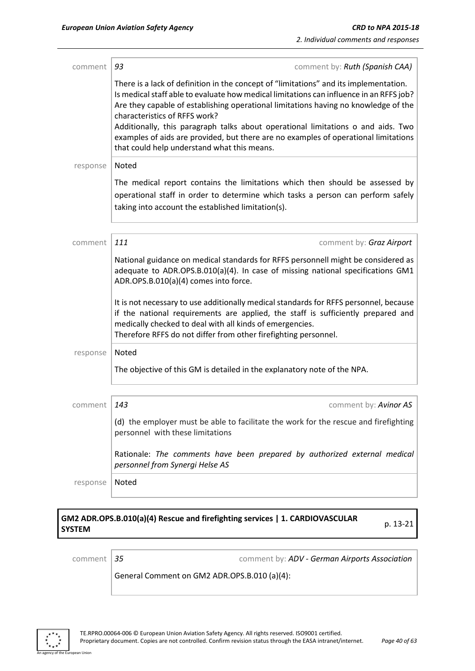| comment  | 93<br>comment by: Ruth (Spanish CAA)                                                                                                                                                                                                                                                                                                                                                                                                                                                                                               |
|----------|------------------------------------------------------------------------------------------------------------------------------------------------------------------------------------------------------------------------------------------------------------------------------------------------------------------------------------------------------------------------------------------------------------------------------------------------------------------------------------------------------------------------------------|
|          | There is a lack of definition in the concept of "limitations" and its implementation.<br>Is medical staff able to evaluate how medical limitations can influence in an RFFS job?<br>Are they capable of establishing operational limitations having no knowledge of the<br>characteristics of RFFS work?<br>Additionally, this paragraph talks about operational limitations o and aids. Two<br>examples of aids are provided, but there are no examples of operational limitations<br>that could help understand what this means. |
| response | Noted                                                                                                                                                                                                                                                                                                                                                                                                                                                                                                                              |
|          | The medical report contains the limitations which then should be assessed by<br>operational staff in order to determine which tasks a person can perform safely<br>taking into account the established limitation(s).                                                                                                                                                                                                                                                                                                              |
| comment  | 111<br>comment by: Graz Airport                                                                                                                                                                                                                                                                                                                                                                                                                                                                                                    |
|          | National guidance on medical standards for RFFS personnell might be considered as<br>adequate to ADR.OPS.B.010(a)(4). In case of missing national specifications GM1<br>ADR.OPS.B.010(a)(4) comes into force.                                                                                                                                                                                                                                                                                                                      |
|          | It is not necessary to use additionally medical standards for RFFS personnel, because<br>if the national requirements are applied, the staff is sufficiently prepared and<br>medically checked to deal with all kinds of emergencies.<br>Therefore RFFS do not differ from other firefighting personnel.                                                                                                                                                                                                                           |
| response | Noted                                                                                                                                                                                                                                                                                                                                                                                                                                                                                                                              |
|          | The objective of this GM is detailed in the explanatory note of the NPA.                                                                                                                                                                                                                                                                                                                                                                                                                                                           |
| comment  | 143<br>comment by: Avinor AS                                                                                                                                                                                                                                                                                                                                                                                                                                                                                                       |
|          | (d) the employer must be able to facilitate the work for the rescue and firefighting<br>personnel with these limitations                                                                                                                                                                                                                                                                                                                                                                                                           |
|          | Rationale: The comments have been prepared by authorized external medical<br>personnel from Synergi Helse AS                                                                                                                                                                                                                                                                                                                                                                                                                       |
| response | Noted                                                                                                                                                                                                                                                                                                                                                                                                                                                                                                                              |

# **GM2 ADR.OPS.B.010(a)(4) Rescue and firefighting services | 1. CARDIOVASCULAR SYSTEM** p. 13-21

an Union

comment *35* comment by: *ADV - German Airports Association*

General Comment on GM2 ADR.OPS.B.010 (a)(4):

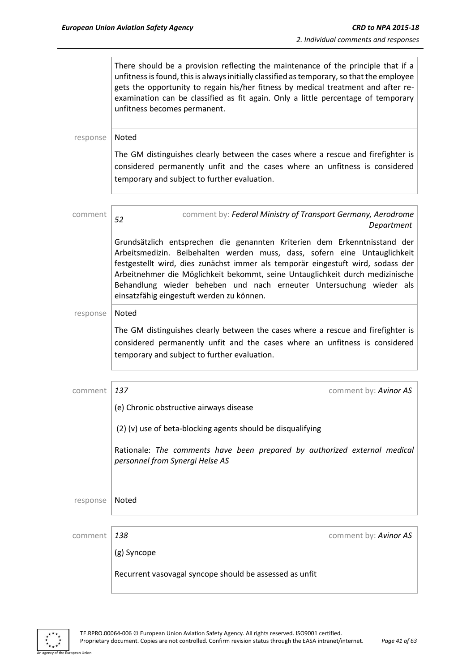|          | There should be a provision reflecting the maintenance of the principle that if a<br>unfitness is found, this is always initially classified as temporary, so that the employee<br>gets the opportunity to regain his/her fitness by medical treatment and after re-<br>examination can be classified as fit again. Only a little percentage of temporary<br>unfitness becomes permanent.                                                      |
|----------|------------------------------------------------------------------------------------------------------------------------------------------------------------------------------------------------------------------------------------------------------------------------------------------------------------------------------------------------------------------------------------------------------------------------------------------------|
| response | Noted                                                                                                                                                                                                                                                                                                                                                                                                                                          |
|          | The GM distinguishes clearly between the cases where a rescue and firefighter is<br>considered permanently unfit and the cases where an unfitness is considered<br>temporary and subject to further evaluation.                                                                                                                                                                                                                                |
| comment  | comment by: Federal Ministry of Transport Germany, Aerodrome<br>52<br>Department                                                                                                                                                                                                                                                                                                                                                               |
|          | Grundsätzlich entsprechen die genannten Kriterien dem Erkenntnisstand der<br>Arbeitsmedizin. Beibehalten werden muss, dass, sofern eine Untauglichkeit<br>festgestellt wird, dies zunächst immer als temporär eingestuft wird, sodass der<br>Arbeitnehmer die Möglichkeit bekommt, seine Untauglichkeit durch medizinische<br>Behandlung wieder beheben und nach erneuter Untersuchung wieder als<br>einsatzfähig eingestuft werden zu können. |
| response | Noted                                                                                                                                                                                                                                                                                                                                                                                                                                          |
|          | The GM distinguishes clearly between the cases where a rescue and firefighter is<br>considered permanently unfit and the cases where an unfitness is considered<br>temporary and subject to further evaluation.                                                                                                                                                                                                                                |
| comment  | 137<br>comment by: Avinor AS                                                                                                                                                                                                                                                                                                                                                                                                                   |
|          | (e) Chronic obstructive airways disease                                                                                                                                                                                                                                                                                                                                                                                                        |
|          | (2) (v) use of beta-blocking agents should be disqualifying                                                                                                                                                                                                                                                                                                                                                                                    |
|          | Rationale: The comments have been prepared by authorized external medical<br>personnel from Synergi Helse AS                                                                                                                                                                                                                                                                                                                                   |
| response | Noted                                                                                                                                                                                                                                                                                                                                                                                                                                          |
| comment  | 138<br>comment by: Avinor AS                                                                                                                                                                                                                                                                                                                                                                                                                   |
|          | (g) Syncope                                                                                                                                                                                                                                                                                                                                                                                                                                    |
|          | Recurrent vasovagal syncope should be assessed as unfit                                                                                                                                                                                                                                                                                                                                                                                        |



т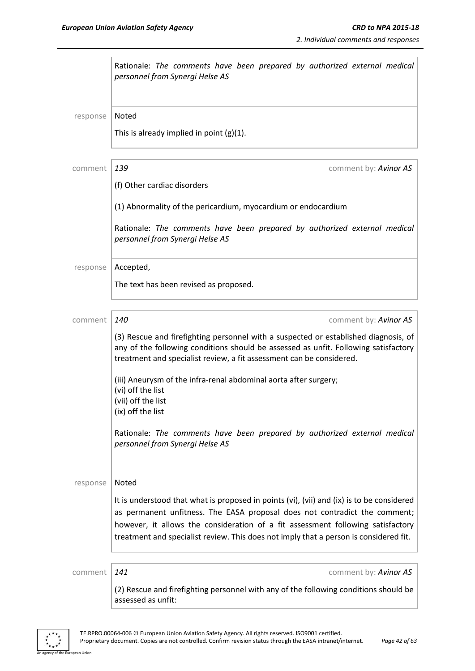|          | Rationale: The comments have been prepared by authorized external medical<br>personnel from Synergi Helse AS                                                                                                                                                                                                                                        |
|----------|-----------------------------------------------------------------------------------------------------------------------------------------------------------------------------------------------------------------------------------------------------------------------------------------------------------------------------------------------------|
| response | Noted                                                                                                                                                                                                                                                                                                                                               |
|          | This is already implied in point $(g)(1)$ .                                                                                                                                                                                                                                                                                                         |
| comment  | 139<br>comment by: Avinor AS                                                                                                                                                                                                                                                                                                                        |
|          | (f) Other cardiac disorders                                                                                                                                                                                                                                                                                                                         |
|          | (1) Abnormality of the pericardium, myocardium or endocardium                                                                                                                                                                                                                                                                                       |
|          | Rationale: The comments have been prepared by authorized external medical<br>personnel from Synergi Helse AS                                                                                                                                                                                                                                        |
| response | Accepted,                                                                                                                                                                                                                                                                                                                                           |
|          | The text has been revised as proposed.                                                                                                                                                                                                                                                                                                              |
| comment  | 140<br>comment by: Avinor AS                                                                                                                                                                                                                                                                                                                        |
|          | (3) Rescue and firefighting personnel with a suspected or established diagnosis, of<br>any of the following conditions should be assessed as unfit. Following satisfactory<br>treatment and specialist review, a fit assessment can be considered.                                                                                                  |
|          | (iii) Aneurysm of the infra-renal abdominal aorta after surgery;<br>(vi) off the list<br>(vii) off the list<br>(ix) off the list                                                                                                                                                                                                                    |
|          | Rationale: The comments have been prepared by authorized external medical<br>personnel from Synergi Helse AS                                                                                                                                                                                                                                        |
| response | Noted                                                                                                                                                                                                                                                                                                                                               |
|          | It is understood that what is proposed in points (vi), (vii) and (ix) is to be considered<br>as permanent unfitness. The EASA proposal does not contradict the comment;<br>however, it allows the consideration of a fit assessment following satisfactory<br>treatment and specialist review. This does not imply that a person is considered fit. |
| comment  | 141<br>comment by: Avinor AS                                                                                                                                                                                                                                                                                                                        |
|          | (2) Rescue and firefighting personnel with any of the following conditions should be<br>assessed as unfit:                                                                                                                                                                                                                                          |

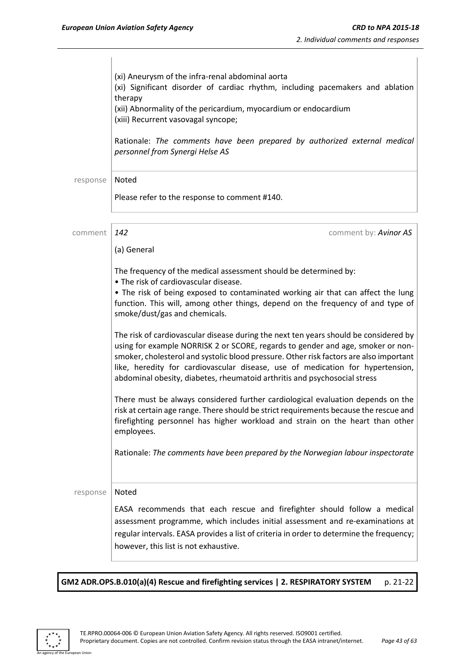$\overline{\phantom{a}}$ 

|          | (xi) Aneurysm of the infra-renal abdominal aorta<br>(xi) Significant disorder of cardiac rhythm, including pacemakers and ablation<br>therapy<br>(xii) Abnormality of the pericardium, myocardium or endocardium<br>(xiii) Recurrent vasovagal syncope;<br>Rationale: The comments have been prepared by authorized external medical<br>personnel from Synergi Helse AS                                                          |  |  |
|----------|----------------------------------------------------------------------------------------------------------------------------------------------------------------------------------------------------------------------------------------------------------------------------------------------------------------------------------------------------------------------------------------------------------------------------------|--|--|
| response | Noted                                                                                                                                                                                                                                                                                                                                                                                                                            |  |  |
|          | Please refer to the response to comment #140.                                                                                                                                                                                                                                                                                                                                                                                    |  |  |
| comment  | 142<br>comment by: Avinor AS                                                                                                                                                                                                                                                                                                                                                                                                     |  |  |
|          | (a) General                                                                                                                                                                                                                                                                                                                                                                                                                      |  |  |
|          | The frequency of the medical assessment should be determined by:<br>• The risk of cardiovascular disease.<br>. The risk of being exposed to contaminated working air that can affect the lung<br>function. This will, among other things, depend on the frequency of and type of<br>smoke/dust/gas and chemicals.                                                                                                                |  |  |
|          | The risk of cardiovascular disease during the next ten years should be considered by<br>using for example NORRISK 2 or SCORE, regards to gender and age, smoker or non-<br>smoker, cholesterol and systolic blood pressure. Other risk factors are also important<br>like, heredity for cardiovascular disease, use of medication for hypertension,<br>abdominal obesity, diabetes, rheumatoid arthritis and psychosocial stress |  |  |
|          | There must be always considered further cardiological evaluation depends on the<br>risk at certain age range. There should be strict requirements because the rescue and<br>firefighting personnel has higher workload and strain on the heart than other<br>employees.                                                                                                                                                          |  |  |
|          | Rationale: The comments have been prepared by the Norwegian labour inspectorate                                                                                                                                                                                                                                                                                                                                                  |  |  |
| response | Noted                                                                                                                                                                                                                                                                                                                                                                                                                            |  |  |
|          | EASA recommends that each rescue and firefighter should follow a medical<br>assessment programme, which includes initial assessment and re-examinations at<br>regular intervals. EASA provides a list of criteria in order to determine the frequency;<br>however, this list is not exhaustive.                                                                                                                                  |  |  |

GM2 ADR.OPS.B.010(a)(4) Rescue and firefighting services | 2. RESPIRATORY SYSTEM p. 21-22



an Union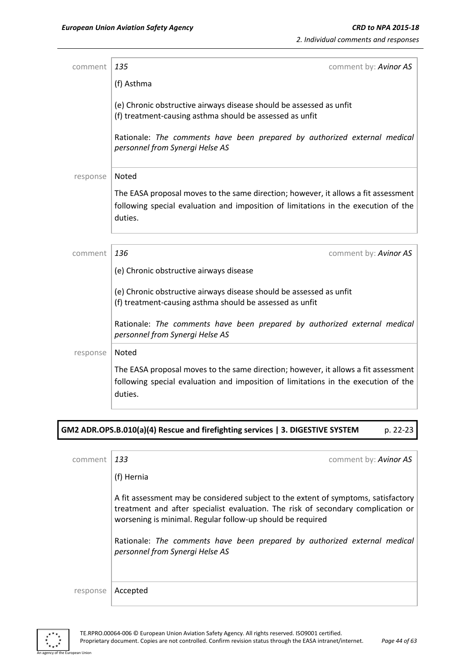| comment                                                                                                                                                                             | 135<br>comment by: Avinor AS                                                                                                                                                        |  |
|-------------------------------------------------------------------------------------------------------------------------------------------------------------------------------------|-------------------------------------------------------------------------------------------------------------------------------------------------------------------------------------|--|
|                                                                                                                                                                                     | (f) Asthma                                                                                                                                                                          |  |
|                                                                                                                                                                                     | (e) Chronic obstructive airways disease should be assessed as unfit<br>(f) treatment-causing asthma should be assessed as unfit                                                     |  |
|                                                                                                                                                                                     | Rationale: The comments have been prepared by authorized external medical<br>personnel from Synergi Helse AS                                                                        |  |
| response                                                                                                                                                                            | Noted                                                                                                                                                                               |  |
| The EASA proposal moves to the same direction; however, it allows a fit assessment<br>following special evaluation and imposition of limitations in the execution of the<br>duties. |                                                                                                                                                                                     |  |
|                                                                                                                                                                                     |                                                                                                                                                                                     |  |
| comment                                                                                                                                                                             | comment by: Avinor AS<br>136                                                                                                                                                        |  |
|                                                                                                                                                                                     | (e) Chronic obstructive airways disease                                                                                                                                             |  |
|                                                                                                                                                                                     | (e) Chronic obstructive airways disease should be assessed as unfit<br>(f) treatment-causing asthma should be assessed as unfit                                                     |  |
|                                                                                                                                                                                     | Rationale: The comments have been prepared by authorized external medical<br>personnel from Synergi Helse AS                                                                        |  |
| response                                                                                                                                                                            | Noted                                                                                                                                                                               |  |
|                                                                                                                                                                                     | The EASA proposal moves to the same direction; however, it allows a fit assessment<br>following special evaluation and imposition of limitations in the execution of the<br>duties. |  |
|                                                                                                                                                                                     |                                                                                                                                                                                     |  |

# **GM2 ADR.OPS.B.010(a)(4) Rescue and firefighting services | 3. DIGESTIVE SYSTEM** p. 22-23

| comment  | comment by: Avinor AS<br>133                                                                                                                                                                                                         |
|----------|--------------------------------------------------------------------------------------------------------------------------------------------------------------------------------------------------------------------------------------|
|          | (f) Hernia                                                                                                                                                                                                                           |
|          | A fit assessment may be considered subject to the extent of symptoms, satisfactory<br>treatment and after specialist evaluation. The risk of secondary complication or<br>worsening is minimal. Regular follow-up should be required |
|          | Rationale: The comments have been prepared by authorized external medical<br>personnel from Synergi Helse AS                                                                                                                         |
|          |                                                                                                                                                                                                                                      |
| response | Accepted                                                                                                                                                                                                                             |



ean Union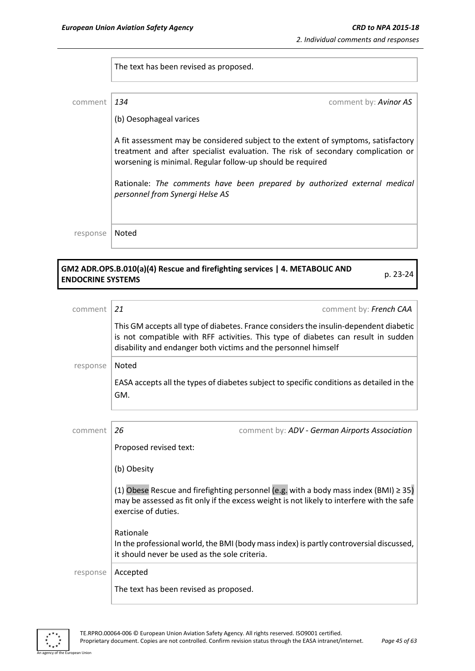The text has been revised as proposed.

| comment  | 134<br>comment by: Avinor AS                                                                                                                                                                                                         |
|----------|--------------------------------------------------------------------------------------------------------------------------------------------------------------------------------------------------------------------------------------|
|          | (b) Oesophageal varices                                                                                                                                                                                                              |
|          | A fit assessment may be considered subject to the extent of symptoms, satisfactory<br>treatment and after specialist evaluation. The risk of secondary complication or<br>worsening is minimal. Regular follow-up should be required |
|          | Rationale: The comments have been prepared by authorized external medical<br>personnel from Synergi Helse AS                                                                                                                         |
| response | Noted                                                                                                                                                                                                                                |
|          |                                                                                                                                                                                                                                      |

# **GM2 ADR.OPS.B.010(a)(4) Rescue and firefighting services | 4. METABOLIC AND ENDOCRINE SYSTEMS** p. 23-24

| comment  | 21<br>comment by: French CAA                                                                                                                                                                                                                 |  |
|----------|----------------------------------------------------------------------------------------------------------------------------------------------------------------------------------------------------------------------------------------------|--|
|          | This GM accepts all type of diabetes. France considers the insulin-dependent diabetic<br>is not compatible with RFF activities. This type of diabetes can result in sudden<br>disability and endanger both victims and the personnel himself |  |
| response | Noted                                                                                                                                                                                                                                        |  |
|          | EASA accepts all the types of diabetes subject to specific conditions as detailed in the<br>GM.                                                                                                                                              |  |
|          |                                                                                                                                                                                                                                              |  |
| comment  | 26<br>comment by: ADV - German Airports Association                                                                                                                                                                                          |  |
|          | Proposed revised text:                                                                                                                                                                                                                       |  |
|          | (b) Obesity                                                                                                                                                                                                                                  |  |
|          | (1) Obese Rescue and firefighting personnel (e.g. with a body mass index (BMI) $\geq$ 35)<br>may be assessed as fit only if the excess weight is not likely to interfere with the safe<br>exercise of duties.                                |  |
|          | Rationale                                                                                                                                                                                                                                    |  |

In the professional world, the BMI (body mass index) is partly controversial discussed, it should never be used as the sole criteria.

response | Accepted

an Hinio

The text has been revised as proposed.

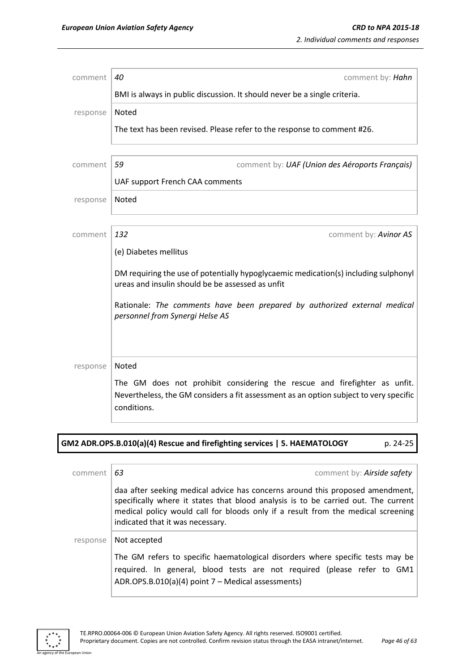| comment  | 40<br>comment by: Hahn                                                                                                                                                            |  |  |  |
|----------|-----------------------------------------------------------------------------------------------------------------------------------------------------------------------------------|--|--|--|
|          | BMI is always in public discussion. It should never be a single criteria.                                                                                                         |  |  |  |
| response | Noted                                                                                                                                                                             |  |  |  |
|          | The text has been revised. Please refer to the response to comment #26.                                                                                                           |  |  |  |
|          |                                                                                                                                                                                   |  |  |  |
| comment  | 59<br>comment by: UAF (Union des Aéroports Français)                                                                                                                              |  |  |  |
|          | UAF support French CAA comments                                                                                                                                                   |  |  |  |
| response | Noted                                                                                                                                                                             |  |  |  |
|          |                                                                                                                                                                                   |  |  |  |
| comment  | 132<br>comment by: Avinor AS                                                                                                                                                      |  |  |  |
|          | (e) Diabetes mellitus                                                                                                                                                             |  |  |  |
|          | DM requiring the use of potentially hypoglycaemic medication(s) including sulphonyl<br>ureas and insulin should be be assessed as unfit                                           |  |  |  |
|          | Rationale: The comments have been prepared by authorized external medical<br>personnel from Synergi Helse AS                                                                      |  |  |  |
|          |                                                                                                                                                                                   |  |  |  |
| response | Noted                                                                                                                                                                             |  |  |  |
|          | The GM does not prohibit considering the rescue and firefighter as unfit.<br>Nevertheless, the GM considers a fit assessment as an option subject to very specific<br>conditions. |  |  |  |

# **GM2 ADR.OPS.B.010(a)(4) Rescue and firefighting services | 5. HAEMATOLOGY** p. 24-25

| comment  | comment by: Airside safety<br>63                                                                                                                                                                                                                                                            |
|----------|---------------------------------------------------------------------------------------------------------------------------------------------------------------------------------------------------------------------------------------------------------------------------------------------|
|          | daa after seeking medical advice has concerns around this proposed amendment,<br>specifically where it states that blood analysis is to be carried out. The current<br>medical policy would call for bloods only if a result from the medical screening<br>indicated that it was necessary. |
| response | Not accepted<br>The GM refers to specific haematological disorders where specific tests may be<br>required. In general, blood tests are not required (please refer to GM1<br>ADR.OPS.B.010(a)(4) point 7 – Medical assessments)                                                             |



an Union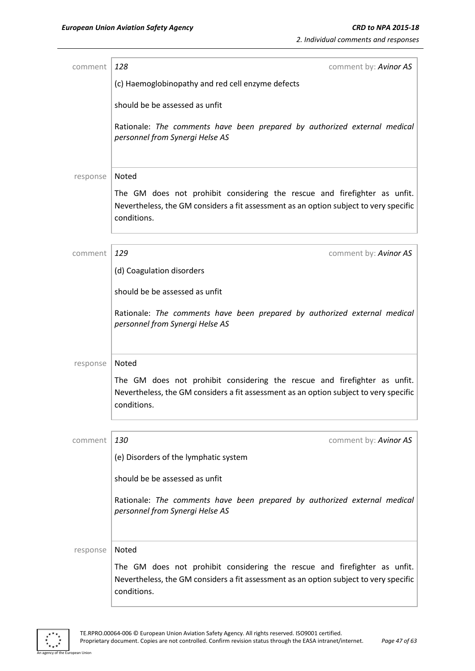| comment                        | 128<br>comment by: Avinor AS                                                                                                                                                      |  |  |
|--------------------------------|-----------------------------------------------------------------------------------------------------------------------------------------------------------------------------------|--|--|
|                                | (c) Haemoglobinopathy and red cell enzyme defects                                                                                                                                 |  |  |
|                                | should be be assessed as unfit                                                                                                                                                    |  |  |
|                                | Rationale: The comments have been prepared by authorized external medical<br>personnel from Synergi Helse AS                                                                      |  |  |
| response                       | Noted                                                                                                                                                                             |  |  |
|                                | The GM does not prohibit considering the rescue and firefighter as unfit.<br>Nevertheless, the GM considers a fit assessment as an option subject to very specific<br>conditions. |  |  |
| comment                        | 129<br>comment by: Avinor AS                                                                                                                                                      |  |  |
|                                | (d) Coagulation disorders                                                                                                                                                         |  |  |
|                                |                                                                                                                                                                                   |  |  |
| should be be assessed as unfit |                                                                                                                                                                                   |  |  |
|                                | Rationale: The comments have been prepared by authorized external medical<br>personnel from Synergi Helse AS                                                                      |  |  |
| response                       | Noted                                                                                                                                                                             |  |  |
|                                | The GM does not prohibit considering the rescue and firefighter as unfit.<br>Nevertheless, the GM considers a fit assessment as an option subject to very specific<br>conditions. |  |  |
| comment                        | 130<br>comment by: Avinor AS                                                                                                                                                      |  |  |
|                                | (e) Disorders of the lymphatic system                                                                                                                                             |  |  |
|                                |                                                                                                                                                                                   |  |  |
|                                | should be be assessed as unfit                                                                                                                                                    |  |  |
|                                | Rationale: The comments have been prepared by authorized external medical<br>personnel from Synergi Helse AS                                                                      |  |  |
| response                       | Noted                                                                                                                                                                             |  |  |
|                                | The GM does not prohibit considering the rescue and firefighter as unfit.                                                                                                         |  |  |
|                                | Nevertheless, the GM considers a fit assessment as an option subject to very specific<br>conditions.                                                                              |  |  |

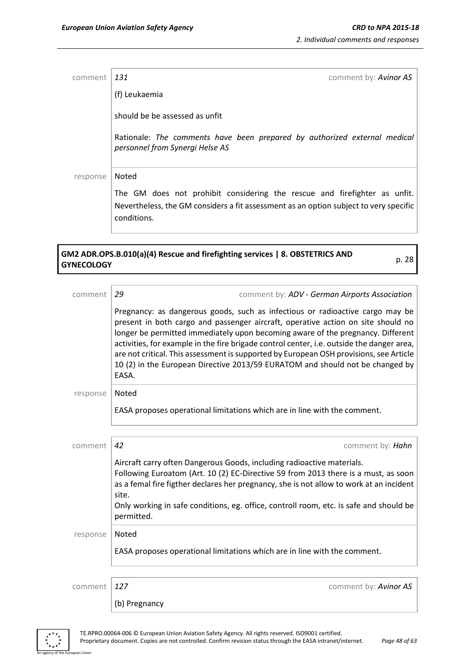| comment  | 131<br>comment by: <b>Avinor AS</b>                                                                                                                                               |
|----------|-----------------------------------------------------------------------------------------------------------------------------------------------------------------------------------|
|          | (f) Leukaemia                                                                                                                                                                     |
|          | should be be assessed as unfit                                                                                                                                                    |
|          | Rationale: The comments have been prepared by authorized external medical<br>personnel from Synergi Helse AS                                                                      |
| response | Noted                                                                                                                                                                             |
|          | The GM does not prohibit considering the rescue and firefighter as unfit.<br>Nevertheless, the GM considers a fit assessment as an option subject to very specific<br>conditions. |

# **GM2 ADR.OPS.B.010(a)(4) Rescue and firefighting services | 8. OBSTETRICS AND GYNECOLOGY** p. 28

| comment  | 29                                                                                            | comment by: ADV - German Airports Association                                                                                                                                                                                                                                                                                                                                                                                                                                                                                |  |  |
|----------|-----------------------------------------------------------------------------------------------|------------------------------------------------------------------------------------------------------------------------------------------------------------------------------------------------------------------------------------------------------------------------------------------------------------------------------------------------------------------------------------------------------------------------------------------------------------------------------------------------------------------------------|--|--|
|          | EASA.                                                                                         | Pregnancy: as dangerous goods, such as infectious or radioactive cargo may be<br>present in both cargo and passenger aircraft, operative action on site should no<br>longer be permitted immediately upon becoming aware of the pregnancy. Different<br>activities, for example in the fire brigade control center, i.e. outside the danger area,<br>are not critical. This assessment is supported by European OSH provisions, see Article<br>10 (2) in the European Directive 2013/59 EURATOM and should not be changed by |  |  |
| response | Noted                                                                                         |                                                                                                                                                                                                                                                                                                                                                                                                                                                                                                                              |  |  |
|          | EASA proposes operational limitations which are in line with the comment.                     |                                                                                                                                                                                                                                                                                                                                                                                                                                                                                                                              |  |  |
|          |                                                                                               |                                                                                                                                                                                                                                                                                                                                                                                                                                                                                                                              |  |  |
| comment  | 42                                                                                            | comment by: Hahn                                                                                                                                                                                                                                                                                                                                                                                                                                                                                                             |  |  |
|          | Aircraft carry often Dangerous Goods, including radioactive materials.<br>site.<br>permitted. | Following Euroatom (Art. 10 (2) EC-Directive 59 from 2013 there is a must, as soon<br>as a femal fire figther declares her pregnancy, she is not allow to work at an incident<br>Only working in safe conditions, eg. office, controll room, etc. is safe and should be                                                                                                                                                                                                                                                      |  |  |
| response | Noted                                                                                         |                                                                                                                                                                                                                                                                                                                                                                                                                                                                                                                              |  |  |
|          | EASA proposes operational limitations which are in line with the comment.                     |                                                                                                                                                                                                                                                                                                                                                                                                                                                                                                                              |  |  |
|          |                                                                                               |                                                                                                                                                                                                                                                                                                                                                                                                                                                                                                                              |  |  |
| comment  | 127                                                                                           | comment by: Avinor AS                                                                                                                                                                                                                                                                                                                                                                                                                                                                                                        |  |  |
|          | (b) Pregnancy                                                                                 |                                                                                                                                                                                                                                                                                                                                                                                                                                                                                                                              |  |  |



an Union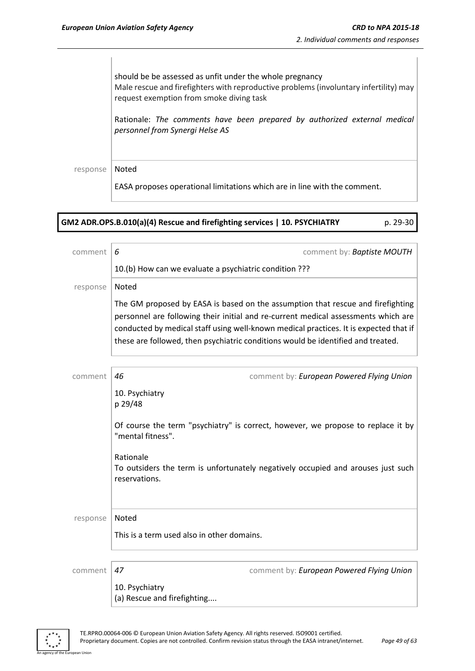should be be assessed as unfit under the whole pregnancy Male rescue and firefighters with reproductive problems (involuntary infertility) may request exemption from smoke diving task

Rationale: *The comments have been prepared by authorized external medical personnel from Synergi Helse AS* 

response | Noted

EASA proposes operational limitations which are in line with the comment.

| GM2 ADR.OPS.B.010(a)(4) Rescue and firefighting services   10. PSYCHIATRY | p. 29-30 |
|---------------------------------------------------------------------------|----------|
|                                                                           |          |

| comment  | 6<br>comment by: Baptiste MOUTH                                                                                                                                                                                                                                                                                                                    |
|----------|----------------------------------------------------------------------------------------------------------------------------------------------------------------------------------------------------------------------------------------------------------------------------------------------------------------------------------------------------|
|          | 10.(b) How can we evaluate a psychiatric condition ???                                                                                                                                                                                                                                                                                             |
| response | Noted                                                                                                                                                                                                                                                                                                                                              |
|          | The GM proposed by EASA is based on the assumption that rescue and firefighting<br>personnel are following their initial and re-current medical assessments which are<br>conducted by medical staff using well-known medical practices. It is expected that if<br>these are followed, then psychiatric conditions would be identified and treated. |
| comment  | 46<br>comment by: European Powered Flying Union                                                                                                                                                                                                                                                                                                    |
|          | 10. Psychiatry<br>p 29/48                                                                                                                                                                                                                                                                                                                          |
|          | Of course the term "psychiatry" is correct, however, we propose to replace it by<br>"mental fitness".                                                                                                                                                                                                                                              |
|          | Rationale<br>To outsiders the term is unfortunately negatively occupied and arouses just such<br>reservations.                                                                                                                                                                                                                                     |
| response | Noted                                                                                                                                                                                                                                                                                                                                              |
|          | This is a term used also in other domains.                                                                                                                                                                                                                                                                                                         |
| comment  | comment by: European Powered Flying Union<br>47                                                                                                                                                                                                                                                                                                    |
|          | 10. Psychiatry                                                                                                                                                                                                                                                                                                                                     |

(a) Rescue and firefighting....



n Hoio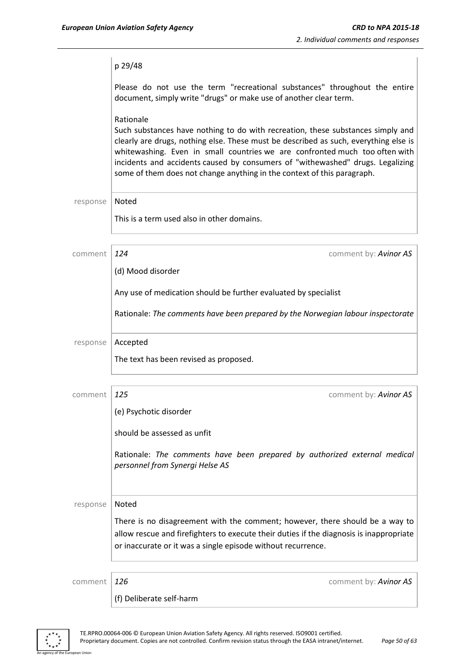|          | p 29/48                                                                                                                                                                                                                                                                                                                                                                                                                          |
|----------|----------------------------------------------------------------------------------------------------------------------------------------------------------------------------------------------------------------------------------------------------------------------------------------------------------------------------------------------------------------------------------------------------------------------------------|
|          | Please do not use the term "recreational substances" throughout the entire<br>document, simply write "drugs" or make use of another clear term.                                                                                                                                                                                                                                                                                  |
|          | Rationale<br>Such substances have nothing to do with recreation, these substances simply and<br>clearly are drugs, nothing else. These must be described as such, everything else is<br>whitewashing. Even in small countries we are confronted much too often with<br>incidents and accidents caused by consumers of "withewashed" drugs. Legalizing<br>some of them does not change anything in the context of this paragraph. |
| response | Noted                                                                                                                                                                                                                                                                                                                                                                                                                            |
|          | This is a term used also in other domains.                                                                                                                                                                                                                                                                                                                                                                                       |
| comment  | 124<br>comment by: Avinor AS                                                                                                                                                                                                                                                                                                                                                                                                     |
|          | (d) Mood disorder                                                                                                                                                                                                                                                                                                                                                                                                                |
|          | Any use of medication should be further evaluated by specialist                                                                                                                                                                                                                                                                                                                                                                  |
|          | Rationale: The comments have been prepared by the Norwegian labour inspectorate                                                                                                                                                                                                                                                                                                                                                  |
| response | Accepted                                                                                                                                                                                                                                                                                                                                                                                                                         |
|          | The text has been revised as proposed.                                                                                                                                                                                                                                                                                                                                                                                           |
| comment  | 125<br>comment by: Avinor AS                                                                                                                                                                                                                                                                                                                                                                                                     |
|          | (e) Psychotic disorder                                                                                                                                                                                                                                                                                                                                                                                                           |
|          | should be assessed as unfit                                                                                                                                                                                                                                                                                                                                                                                                      |
|          | Rationale: The comments have been prepared by authorized external medical<br>personnel from Synergi Helse AS                                                                                                                                                                                                                                                                                                                     |
| response | Noted                                                                                                                                                                                                                                                                                                                                                                                                                            |
|          | There is no disagreement with the comment; however, there should be a way to<br>allow rescue and firefighters to execute their duties if the diagnosis is inappropriate<br>or inaccurate or it was a single episode without recurrence.                                                                                                                                                                                          |
|          | 126<br>comment by: Avinor AS                                                                                                                                                                                                                                                                                                                                                                                                     |
| comment  |                                                                                                                                                                                                                                                                                                                                                                                                                                  |
|          | (f) Deliberate self-harm                                                                                                                                                                                                                                                                                                                                                                                                         |

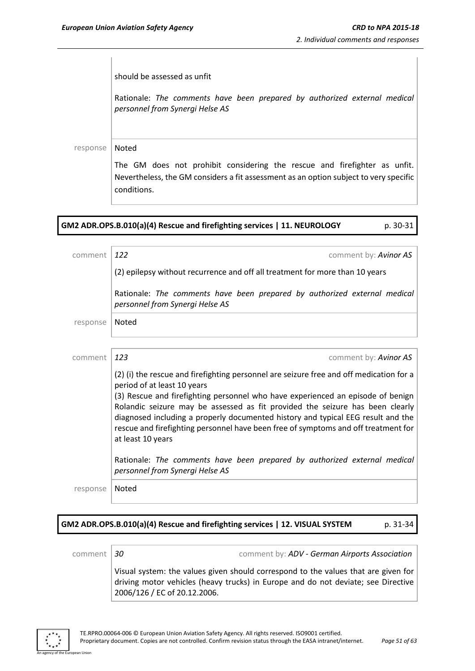should be assessed as unfit Rationale: *The comments have been prepared by authorized external medical personnel from Synergi Helse AS*  response | Noted The GM does not prohibit considering the rescue and firefighter as unfit. Nevertheless, the GM considers a fit assessment as an option subject to very specific conditions.

| GM2 ADR.OPS.B.010(a)(4) Rescue and firefighting services   11. NEUROLOGY | p. 30-31 |
|--------------------------------------------------------------------------|----------|
|                                                                          |          |

| comment  | 122<br>comment by: Avinor AS                                                                                                                                                                                                                                                                                                                                    |
|----------|-----------------------------------------------------------------------------------------------------------------------------------------------------------------------------------------------------------------------------------------------------------------------------------------------------------------------------------------------------------------|
|          | (2) epilepsy without recurrence and off all treatment for more than 10 years                                                                                                                                                                                                                                                                                    |
|          | Rationale: The comments have been prepared by authorized external medical<br>personnel from Synergi Helse AS                                                                                                                                                                                                                                                    |
| response | Noted                                                                                                                                                                                                                                                                                                                                                           |
|          |                                                                                                                                                                                                                                                                                                                                                                 |
| comment  | 123<br>comment by: <b>Avinor AS</b>                                                                                                                                                                                                                                                                                                                             |
|          | (2) (i) the rescue and firefighting personnel are seizure free and off medication for a<br>period of at least 10 years                                                                                                                                                                                                                                          |
|          | (3) Rescue and firefighting personnel who have experienced an episode of benign<br>Rolandic seizure may be assessed as fit provided the seizure has been clearly<br>diagnosed including a properly documented history and typical EEG result and the<br>rescue and firefighting personnel have been free of symptoms and off treatment for<br>at least 10 years |
|          | Rationale: The comments have been prepared by authorized external medical<br>personnel from Synergi Helse AS                                                                                                                                                                                                                                                    |
| response | Noted                                                                                                                                                                                                                                                                                                                                                           |
|          |                                                                                                                                                                                                                                                                                                                                                                 |

### **GM2 ADR.OPS.B.010(a)(4) Rescue and firefighting services | 12. VISUAL SYSTEM** p. 31-34

comment *30* comment by: *ADV - German Airports Association*

Visual system: the values given should correspond to the values that are given for driving motor vehicles (heavy trucks) in Europe and do not deviate; see Directive 2006/126 / EC of 20.12.2006.

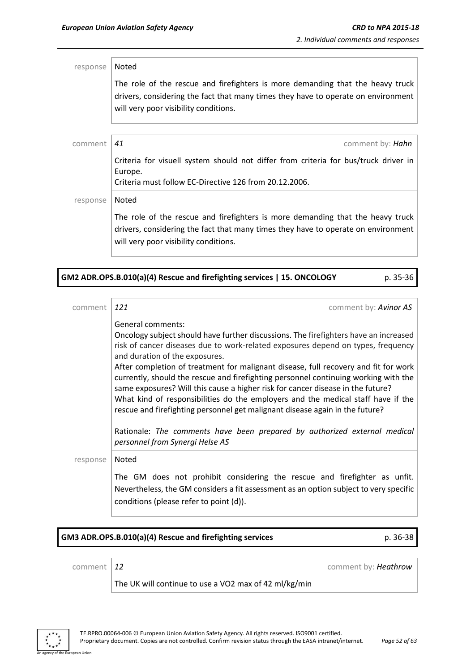response | Noted The role of the rescue and firefighters is more demanding that the heavy truck drivers, considering the fact that many times they have to operate on environment will very poor visibility conditions. comment *41* comment by: *Hahn* Criteria for visuell system should not differ from criteria for bus/truck driver in Europe. Criteria must follow EC-Directive 126 from 20.12.2006. response | Noted The role of the rescue and firefighters is more demanding that the heavy truck drivers, considering the fact that many times they have to operate on environment will very poor visibility conditions.

| GM2 ADR.OPS.B.010(a)(4) Rescue and firefighting services   15. ONCOLOGY |  | p. 35-36 |
|-------------------------------------------------------------------------|--|----------|
|-------------------------------------------------------------------------|--|----------|

| comment  | 121<br>comment by: <b>Avinor AS</b>                                                                                                                                                                                                                                                                                                                                                                                                                                                              |
|----------|--------------------------------------------------------------------------------------------------------------------------------------------------------------------------------------------------------------------------------------------------------------------------------------------------------------------------------------------------------------------------------------------------------------------------------------------------------------------------------------------------|
|          | General comments:<br>Oncology subject should have further discussions. The firefighters have an increased<br>risk of cancer diseases due to work-related exposures depend on types, frequency<br>and duration of the exposures.<br>After completion of treatment for malignant disease, full recovery and fit for work<br>currently, should the rescue and firefighting personnel continuing working with the<br>same exposures? Will this cause a higher risk for cancer disease in the future? |
|          | What kind of responsibilities do the employers and the medical staff have if the<br>rescue and firefighting personnel get malignant disease again in the future?                                                                                                                                                                                                                                                                                                                                 |
|          | Rationale: The comments have been prepared by authorized external medical<br>personnel from Synergi Helse AS                                                                                                                                                                                                                                                                                                                                                                                     |
| response | Noted                                                                                                                                                                                                                                                                                                                                                                                                                                                                                            |
|          | The GM does not prohibit considering the rescue and firefighter as unfit.<br>Nevertheless, the GM considers a fit assessment as an option subject to very specific<br>conditions (please refer to point (d)).                                                                                                                                                                                                                                                                                    |

### **GM3 ADR.OPS.B.010(a)(4) Rescue and firefighting services** p. 36-38

comment *12* comment by: *Heathrow*

The UK will continue to use a VO2 max of 42 ml/kg/min

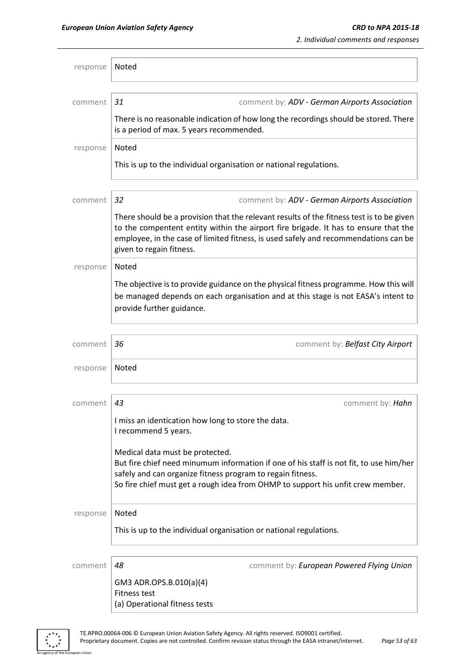| response | Noted                                                                                                                                                                                                                                                                                              |
|----------|----------------------------------------------------------------------------------------------------------------------------------------------------------------------------------------------------------------------------------------------------------------------------------------------------|
| comment  | 31<br>comment by: ADV - German Airports Association                                                                                                                                                                                                                                                |
|          | There is no reasonable indication of how long the recordings should be stored. There<br>is a period of max. 5 years recommended.                                                                                                                                                                   |
| response | Noted                                                                                                                                                                                                                                                                                              |
|          | This is up to the individual organisation or national regulations.                                                                                                                                                                                                                                 |
| comment  | 32<br>comment by: ADV - German Airports Association                                                                                                                                                                                                                                                |
|          | There should be a provision that the relevant results of the fitness test is to be given<br>to the compentent entity within the airport fire brigade. It has to ensure that the<br>employee, in the case of limited fitness, is used safely and recommendations can be<br>given to regain fitness. |
| response | Noted                                                                                                                                                                                                                                                                                              |
|          | The objective is to provide guidance on the physical fitness programme. How this will<br>be managed depends on each organisation and at this stage is not EASA's intent to<br>provide further guidance.                                                                                            |
| comment  | comment by: Belfast City Airport<br>36                                                                                                                                                                                                                                                             |
| response | <b>Noted</b>                                                                                                                                                                                                                                                                                       |
| comment  | 43<br>comment by: Hahn                                                                                                                                                                                                                                                                             |
|          | I miss an identication how long to store the data.<br>I recommend 5 years.                                                                                                                                                                                                                         |
|          | Medical data must be protected.<br>But fire chief need minumum information if one of his staff is not fit, to use him/her<br>safely and can organize fitness program to regain fitness.<br>So fire chief must get a rough idea from OHMP to support his unfit crew member.                         |
| response | Noted                                                                                                                                                                                                                                                                                              |
|          | This is up to the individual organisation or national regulations.                                                                                                                                                                                                                                 |
| comment  | 48<br>comment by: European Powered Flying Union                                                                                                                                                                                                                                                    |
|          | GM3 ADR.OPS.B.010(a)(4)<br><b>Fitness test</b><br>(a) Operational fitness tests                                                                                                                                                                                                                    |

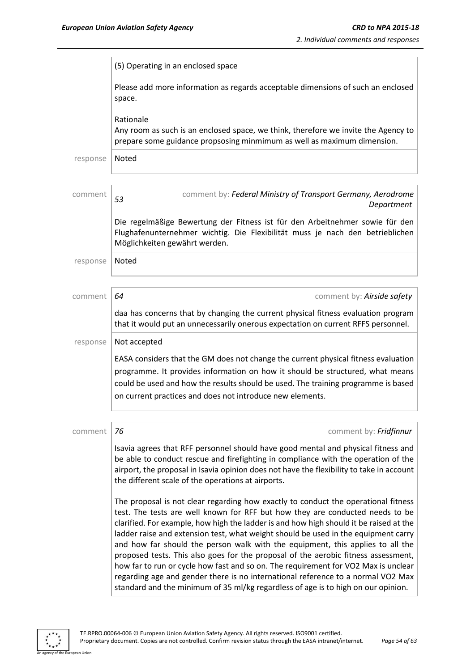|          | (5) Operating in an enclosed space                                                                                                                                                                                                                                                                                                                                                                                                                                                                                                                                                                                                                                                                                                                                                         |
|----------|--------------------------------------------------------------------------------------------------------------------------------------------------------------------------------------------------------------------------------------------------------------------------------------------------------------------------------------------------------------------------------------------------------------------------------------------------------------------------------------------------------------------------------------------------------------------------------------------------------------------------------------------------------------------------------------------------------------------------------------------------------------------------------------------|
|          | Please add more information as regards acceptable dimensions of such an enclosed<br>space.                                                                                                                                                                                                                                                                                                                                                                                                                                                                                                                                                                                                                                                                                                 |
|          | Rationale<br>Any room as such is an enclosed space, we think, therefore we invite the Agency to<br>prepare some guidance propsosing minmimum as well as maximum dimension.                                                                                                                                                                                                                                                                                                                                                                                                                                                                                                                                                                                                                 |
| response | Noted                                                                                                                                                                                                                                                                                                                                                                                                                                                                                                                                                                                                                                                                                                                                                                                      |
|          |                                                                                                                                                                                                                                                                                                                                                                                                                                                                                                                                                                                                                                                                                                                                                                                            |
| comment  | comment by: Federal Ministry of Transport Germany, Aerodrome<br>53<br>Department                                                                                                                                                                                                                                                                                                                                                                                                                                                                                                                                                                                                                                                                                                           |
|          | Die regelmäßige Bewertung der Fitness ist für den Arbeitnehmer sowie für den<br>Flughafenunternehmer wichtig. Die Flexibilität muss je nach den betrieblichen<br>Möglichkeiten gewährt werden.                                                                                                                                                                                                                                                                                                                                                                                                                                                                                                                                                                                             |
| response | Noted                                                                                                                                                                                                                                                                                                                                                                                                                                                                                                                                                                                                                                                                                                                                                                                      |
|          |                                                                                                                                                                                                                                                                                                                                                                                                                                                                                                                                                                                                                                                                                                                                                                                            |
| comment  | 64<br>comment by: Airside safety                                                                                                                                                                                                                                                                                                                                                                                                                                                                                                                                                                                                                                                                                                                                                           |
|          | daa has concerns that by changing the current physical fitness evaluation program<br>that it would put an unnecessarily onerous expectation on current RFFS personnel.                                                                                                                                                                                                                                                                                                                                                                                                                                                                                                                                                                                                                     |
| response | Not accepted                                                                                                                                                                                                                                                                                                                                                                                                                                                                                                                                                                                                                                                                                                                                                                               |
|          | EASA considers that the GM does not change the current physical fitness evaluation<br>programme. It provides information on how it should be structured, what means<br>could be used and how the results should be used. The training programme is based<br>on current practices and does not introduce new elements.                                                                                                                                                                                                                                                                                                                                                                                                                                                                      |
| comment  | 76<br>comment by: Fridfinnur                                                                                                                                                                                                                                                                                                                                                                                                                                                                                                                                                                                                                                                                                                                                                               |
|          | Isavia agrees that RFF personnel should have good mental and physical fitness and<br>be able to conduct rescue and firefighting in compliance with the operation of the<br>airport, the proposal in Isavia opinion does not have the flexibility to take in account<br>the different scale of the operations at airports.                                                                                                                                                                                                                                                                                                                                                                                                                                                                  |
|          | The proposal is not clear regarding how exactly to conduct the operational fitness<br>test. The tests are well known for RFF but how they are conducted needs to be<br>clarified. For example, how high the ladder is and how high should it be raised at the<br>ladder raise and extension test, what weight should be used in the equipment carry<br>and how far should the person walk with the equipment, this applies to all the<br>proposed tests. This also goes for the proposal of the aerobic fitness assessment,<br>how far to run or cycle how fast and so on. The requirement for VO2 Max is unclear<br>regarding age and gender there is no international reference to a normal VO2 Max<br>standard and the minimum of 35 ml/kg regardless of age is to high on our opinion. |

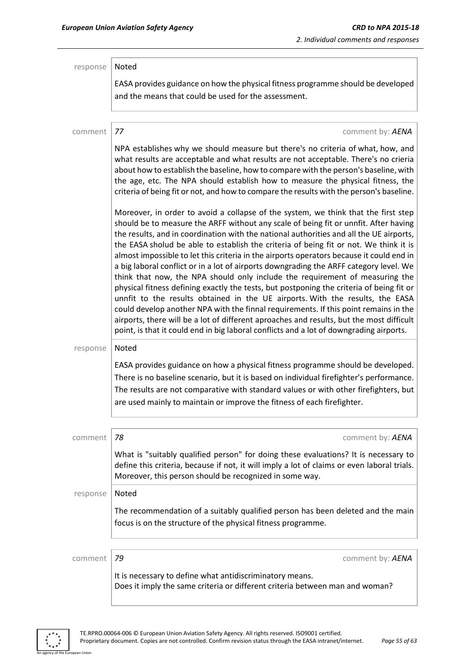| response | Noted<br>EASA provides guidance on how the physical fitness programme should be developed                                                                                                                                                                                                                                                                                                                                                                                                                                                                                                                                                                                                                                                                                                                                                                                                                                                                                                                                                                                                        |
|----------|--------------------------------------------------------------------------------------------------------------------------------------------------------------------------------------------------------------------------------------------------------------------------------------------------------------------------------------------------------------------------------------------------------------------------------------------------------------------------------------------------------------------------------------------------------------------------------------------------------------------------------------------------------------------------------------------------------------------------------------------------------------------------------------------------------------------------------------------------------------------------------------------------------------------------------------------------------------------------------------------------------------------------------------------------------------------------------------------------|
|          | and the means that could be used for the assessment.                                                                                                                                                                                                                                                                                                                                                                                                                                                                                                                                                                                                                                                                                                                                                                                                                                                                                                                                                                                                                                             |
|          |                                                                                                                                                                                                                                                                                                                                                                                                                                                                                                                                                                                                                                                                                                                                                                                                                                                                                                                                                                                                                                                                                                  |
| comment  | 77<br>comment by: AENA                                                                                                                                                                                                                                                                                                                                                                                                                                                                                                                                                                                                                                                                                                                                                                                                                                                                                                                                                                                                                                                                           |
|          | NPA establishes why we should measure but there's no criteria of what, how, and<br>what results are acceptable and what results are not acceptable. There's no crieria<br>about how to establish the baseline, how to compare with the person's baseline, with<br>the age, etc. The NPA should establish how to measure the physical fitness, the<br>criteria of being fit or not, and how to compare the results with the person's baseline.                                                                                                                                                                                                                                                                                                                                                                                                                                                                                                                                                                                                                                                    |
|          | Moreover, in order to avoid a collapse of the system, we think that the first step<br>should be to measure the ARFF without any scale of being fit or unnfit. After having<br>the results, and in coordination with the national authorities and all the UE airports,<br>the EASA sholud be able to establish the criteria of being fit or not. We think it is<br>almost impossible to let this criteria in the airports operators because it could end in<br>a big laboral conflict or in a lot of airports downgrading the ARFF category level. We<br>think that now, the NPA should only include the requirement of measuring the<br>physical fitness defining exactly the tests, but postponing the criteria of being fit or<br>unnfit to the results obtained in the UE airports. With the results, the EASA<br>could develop another NPA with the finnal requirements. If this point remains in the<br>airports, there will be a lot of different aproaches and results, but the most difficult<br>point, is that it could end in big laboral conflicts and a lot of downgrading airports. |
| response | Noted                                                                                                                                                                                                                                                                                                                                                                                                                                                                                                                                                                                                                                                                                                                                                                                                                                                                                                                                                                                                                                                                                            |
|          | EASA provides guidance on how a physical fitness programme should be developed.<br>There is no baseline scenario, but it is based on individual firefighter's performance.                                                                                                                                                                                                                                                                                                                                                                                                                                                                                                                                                                                                                                                                                                                                                                                                                                                                                                                       |
|          | The results are not comparative with standard values or with other firefighters, but                                                                                                                                                                                                                                                                                                                                                                                                                                                                                                                                                                                                                                                                                                                                                                                                                                                                                                                                                                                                             |
|          | are used mainly to maintain or improve the fitness of each firefighter.                                                                                                                                                                                                                                                                                                                                                                                                                                                                                                                                                                                                                                                                                                                                                                                                                                                                                                                                                                                                                          |
|          |                                                                                                                                                                                                                                                                                                                                                                                                                                                                                                                                                                                                                                                                                                                                                                                                                                                                                                                                                                                                                                                                                                  |
| comment  | 78<br>comment by: AENA                                                                                                                                                                                                                                                                                                                                                                                                                                                                                                                                                                                                                                                                                                                                                                                                                                                                                                                                                                                                                                                                           |
|          | What is "suitably qualified person" for doing these evaluations? It is necessary to<br>define this criteria, because if not, it will imply a lot of claims or even laboral trials.<br>Moreover, this person should be recognized in some way.                                                                                                                                                                                                                                                                                                                                                                                                                                                                                                                                                                                                                                                                                                                                                                                                                                                    |
| response | Noted                                                                                                                                                                                                                                                                                                                                                                                                                                                                                                                                                                                                                                                                                                                                                                                                                                                                                                                                                                                                                                                                                            |
|          | The recommendation of a suitably qualified person has been deleted and the main<br>focus is on the structure of the physical fitness programme.                                                                                                                                                                                                                                                                                                                                                                                                                                                                                                                                                                                                                                                                                                                                                                                                                                                                                                                                                  |
|          |                                                                                                                                                                                                                                                                                                                                                                                                                                                                                                                                                                                                                                                                                                                                                                                                                                                                                                                                                                                                                                                                                                  |
| comment  | 79<br>comment by: AENA                                                                                                                                                                                                                                                                                                                                                                                                                                                                                                                                                                                                                                                                                                                                                                                                                                                                                                                                                                                                                                                                           |
|          | It is necessary to define what antidiscriminatory means.<br>Does it imply the same criteria or different criteria between man and woman?                                                                                                                                                                                                                                                                                                                                                                                                                                                                                                                                                                                                                                                                                                                                                                                                                                                                                                                                                         |

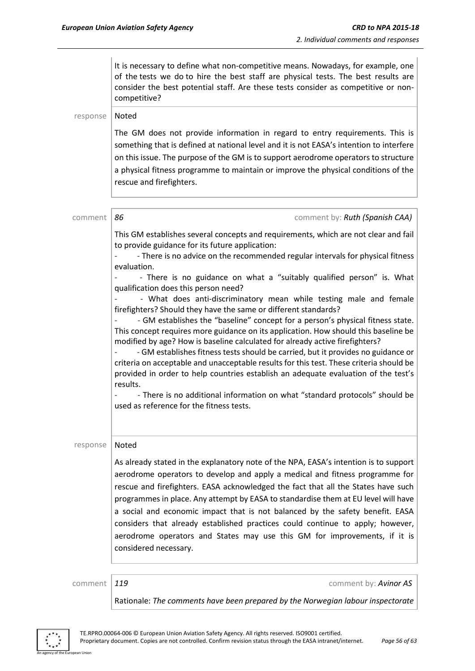|          | It is necessary to define what non-competitive means. Nowadays, for example, one<br>of the tests we do to hire the best staff are physical tests. The best results are<br>consider the best potential staff. Are these tests consider as competitive or non-<br>competitive?                                                                                                     |
|----------|----------------------------------------------------------------------------------------------------------------------------------------------------------------------------------------------------------------------------------------------------------------------------------------------------------------------------------------------------------------------------------|
| response | Noted                                                                                                                                                                                                                                                                                                                                                                            |
|          | The GM does not provide information in regard to entry requirements. This is<br>something that is defined at national level and it is not EASA's intention to interfere<br>on this issue. The purpose of the GM is to support aerodrome operators to structure<br>a physical fitness programme to maintain or improve the physical conditions of the<br>rescue and firefighters. |
|          |                                                                                                                                                                                                                                                                                                                                                                                  |
| comment  | 86<br>comment by: Ruth (Spanish CAA)                                                                                                                                                                                                                                                                                                                                             |
|          | This GM establishes several concepts and requirements, which are not clear and fail<br>to provide guidance for its future application:                                                                                                                                                                                                                                           |
|          | - There is no advice on the recommended regular intervals for physical fitness                                                                                                                                                                                                                                                                                                   |
|          | evaluation.<br>- There is no guidance on what a "suitably qualified person" is. What                                                                                                                                                                                                                                                                                             |
|          | qualification does this person need?                                                                                                                                                                                                                                                                                                                                             |
|          | - What does anti-discriminatory mean while testing male and female                                                                                                                                                                                                                                                                                                               |
|          | firefighters? Should they have the same or different standards?<br>- GM establishes the "baseline" concept for a person's physical fitness state.                                                                                                                                                                                                                                |
|          | This concept requires more guidance on its application. How should this baseline be                                                                                                                                                                                                                                                                                              |
|          | modified by age? How is baseline calculated for already active firefighters?                                                                                                                                                                                                                                                                                                     |
|          | - GM establishes fitness tests should be carried, but it provides no guidance or<br>criteria on acceptable and unacceptable results for this test. These criteria should be                                                                                                                                                                                                      |
|          | provided in order to help countries establish an adequate evaluation of the test's                                                                                                                                                                                                                                                                                               |
|          | results.<br>- There is no additional information on what "standard protocols" should be                                                                                                                                                                                                                                                                                          |
|          | used as reference for the fitness tests.                                                                                                                                                                                                                                                                                                                                         |
|          |                                                                                                                                                                                                                                                                                                                                                                                  |
| response | Noted                                                                                                                                                                                                                                                                                                                                                                            |
|          | As already stated in the explanatory note of the NPA, EASA's intention is to support                                                                                                                                                                                                                                                                                             |
|          | aerodrome operators to develop and apply a medical and fitness programme for                                                                                                                                                                                                                                                                                                     |
|          | rescue and firefighters. EASA acknowledged the fact that all the States have such                                                                                                                                                                                                                                                                                                |
|          | programmes in place. Any attempt by EASA to standardise them at EU level will have                                                                                                                                                                                                                                                                                               |
|          | a social and economic impact that is not balanced by the safety benefit. EASA                                                                                                                                                                                                                                                                                                    |
|          | considers that already established practices could continue to apply; however,<br>aerodrome operators and States may use this GM for improvements, if it is                                                                                                                                                                                                                      |
|          | considered necessary.                                                                                                                                                                                                                                                                                                                                                            |
|          |                                                                                                                                                                                                                                                                                                                                                                                  |
| comment  | 119<br>comment by: Avinor AS                                                                                                                                                                                                                                                                                                                                                     |
|          | Rationale: The comments have been prepared by the Norwegian labour inspectorate                                                                                                                                                                                                                                                                                                  |

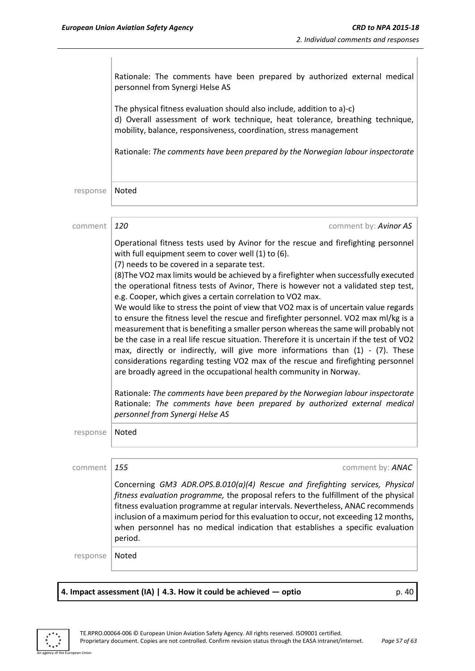|          | Rationale: The comments have been prepared by authorized external medical<br>personnel from Synergi Helse AS                                                                                                                                                                                                                                                                                                                                                                                                                                                                                                                                                                                                                                                                                                                                                                                                                                                                                                                                                                                                                                                                                                                                             |
|----------|----------------------------------------------------------------------------------------------------------------------------------------------------------------------------------------------------------------------------------------------------------------------------------------------------------------------------------------------------------------------------------------------------------------------------------------------------------------------------------------------------------------------------------------------------------------------------------------------------------------------------------------------------------------------------------------------------------------------------------------------------------------------------------------------------------------------------------------------------------------------------------------------------------------------------------------------------------------------------------------------------------------------------------------------------------------------------------------------------------------------------------------------------------------------------------------------------------------------------------------------------------|
|          | The physical fitness evaluation should also include, addition to a)-c)<br>d) Overall assessment of work technique, heat tolerance, breathing technique,<br>mobility, balance, responsiveness, coordination, stress management                                                                                                                                                                                                                                                                                                                                                                                                                                                                                                                                                                                                                                                                                                                                                                                                                                                                                                                                                                                                                            |
|          | Rationale: The comments have been prepared by the Norwegian labour inspectorate                                                                                                                                                                                                                                                                                                                                                                                                                                                                                                                                                                                                                                                                                                                                                                                                                                                                                                                                                                                                                                                                                                                                                                          |
| response | Noted                                                                                                                                                                                                                                                                                                                                                                                                                                                                                                                                                                                                                                                                                                                                                                                                                                                                                                                                                                                                                                                                                                                                                                                                                                                    |
| comment  | 120<br>comment by: Avinor AS                                                                                                                                                                                                                                                                                                                                                                                                                                                                                                                                                                                                                                                                                                                                                                                                                                                                                                                                                                                                                                                                                                                                                                                                                             |
|          | Operational fitness tests used by Avinor for the rescue and firefighting personnel<br>with full equipment seem to cover well (1) to (6).<br>(7) needs to be covered in a separate test.<br>(8) The VO2 max limits would be achieved by a firefighter when successfully executed<br>the operational fitness tests of Avinor, There is however not a validated step test,<br>e.g. Cooper, which gives a certain correlation to VO2 max.<br>We would like to stress the point of view that VO2 max is of uncertain value regards<br>to ensure the fitness level the rescue and firefighter personnel. VO2 max ml/kg is a<br>measurement that is benefiting a smaller person whereas the same will probably not<br>be the case in a real life rescue situation. Therefore it is uncertain if the test of VO2<br>max, directly or indirectly, will give more informations than (1) - (7). These<br>considerations regarding testing VO2 max of the rescue and firefighting personnel<br>are broadly agreed in the occupational health community in Norway.<br>Rationale: The comments have been prepared by the Norwegian labour inspectorate<br>Rationale: The comments have been prepared by authorized external medical<br>personnel from Synergi Helse AS |
| response | Noted                                                                                                                                                                                                                                                                                                                                                                                                                                                                                                                                                                                                                                                                                                                                                                                                                                                                                                                                                                                                                                                                                                                                                                                                                                                    |
| comment  | 155<br>comment by: <b>ANAC</b>                                                                                                                                                                                                                                                                                                                                                                                                                                                                                                                                                                                                                                                                                                                                                                                                                                                                                                                                                                                                                                                                                                                                                                                                                           |
|          | Concerning GM3 ADR.OPS.B.010(a)(4) Rescue and firefighting services, Physical<br>fitness evaluation programme, the proposal refers to the fulfillment of the physical<br>fitness evaluation programme at regular intervals. Nevertheless, ANAC recommends<br>inclusion of a maximum period for this evaluation to occur, not exceeding 12 months,<br>when personnel has no medical indication that establishes a specific evaluation<br>period.                                                                                                                                                                                                                                                                                                                                                                                                                                                                                                                                                                                                                                                                                                                                                                                                          |
| response | Noted                                                                                                                                                                                                                                                                                                                                                                                                                                                                                                                                                                                                                                                                                                                                                                                                                                                                                                                                                                                                                                                                                                                                                                                                                                                    |
|          |                                                                                                                                                                                                                                                                                                                                                                                                                                                                                                                                                                                                                                                                                                                                                                                                                                                                                                                                                                                                                                                                                                                                                                                                                                                          |

## **4. Impact assessment (IA) | 4.3. How it could be achieved — optio** p. 40



.<br>An Union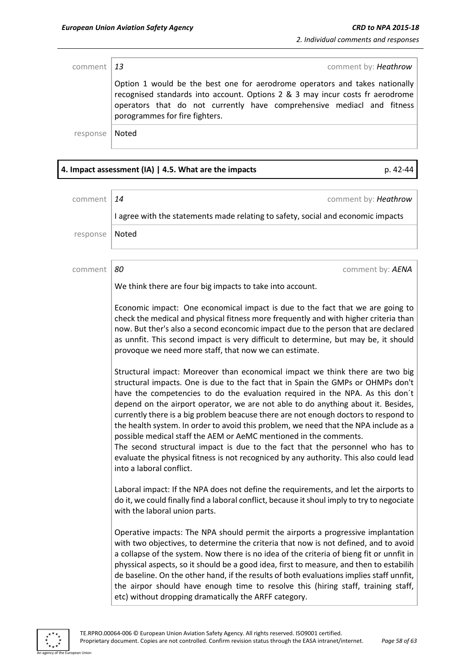| comment $ 13 $ | comment by: Heathrow                                                                                                                                                                                                                                                     |
|----------------|--------------------------------------------------------------------------------------------------------------------------------------------------------------------------------------------------------------------------------------------------------------------------|
|                | Option 1 would be the best one for aerodrome operators and takes nationally<br>recognised standards into account. Options 2 & 3 may incur costs fr aerodrome<br>operators that do not currently have comprehensive mediacl and fitness<br>porogrammes for fire fighters. |
| response       | Noted                                                                                                                                                                                                                                                                    |

## **4. Impact assessment (IA) | 4.5. What are the impacts** p. 42-44

| comment  | comment by: Heathrow<br>14                                                                                                                                                                                                                                                                                                                                                                                                                                                                                                                                                                                                                                                                                                                                                                         |
|----------|----------------------------------------------------------------------------------------------------------------------------------------------------------------------------------------------------------------------------------------------------------------------------------------------------------------------------------------------------------------------------------------------------------------------------------------------------------------------------------------------------------------------------------------------------------------------------------------------------------------------------------------------------------------------------------------------------------------------------------------------------------------------------------------------------|
|          | I agree with the statements made relating to safety, social and economic impacts                                                                                                                                                                                                                                                                                                                                                                                                                                                                                                                                                                                                                                                                                                                   |
| response | Noted                                                                                                                                                                                                                                                                                                                                                                                                                                                                                                                                                                                                                                                                                                                                                                                              |
|          |                                                                                                                                                                                                                                                                                                                                                                                                                                                                                                                                                                                                                                                                                                                                                                                                    |
| comment  | 80<br>comment by: AENA                                                                                                                                                                                                                                                                                                                                                                                                                                                                                                                                                                                                                                                                                                                                                                             |
|          | We think there are four big impacts to take into account.                                                                                                                                                                                                                                                                                                                                                                                                                                                                                                                                                                                                                                                                                                                                          |
|          | Economic impact: One economical impact is due to the fact that we are going to<br>check the medical and physical fitness more frequently and with higher criteria than<br>now. But ther's also a second econcomic impact due to the person that are declared<br>as unnfit. This second impact is very difficult to determine, but may be, it should<br>provoque we need more staff, that now we can estimate.                                                                                                                                                                                                                                                                                                                                                                                      |
|          | Structural impact: Moreover than economical impact we think there are two big<br>structural impacts. One is due to the fact that in Spain the GMPs or OHMPs don't<br>have the competencies to do the evaluation required in the NPA. As this don't<br>depend on the airport operator, we are not able to do anything about it. Besides,<br>currently there is a big problem beacuse there are not enough doctors to respond to<br>the health system. In order to avoid this problem, we need that the NPA include as a<br>possible medical staff the AEM or AeMC mentioned in the comments.<br>The second structural impact is due to the fact that the personnel who has to<br>evaluate the physical fitness is not recogniced by any authority. This also could lead<br>into a laboral conflict. |
|          | Laboral impact: If the NPA does not define the requirements, and let the airports to<br>do it, we could finally find a laboral conflict, because it shoul imply to try to negociate<br>with the laboral union parts.                                                                                                                                                                                                                                                                                                                                                                                                                                                                                                                                                                               |
|          | Operative impacts: The NPA should permit the airports a progressive implantation<br>with two objectives, to determine the criteria that now is not defined, and to avoid<br>a collapse of the system. Now there is no idea of the criteria of bieng fit or unnfit in<br>physsical aspects, so it should be a good idea, first to measure, and then to estabilih<br>de baseline. On the other hand, if the results of both evaluations implies staff unnfit,<br>the airpor should have enough time to resolve this (hiring staff, training staff,<br>etc) without dropping dramatically the ARFF category.                                                                                                                                                                                          |

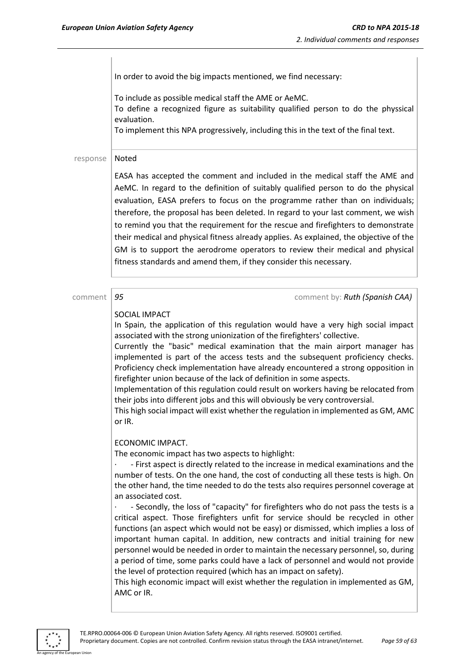In order to avoid the big impacts mentioned, we find necessary:

To include as possible medical staff the AME or AeMC. To define a recognized figure as suitability qualified person to do the physsical evaluation.

To implement this NPA progressively, including this in the text of the final text.

#### response | Noted

EASA has accepted the comment and included in the medical staff the AME and AeMC. In regard to the definition of suitably qualified person to do the physical evaluation, EASA prefers to focus on the programme rather than on individuals; therefore, the proposal has been deleted. In regard to your last comment, we wish to remind you that the requirement for the rescue and firefighters to demonstrate their medical and physical fitness already applies. As explained, the objective of the GM is to support the aerodrome operators to review their medical and physical fitness standards and amend them, if they consider this necessary.

comment **95 comment 35 comment by:** *Ruth (Spanish CAA)* 

#### SOCIAL IMPACT

In Spain, the application of this regulation would have a very high social impact associated with the strong unionization of the firefighters' collective.

Currently the "basic" medical examination that the main airport manager has implemented is part of the access tests and the subsequent proficiency checks. Proficiency check implementation have already encountered a strong opposition in firefighter union because of the lack of definition in some aspects.

Implementation of this regulation could result on workers having be relocated from their jobs into different jobs and this will obviously be very controversial.

This high social impact will exist whether the regulation in implemented as GM, AMC or IR.

#### ECONOMIC IMPACT.

The economic impact has two aspects to highlight:

· - First aspect is directly related to the increase in medical examinations and the number of tests. On the one hand, the cost of conducting all these tests is high. On the other hand, the time needed to do the tests also requires personnel coverage at an associated cost.

· - Secondly, the loss of "capacity" for firefighters who do not pass the tests is a critical aspect. Those firefighters unfit for service should be recycled in other functions (an aspect which would not be easy) or dismissed, which implies a loss of important human capital. In addition, new contracts and initial training for new personnel would be needed in order to maintain the necessary personnel, so, during a period of time, some parks could have a lack of personnel and would not provide the level of protection required (which has an impact on safety).

This high economic impact will exist whether the regulation in implemented as GM, AMC or IR.

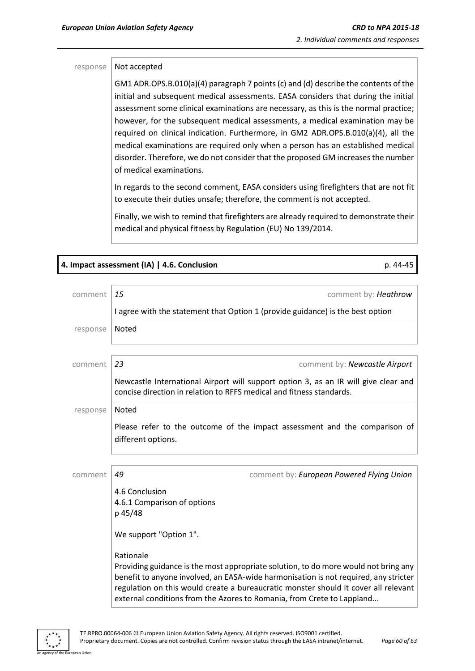#### $response$  Not accepted

GM1 ADR.OPS.B.010(a)(4) paragraph 7 points (c) and (d) describe the contents of the initial and subsequent medical assessments. EASA considers that during the initial assessment some clinical examinations are necessary, as this is the normal practice; however, for the subsequent medical assessments, a medical examination may be required on clinical indication. Furthermore, in GM2 ADR.OPS.B.010(a)(4), all the medical examinations are required only when a person has an established medical disorder. Therefore, we do not consider that the proposed GM increasesthe number of medical examinations.

In regards to the second comment, EASA considers using firefighters that are not fit to execute their duties unsafe; therefore, the comment is not accepted.

Finally, we wish to remind that firefighters are already required to demonstrate their medical and physical fitness by Regulation (EU) No 139/2014.

# **4. Impact assessment (IA) | 4.6. Conclusion** p. 44-45 comment *15* comment by: *Heathrow* I agree with the statement that Option 1 (provide guidance) is the best option response | Noted comment *23* comment by: *Newcastle Airport* Newcastle International Airport will support option 3, as an IR will give clear and concise direction in relation to RFFS medical and fitness standards. response | Noted Please refer to the outcome of the impact assessment and the comparison of different options. comment *49* comment by: *European Powered Flying Union* 4.6 Conclusion 4.6.1 Comparison of options p 45/48 We support "Option 1". Rationale Providing guidance is the most appropriate solution, to do more would not bring any benefit to anyone involved, an EASA-wide harmonisation is not required, any stricter

An agency of the European Union

external conditions from the Azores to Romania, from Crete to Lappland...

regulation on this would create a bureaucratic monster should it cover all relevant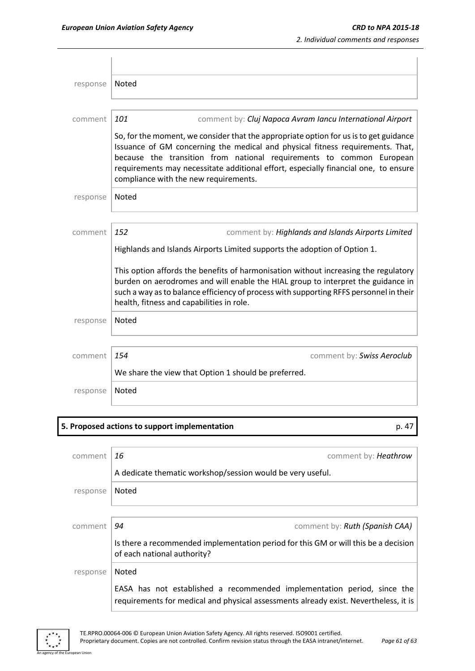| response | Noted                                                                                                                                                                                                                                                                                                                                                                           |
|----------|---------------------------------------------------------------------------------------------------------------------------------------------------------------------------------------------------------------------------------------------------------------------------------------------------------------------------------------------------------------------------------|
|          |                                                                                                                                                                                                                                                                                                                                                                                 |
| comment  | 101<br>comment by: Cluj Napoca Avram Iancu International Airport                                                                                                                                                                                                                                                                                                                |
|          | So, for the moment, we consider that the appropriate option for us is to get guidance<br>Issuance of GM concerning the medical and physical fitness requirements. That,<br>because the transition from national requirements to common European<br>requirements may necessitate additional effort, especially financial one, to ensure<br>compliance with the new requirements. |
| response | Noted                                                                                                                                                                                                                                                                                                                                                                           |
|          |                                                                                                                                                                                                                                                                                                                                                                                 |
| comment  | 152<br>comment by: Highlands and Islands Airports Limited                                                                                                                                                                                                                                                                                                                       |
|          | Highlands and Islands Airports Limited supports the adoption of Option 1.                                                                                                                                                                                                                                                                                                       |
|          | This option affords the benefits of harmonisation without increasing the regulatory<br>burden on aerodromes and will enable the HIAL group to interpret the guidance in<br>such a way as to balance efficiency of process with supporting RFFS personnel in their<br>health, fitness and capabilities in role.                                                                  |
| response | <b>Noted</b>                                                                                                                                                                                                                                                                                                                                                                    |
|          |                                                                                                                                                                                                                                                                                                                                                                                 |
| comment  | 154<br>comment by: Swiss Aeroclub                                                                                                                                                                                                                                                                                                                                               |
|          | We share the view that Option 1 should be preferred.                                                                                                                                                                                                                                                                                                                            |
| response | <b>Noted</b>                                                                                                                                                                                                                                                                                                                                                                    |

### **5. Proposed actions to support implementation** p. 47

| comment  | 16<br>comment by: Heathrow                                                                                                                                      |
|----------|-----------------------------------------------------------------------------------------------------------------------------------------------------------------|
|          | A dedicate thematic workshop/session would be very useful.                                                                                                      |
| response | Noted                                                                                                                                                           |
|          |                                                                                                                                                                 |
| comment  | 94<br>comment by: Ruth (Spanish CAA)                                                                                                                            |
|          | Is there a recommended implementation period for this GM or will this be a decision<br>of each national authority?                                              |
| response | <b>Noted</b>                                                                                                                                                    |
|          | EASA has not established a recommended implementation period, since the<br>requirements for medical and physical assessments already exist. Nevertheless, it is |



an Union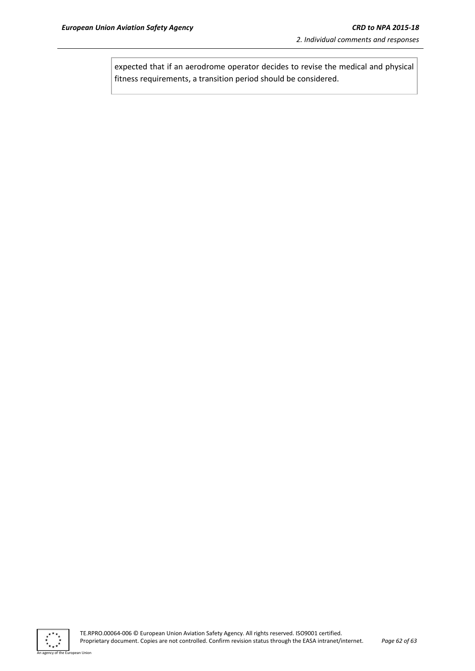expected that if an aerodrome operator decides to revise the medical and physical fitness requirements, a transition period should be considered.



an Union